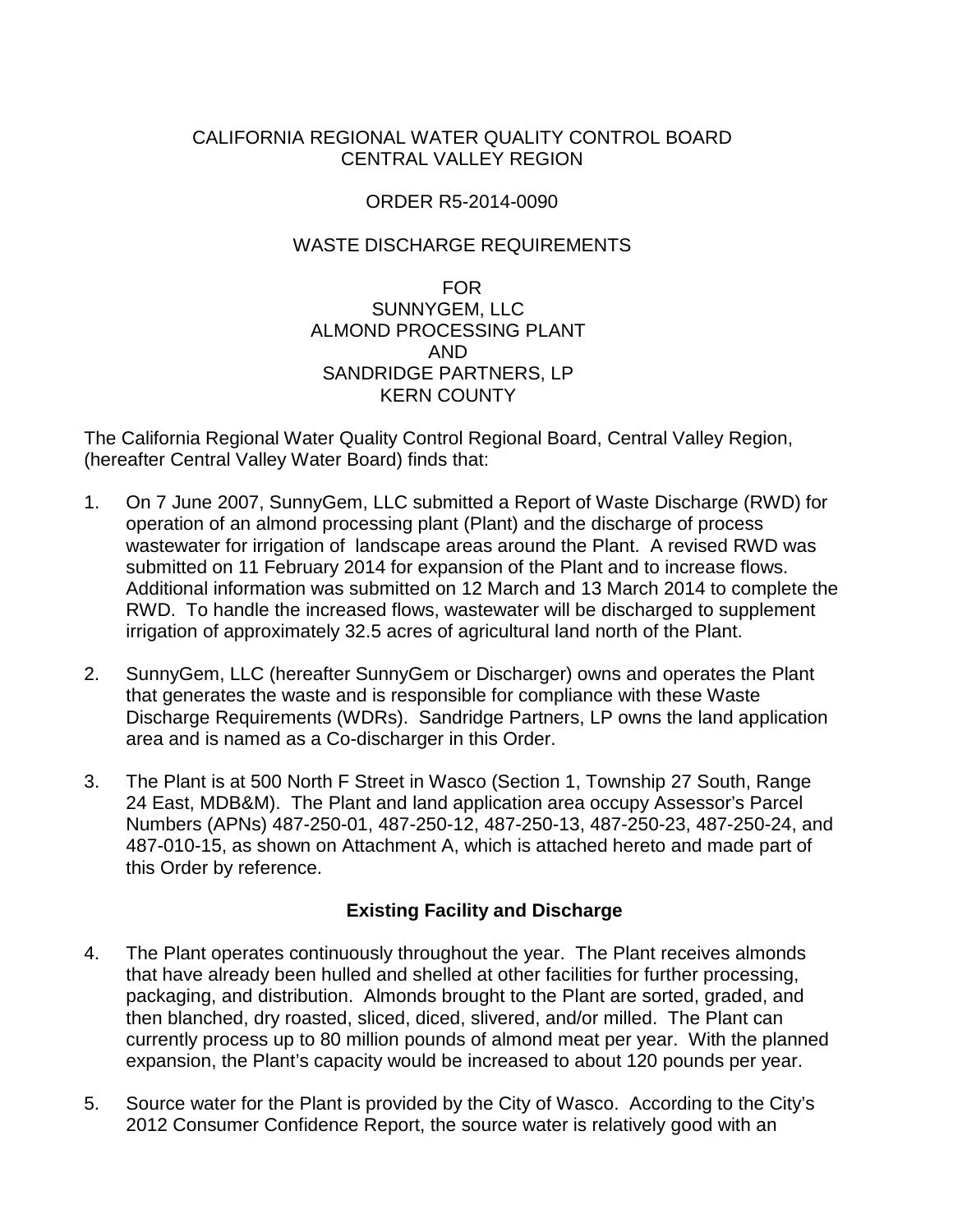# CALIFORNIA REGIONAL WATER QUALITY CONTROL BOARD CENTRAL VALLEY REGION

# ORDER R5-2014-0090

# WASTE DISCHARGE REQUIREMENTS

FOR SUNNYGEM, LLC ALMOND PROCESSING PLANT AND SANDRIDGE PARTNERS, LP KERN COUNTY

The California Regional Water Quality Control Regional Board, Central Valley Region, (hereafter Central Valley Water Board) finds that:

- 1. On 7 June 2007, SunnyGem, LLC submitted a Report of Waste Discharge (RWD) for operation of an almond processing plant (Plant) and the discharge of process wastewater for irrigation of landscape areas around the Plant. A revised RWD was submitted on 11 February 2014 for expansion of the Plant and to increase flows. Additional information was submitted on 12 March and 13 March 2014 to complete the RWD. To handle the increased flows, wastewater will be discharged to supplement irrigation of approximately 32.5 acres of agricultural land north of the Plant.
- 2. SunnyGem, LLC (hereafter SunnyGem or Discharger) owns and operates the Plant that generates the waste and is responsible for compliance with these Waste Discharge Requirements (WDRs). Sandridge Partners, LP owns the land application area and is named as a Co-discharger in this Order.
- 3. The Plant is at 500 North F Street in Wasco (Section 1, Township 27 South, Range 24 East, MDB&M). The Plant and land application area occupy Assessor's Parcel Numbers (APNs) 487-250-01, 487-250-12, 487-250-13, 487-250-23, 487-250-24, and 487-010-15, as shown on Attachment A, which is attached hereto and made part of this Order by reference.

# **Existing Facility and Discharge**

- 4. The Plant operates continuously throughout the year. The Plant receives almonds that have already been hulled and shelled at other facilities for further processing, packaging, and distribution. Almonds brought to the Plant are sorted, graded, and then blanched, dry roasted, sliced, diced, slivered, and/or milled. The Plant can currently process up to 80 million pounds of almond meat per year. With the planned expansion, the Plant's capacity would be increased to about 120 pounds per year.
- 5. Source water for the Plant is provided by the City of Wasco. According to the City's 2012 Consumer Confidence Report, the source water is relatively good with an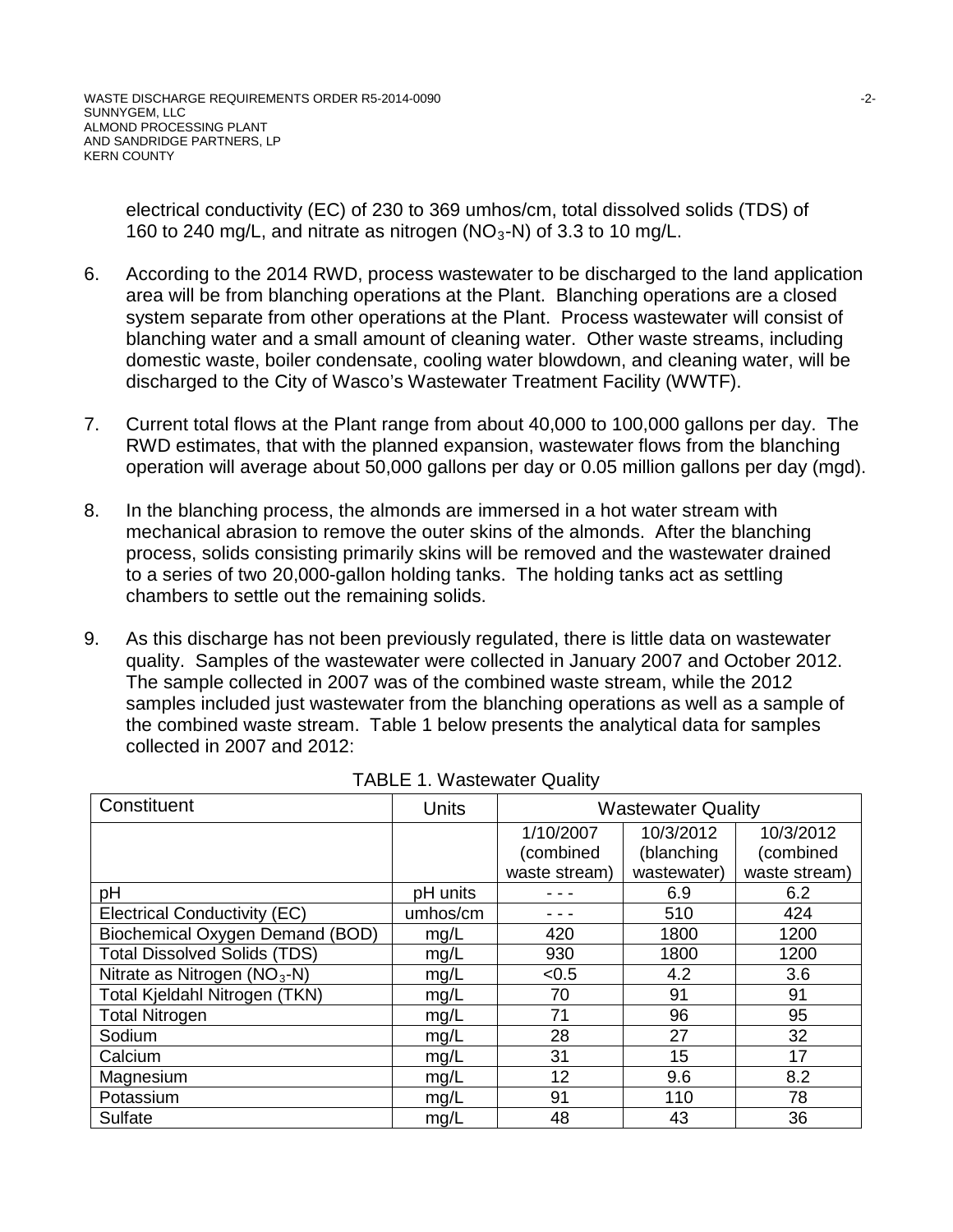electrical conductivity (EC) of 230 to 369 umhos/cm, total dissolved solids (TDS) of 160 to 240 mg/L, and nitrate as nitrogen ( $NO<sub>3</sub>$ -N) of 3.3 to 10 mg/L.

- 6. According to the 2014 RWD, process wastewater to be discharged to the land application area will be from blanching operations at the Plant. Blanching operations are a closed system separate from other operations at the Plant. Process wastewater will consist of blanching water and a small amount of cleaning water. Other waste streams, including domestic waste, boiler condensate, cooling water blowdown, and cleaning water, will be discharged to the City of Wasco's Wastewater Treatment Facility (WWTF).
- 7. Current total flows at the Plant range from about 40,000 to 100,000 gallons per day. The RWD estimates, that with the planned expansion, wastewater flows from the blanching operation will average about 50,000 gallons per day or 0.05 million gallons per day (mgd).
- 8. In the blanching process, the almonds are immersed in a hot water stream with mechanical abrasion to remove the outer skins of the almonds. After the blanching process, solids consisting primarily skins will be removed and the wastewater drained to a series of two 20,000-gallon holding tanks. The holding tanks act as settling chambers to settle out the remaining solids.
- 9. As this discharge has not been previously regulated, there is little data on wastewater quality. Samples of the wastewater were collected in January 2007 and October 2012. The sample collected in 2007 was of the combined waste stream, while the 2012 samples included just wastewater from the blanching operations as well as a sample of the combined waste stream. Table 1 below presents the analytical data for samples collected in 2007 and 2012:

| Constituent                         | <b>Units</b> | <b>Wastewater Quality</b> |             |               |
|-------------------------------------|--------------|---------------------------|-------------|---------------|
|                                     |              | 1/10/2007                 | 10/3/2012   | 10/3/2012     |
|                                     |              | (combined                 | (blanching  | (combined     |
|                                     |              | waste stream)             | wastewater) | waste stream) |
| pH                                  | pH units     |                           | 6.9         | 6.2           |
| <b>Electrical Conductivity (EC)</b> | umhos/cm     |                           | 510         | 424           |
| Biochemical Oxygen Demand (BOD)     | mg/L         | 420                       | 1800        | 1200          |
| <b>Total Dissolved Solids (TDS)</b> | mg/L         | 930                       | 1800        | 1200          |
| Nitrate as Nitrogen $(NO3-N)$       | mg/L         | < 0.5                     | 4.2         | 3.6           |
| Total Kjeldahl Nitrogen (TKN)       | mg/L         | 70                        | 91          | 91            |
| <b>Total Nitrogen</b>               | mg/L         | 71                        | 96          | 95            |
| Sodium                              | mg/L         | 28                        | 27          | 32            |
| Calcium                             | mg/L         | 31                        | 15          | 17            |
| Magnesium                           | mg/L         | 12                        | 9.6         | 8.2           |
| Potassium                           | mg/L         | 91                        | 110         | 78            |
| Sulfate                             | mg/L         | 48                        | 43          | 36            |

| <b>TABLE 1. Wastewater Quality</b> |
|------------------------------------|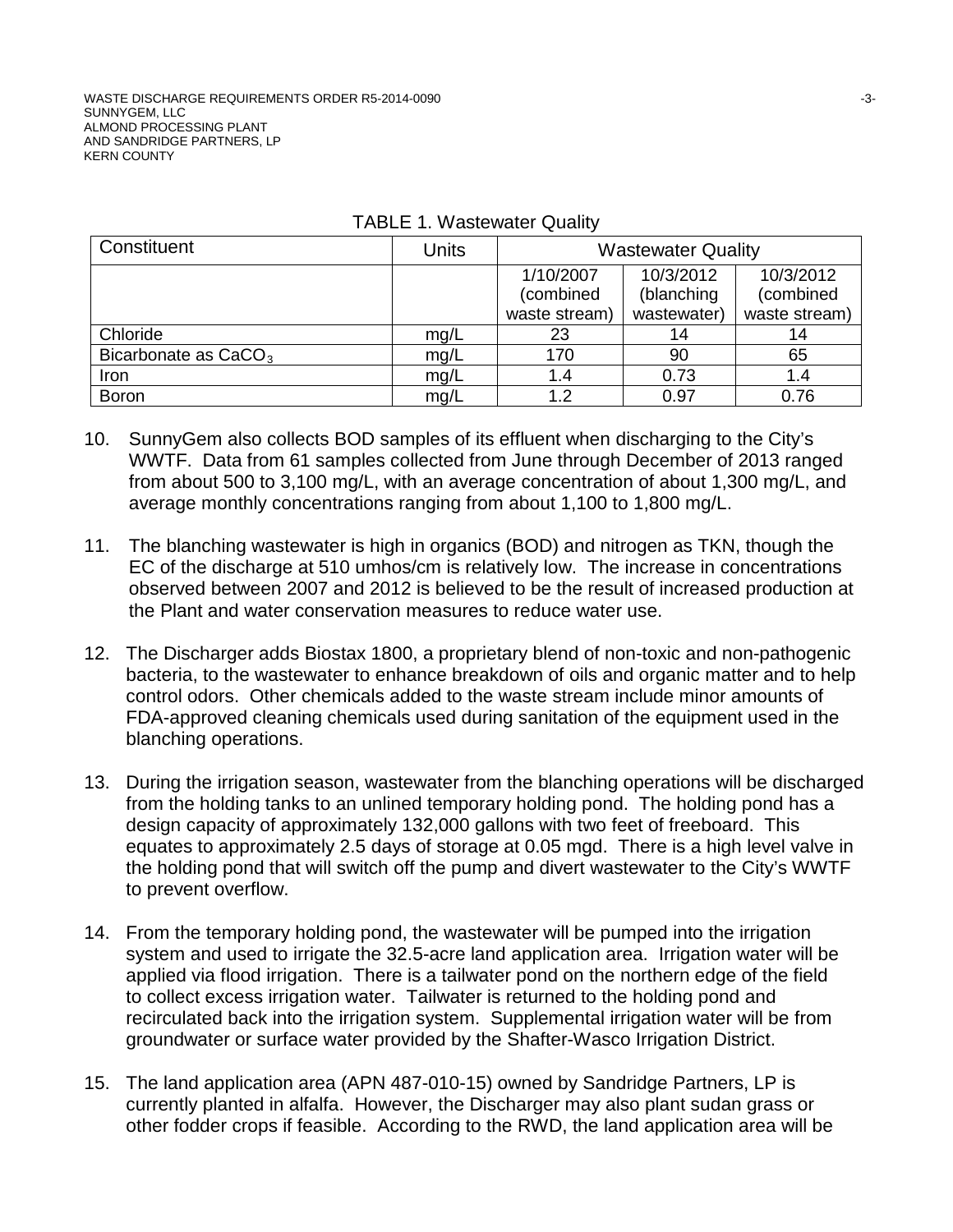| Constituent                      | Units | <b>Wastewater Quality</b> |             |               |
|----------------------------------|-------|---------------------------|-------------|---------------|
|                                  |       | 1/10/2007                 | 10/3/2012   | 10/3/2012     |
|                                  |       | (combined                 | (blanching  | (combined     |
|                                  |       | waste stream)             | wastewater) | waste stream) |
| Chloride                         | mg/L  | 23                        |             | 14            |
| Bicarbonate as CaCO <sub>3</sub> | mg/L  | 170                       | 90          | 65            |
| Iron                             | mg/L  | 1.4                       | 0.73        | 1.4           |
| <b>Boron</b>                     | mg/L  | 1.2                       | 0.97        | 0.76          |

|  | <b>TABLE 1. Wastewater Quality</b> |  |
|--|------------------------------------|--|
|--|------------------------------------|--|

- 10. SunnyGem also collects BOD samples of its effluent when discharging to the City's WWTF. Data from 61 samples collected from June through December of 2013 ranged from about 500 to 3,100 mg/L, with an average concentration of about 1,300 mg/L, and average monthly concentrations ranging from about 1,100 to 1,800 mg/L.
- 11. The blanching wastewater is high in organics (BOD) and nitrogen as TKN, though the EC of the discharge at 510 umhos/cm is relatively low. The increase in concentrations observed between 2007 and 2012 is believed to be the result of increased production at the Plant and water conservation measures to reduce water use.
- 12. The Discharger adds Biostax 1800, a proprietary blend of non-toxic and non-pathogenic bacteria, to the wastewater to enhance breakdown of oils and organic matter and to help control odors. Other chemicals added to the waste stream include minor amounts of FDA-approved cleaning chemicals used during sanitation of the equipment used in the blanching operations.
- 13. During the irrigation season, wastewater from the blanching operations will be discharged from the holding tanks to an unlined temporary holding pond. The holding pond has a design capacity of approximately 132,000 gallons with two feet of freeboard. This equates to approximately 2.5 days of storage at 0.05 mgd. There is a high level valve in the holding pond that will switch off the pump and divert wastewater to the City's WWTF to prevent overflow.
- 14. From the temporary holding pond, the wastewater will be pumped into the irrigation system and used to irrigate the 32.5-acre land application area. Irrigation water will be applied via flood irrigation. There is a tailwater pond on the northern edge of the field to collect excess irrigation water. Tailwater is returned to the holding pond and recirculated back into the irrigation system. Supplemental irrigation water will be from groundwater or surface water provided by the Shafter-Wasco Irrigation District.
- 15. The land application area (APN 487-010-15) owned by Sandridge Partners, LP is currently planted in alfalfa. However, the Discharger may also plant sudan grass or other fodder crops if feasible. According to the RWD, the land application area will be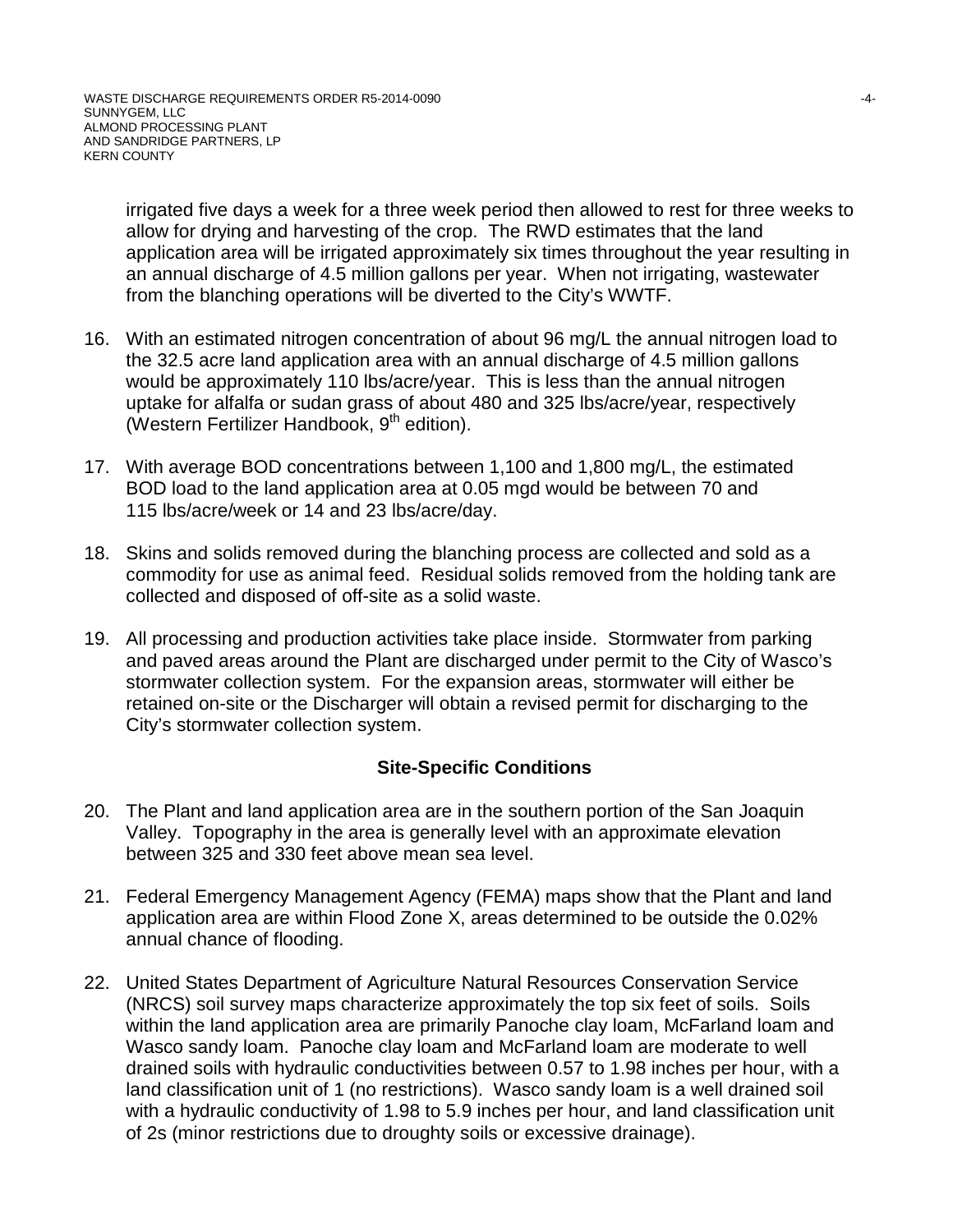irrigated five days a week for a three week period then allowed to rest for three weeks to allow for drying and harvesting of the crop. The RWD estimates that the land application area will be irrigated approximately six times throughout the year resulting in an annual discharge of 4.5 million gallons per year. When not irrigating, wastewater from the blanching operations will be diverted to the City's WWTF.

- 16. With an estimated nitrogen concentration of about 96 mg/L the annual nitrogen load to the 32.5 acre land application area with an annual discharge of 4.5 million gallons would be approximately 110 lbs/acre/year. This is less than the annual nitrogen uptake for alfalfa or sudan grass of about 480 and 325 lbs/acre/year, respectively (Western Fertilizer Handbook,  $9<sup>th</sup>$  edition).
- 17. With average BOD concentrations between 1,100 and 1,800 mg/L, the estimated BOD load to the land application area at 0.05 mgd would be between 70 and 115 lbs/acre/week or 14 and 23 lbs/acre/day.
- 18. Skins and solids removed during the blanching process are collected and sold as a commodity for use as animal feed. Residual solids removed from the holding tank are collected and disposed of off-site as a solid waste.
- 19. All processing and production activities take place inside. Stormwater from parking and paved areas around the Plant are discharged under permit to the City of Wasco's stormwater collection system. For the expansion areas, stormwater will either be retained on-site or the Discharger will obtain a revised permit for discharging to the City's stormwater collection system.

# **Site-Specific Conditions**

- 20. The Plant and land application area are in the southern portion of the San Joaquin Valley. Topography in the area is generally level with an approximate elevation between 325 and 330 feet above mean sea level.
- 21. Federal Emergency Management Agency (FEMA) maps show that the Plant and land application area are within Flood Zone X, areas determined to be outside the 0.02% annual chance of flooding.
- 22. United States Department of Agriculture Natural Resources Conservation Service (NRCS) soil survey maps characterize approximately the top six feet of soils. Soils within the land application area are primarily Panoche clay loam, McFarland loam and Wasco sandy loam. Panoche clay loam and McFarland loam are moderate to well drained soils with hydraulic conductivities between 0.57 to 1.98 inches per hour, with a land classification unit of 1 (no restrictions). Wasco sandy loam is a well drained soil with a hydraulic conductivity of 1.98 to 5.9 inches per hour, and land classification unit of 2s (minor restrictions due to droughty soils or excessive drainage).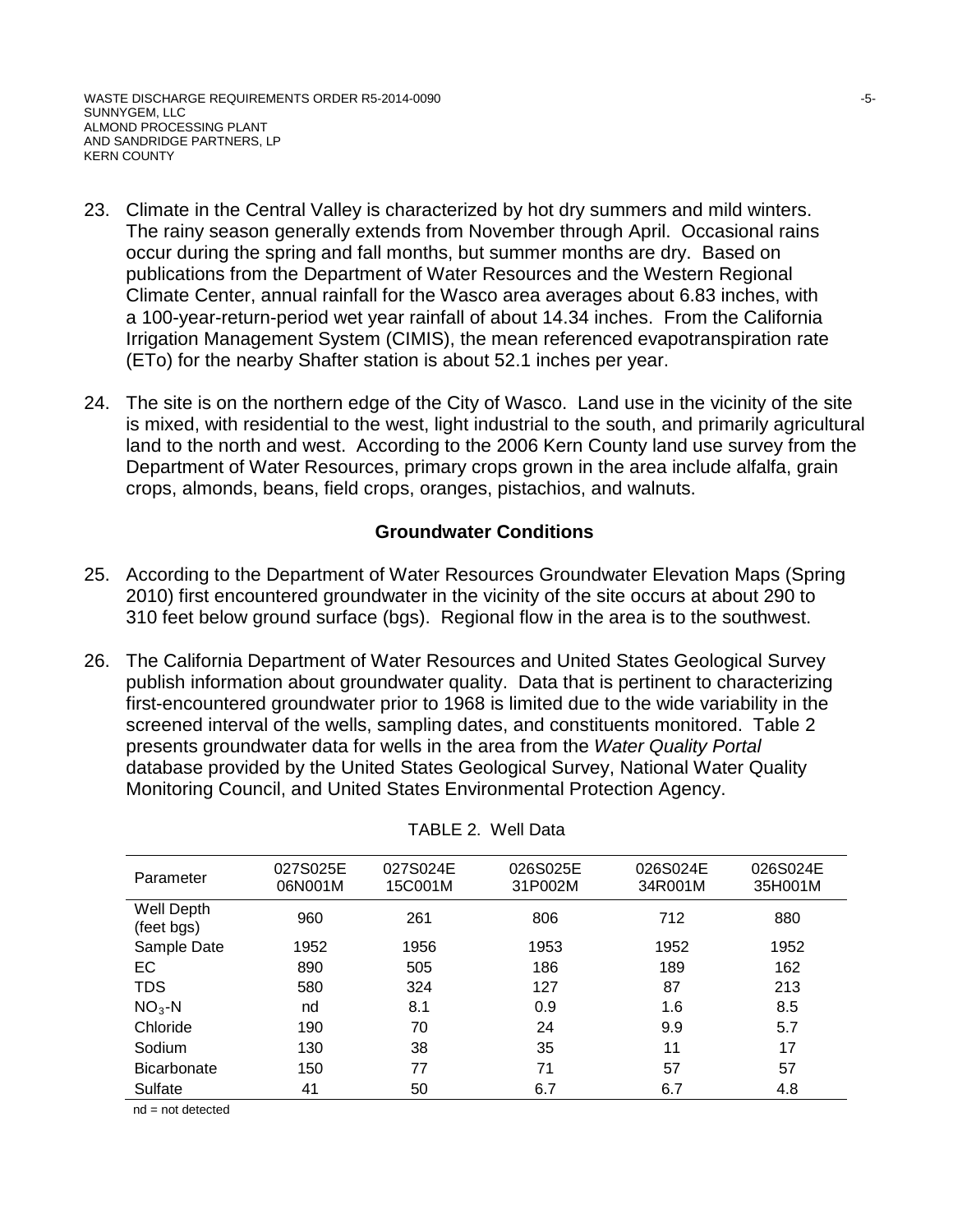WASTE DISCHARGE REQUIREMENTS ORDER R5-2014-0090  $-5$ -SUNNYGEM, LLC ALMOND PROCESSING PLANT AND SANDRIDGE PARTNERS, LP KERN COUNTY

- 23. Climate in the Central Valley is characterized by hot dry summers and mild winters. The rainy season generally extends from November through April. Occasional rains occur during the spring and fall months, but summer months are dry. Based on publications from the Department of Water Resources and the Western Regional Climate Center, annual rainfall for the Wasco area averages about 6.83 inches, with a 100-year-return-period wet year rainfall of about 14.34 inches. From the California Irrigation Management System (CIMIS), the mean referenced evapotranspiration rate (ETo) for the nearby Shafter station is about 52.1 inches per year.
- 24. The site is on the northern edge of the City of Wasco. Land use in the vicinity of the site is mixed, with residential to the west, light industrial to the south, and primarily agricultural land to the north and west. According to the 2006 Kern County land use survey from the Department of Water Resources, primary crops grown in the area include alfalfa, grain crops, almonds, beans, field crops, oranges, pistachios, and walnuts.

#### **Groundwater Conditions**

- 25. According to the Department of Water Resources Groundwater Elevation Maps (Spring 2010) first encountered groundwater in the vicinity of the site occurs at about 290 to 310 feet below ground surface (bgs). Regional flow in the area is to the southwest.
- 26. The California Department of Water Resources and United States Geological Survey publish information about groundwater quality. Data that is pertinent to characterizing first-encountered groundwater prior to 1968 is limited due to the wide variability in the screened interval of the wells, sampling dates, and constituents monitored. Table 2 presents groundwater data for wells in the area from the *Water Quality Portal* database provided by the United States Geological Survey, National Water Quality Monitoring Council, and United States Environmental Protection Agency.

| Parameter                | 027S025E<br>06N001M | 027S024E<br>15C001M | 026S025E<br>31P002M | 026S024E<br>34R001M | 026S024E<br>35H001M |
|--------------------------|---------------------|---------------------|---------------------|---------------------|---------------------|
| Well Depth<br>(feet bgs) | 960                 | 261                 | 806                 | 712                 | 880                 |
| Sample Date              | 1952                | 1956                | 1953                | 1952                | 1952                |
| EC                       | 890                 | 505                 | 186                 | 189                 | 162                 |
| <b>TDS</b>               | 580                 | 324                 | 127                 | 87                  | 213                 |
| $NO3 - N$                | nd                  | 8.1                 | 0.9                 | 1.6                 | 8.5                 |
| Chloride                 | 190                 | 70                  | 24                  | 9.9                 | 5.7                 |
| Sodium                   | 130                 | 38                  | 35                  | 11                  | 17                  |
| <b>Bicarbonate</b>       | 150                 | 77                  | 71                  | 57                  | 57                  |
| Sulfate                  | 41                  | 50                  | 6.7                 | 6.7                 | 4.8                 |

TABLE 2. Well Data

nd = not detected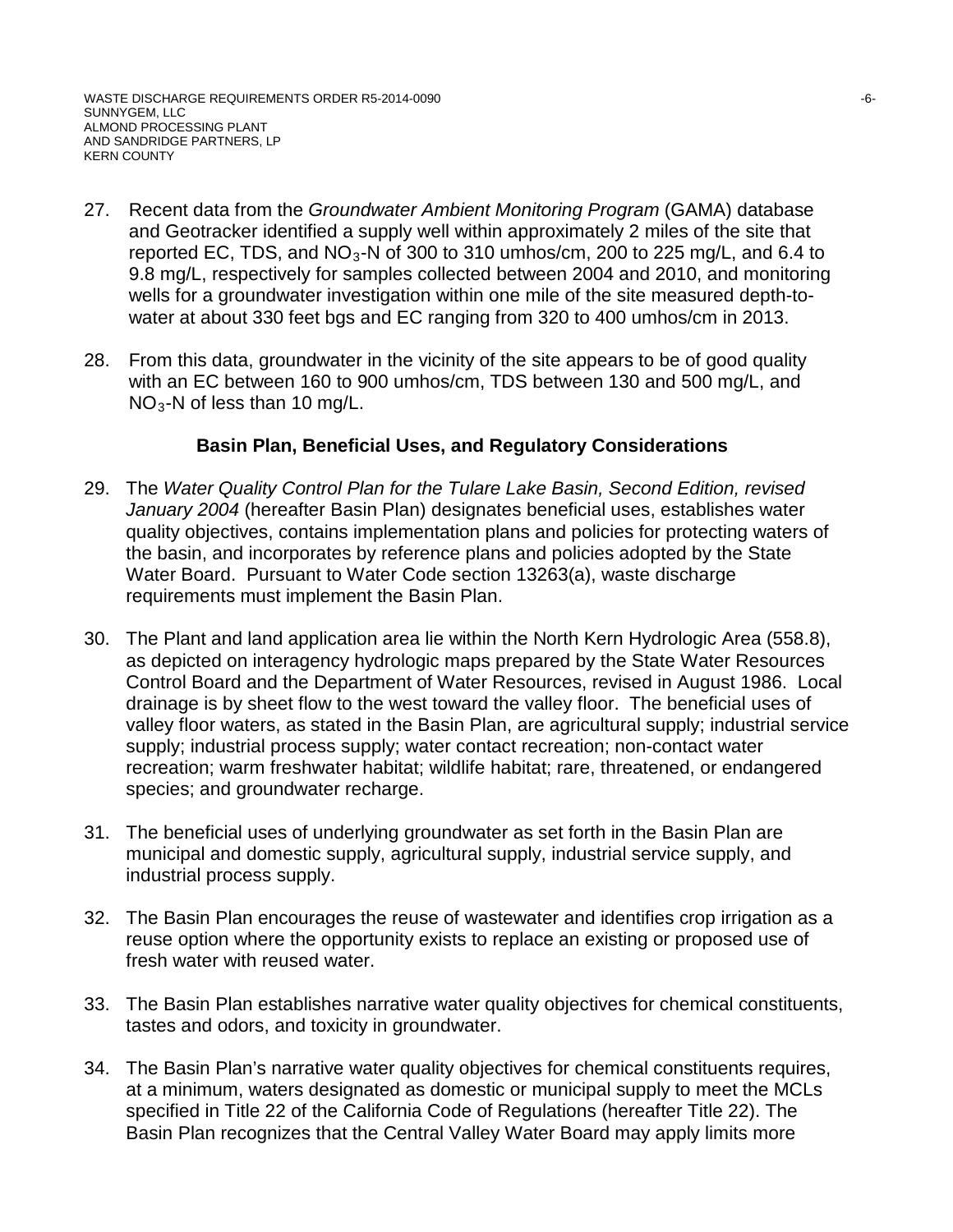- 27. Recent data from the *Groundwater Ambient Monitoring Program* (GAMA) database and Geotracker identified a supply well within approximately 2 miles of the site that reported EC, TDS, and  $NO<sub>3</sub>$ -N of 300 to 310 umhos/cm, 200 to 225 mg/L, and 6.4 to 9.8 mg/L, respectively for samples collected between 2004 and 2010, and monitoring wells for a groundwater investigation within one mile of the site measured depth-towater at about 330 feet bgs and EC ranging from 320 to 400 umhos/cm in 2013.
- 28. From this data, groundwater in the vicinity of the site appears to be of good quality with an EC between 160 to 900 umhos/cm, TDS between 130 and 500 mg/L, and NO3-N of less than 10 mg/L.

## **Basin Plan, Beneficial Uses, and Regulatory Considerations**

- 29. The *Water Quality Control Plan for the Tulare Lake Basin, Second Edition, revised January 2004* (hereafter Basin Plan) designates beneficial uses, establishes water quality objectives, contains implementation plans and policies for protecting waters of the basin, and incorporates by reference plans and policies adopted by the State Water Board. Pursuant to Water Code section 13263(a), waste discharge requirements must implement the Basin Plan.
- 30. The Plant and land application area lie within the North Kern Hydrologic Area (558.8), as depicted on interagency hydrologic maps prepared by the State Water Resources Control Board and the Department of Water Resources, revised in August 1986. Local drainage is by sheet flow to the west toward the valley floor. The beneficial uses of valley floor waters, as stated in the Basin Plan, are agricultural supply; industrial service supply; industrial process supply; water contact recreation; non-contact water recreation; warm freshwater habitat; wildlife habitat; rare, threatened, or endangered species; and groundwater recharge.
- 31. The beneficial uses of underlying groundwater as set forth in the Basin Plan are municipal and domestic supply, agricultural supply, industrial service supply, and industrial process supply.
- 32. The Basin Plan encourages the reuse of wastewater and identifies crop irrigation as a reuse option where the opportunity exists to replace an existing or proposed use of fresh water with reused water.
- 33. The Basin Plan establishes narrative water quality objectives for chemical constituents, tastes and odors, and toxicity in groundwater.
- 34. The Basin Plan's narrative water quality objectives for chemical constituents requires, at a minimum, waters designated as domestic or municipal supply to meet the MCLs specified in Title 22 of the California Code of Regulations (hereafter Title 22). The Basin Plan recognizes that the Central Valley Water Board may apply limits more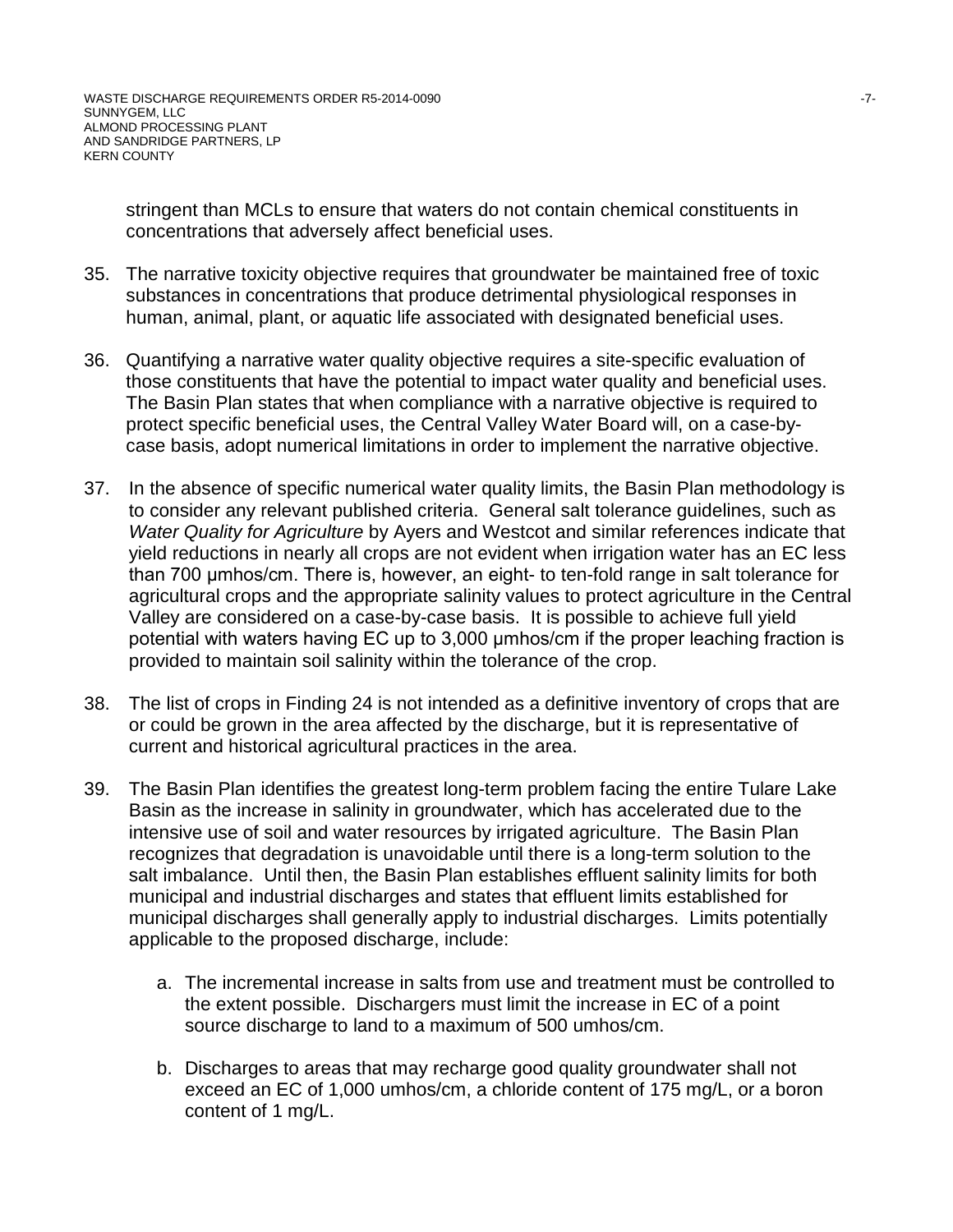stringent than MCLs to ensure that waters do not contain chemical constituents in concentrations that adversely affect beneficial uses.

- 35. The narrative toxicity objective requires that groundwater be maintained free of toxic substances in concentrations that produce detrimental physiological responses in human, animal, plant, or aquatic life associated with designated beneficial uses.
- 36. Quantifying a narrative water quality objective requires a site-specific evaluation of those constituents that have the potential to impact water quality and beneficial uses. The Basin Plan states that when compliance with a narrative objective is required to protect specific beneficial uses, the Central Valley Water Board will, on a case-bycase basis, adopt numerical limitations in order to implement the narrative objective.
- 37. In the absence of specific numerical water quality limits, the Basin Plan methodology is to consider any relevant published criteria. General salt tolerance guidelines, such as *Water Quality for Agriculture* by Ayers and Westcot and similar references indicate that yield reductions in nearly all crops are not evident when irrigation water has an EC less than 700 μmhos/cm. There is, however, an eight- to ten-fold range in salt tolerance for agricultural crops and the appropriate salinity values to protect agriculture in the Central Valley are considered on a case-by-case basis. It is possible to achieve full yield potential with waters having EC up to 3,000 μmhos/cm if the proper leaching fraction is provided to maintain soil salinity within the tolerance of the crop.
- 38. The list of crops in Finding 24 is not intended as a definitive inventory of crops that are or could be grown in the area affected by the discharge, but it is representative of current and historical agricultural practices in the area.
- 39. The Basin Plan identifies the greatest long-term problem facing the entire Tulare Lake Basin as the increase in salinity in groundwater, which has accelerated due to the intensive use of soil and water resources by irrigated agriculture. The Basin Plan recognizes that degradation is unavoidable until there is a long-term solution to the salt imbalance. Until then, the Basin Plan establishes effluent salinity limits for both municipal and industrial discharges and states that effluent limits established for municipal discharges shall generally apply to industrial discharges. Limits potentially applicable to the proposed discharge, include:
	- a. The incremental increase in salts from use and treatment must be controlled to the extent possible. Dischargers must limit the increase in EC of a point source discharge to land to a maximum of 500 umhos/cm.
	- b. Discharges to areas that may recharge good quality groundwater shall not exceed an EC of 1,000 umhos/cm, a chloride content of 175 mg/L, or a boron content of 1 mg/L.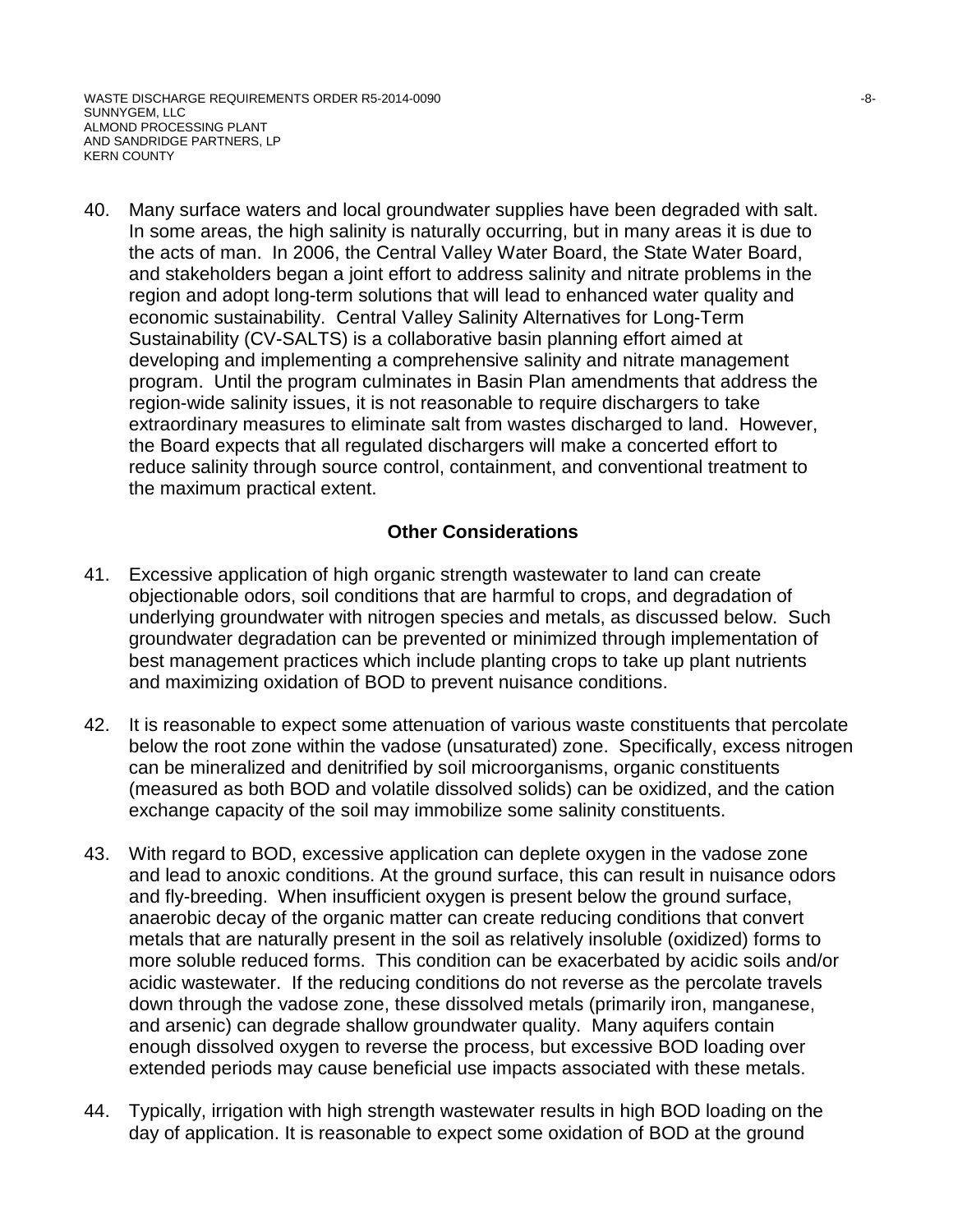WASTE DISCHARGE REQUIREMENTS ORDER R5-2014-0090  $-8-$ SUNNYGEM, LLC ALMOND PROCESSING PLANT AND SANDRIDGE PARTNERS, LP KERN COUNTY

40. Many surface waters and local groundwater supplies have been degraded with salt. In some areas, the high salinity is naturally occurring, but in many areas it is due to the acts of man. In 2006, the Central Valley Water Board, the State Water Board, and stakeholders began a joint effort to address salinity and nitrate problems in the region and adopt long-term solutions that will lead to enhanced water quality and economic sustainability. Central Valley Salinity Alternatives for Long-Term Sustainability (CV-SALTS) is a collaborative basin planning effort aimed at developing and implementing a comprehensive salinity and nitrate management program. Until the program culminates in Basin Plan amendments that address the region-wide salinity issues, it is not reasonable to require dischargers to take extraordinary measures to eliminate salt from wastes discharged to land. However, the Board expects that all regulated dischargers will make a concerted effort to reduce salinity through source control, containment, and conventional treatment to the maximum practical extent.

## **Other Considerations**

- 41. Excessive application of high organic strength wastewater to land can create objectionable odors, soil conditions that are harmful to crops, and degradation of underlying groundwater with nitrogen species and metals, as discussed below. Such groundwater degradation can be prevented or minimized through implementation of best management practices which include planting crops to take up plant nutrients and maximizing oxidation of BOD to prevent nuisance conditions.
- 42. It is reasonable to expect some attenuation of various waste constituents that percolate below the root zone within the vadose (unsaturated) zone. Specifically, excess nitrogen can be mineralized and denitrified by soil microorganisms, organic constituents (measured as both BOD and volatile dissolved solids) can be oxidized, and the cation exchange capacity of the soil may immobilize some salinity constituents.
- 43. With regard to BOD, excessive application can deplete oxygen in the vadose zone and lead to anoxic conditions. At the ground surface, this can result in nuisance odors and fly-breeding. When insufficient oxygen is present below the ground surface, anaerobic decay of the organic matter can create reducing conditions that convert metals that are naturally present in the soil as relatively insoluble (oxidized) forms to more soluble reduced forms. This condition can be exacerbated by acidic soils and/or acidic wastewater. If the reducing conditions do not reverse as the percolate travels down through the vadose zone, these dissolved metals (primarily iron, manganese, and arsenic) can degrade shallow groundwater quality. Many aquifers contain enough dissolved oxygen to reverse the process, but excessive BOD loading over extended periods may cause beneficial use impacts associated with these metals.
- 44. Typically, irrigation with high strength wastewater results in high BOD loading on the day of application. It is reasonable to expect some oxidation of BOD at the ground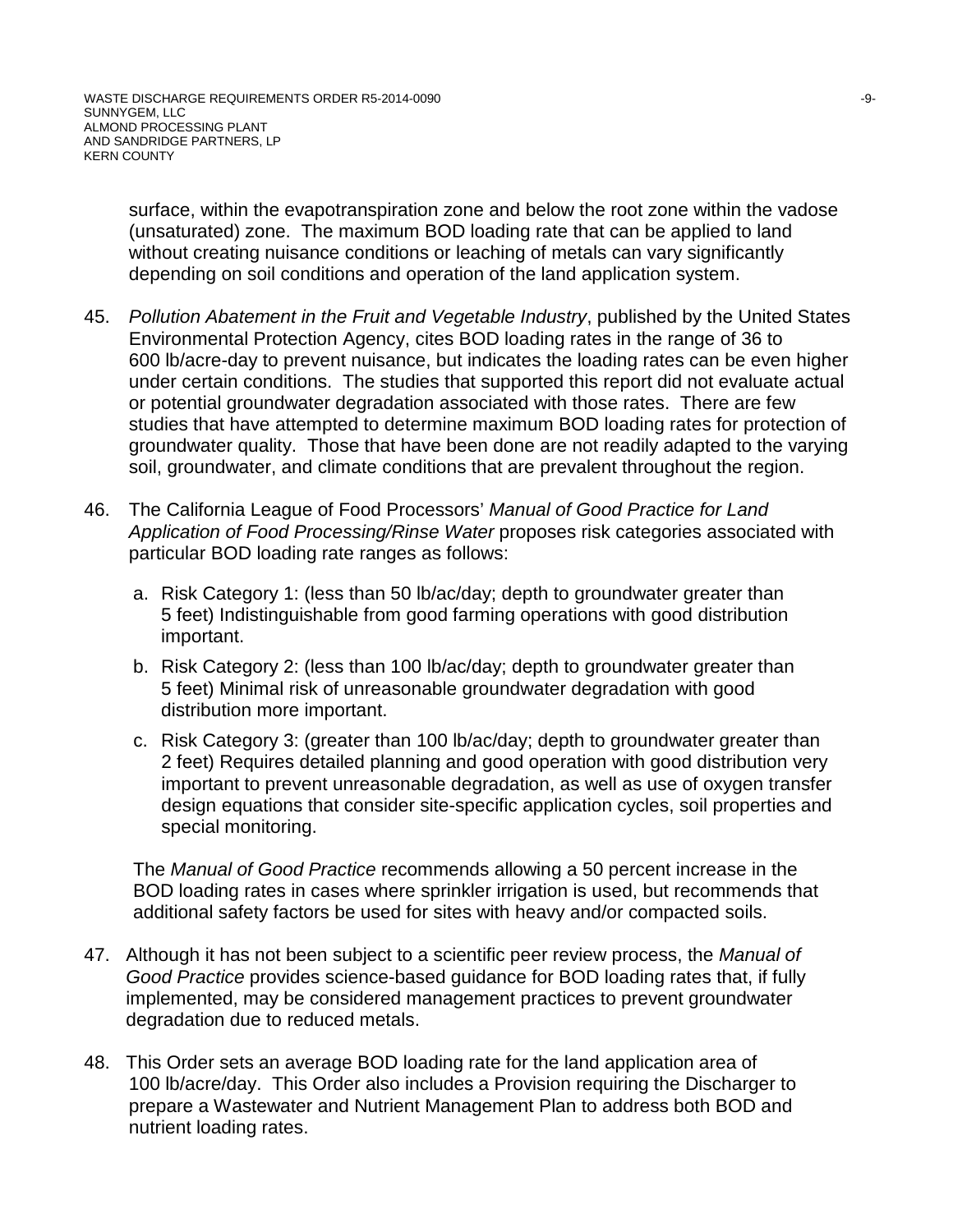surface, within the evapotranspiration zone and below the root zone within the vadose (unsaturated) zone. The maximum BOD loading rate that can be applied to land without creating nuisance conditions or leaching of metals can vary significantly depending on soil conditions and operation of the land application system.

- 45. *Pollution Abatement in the Fruit and Vegetable Industry*, published by the United States Environmental Protection Agency, cites BOD loading rates in the range of 36 to 600 lb/acre-day to prevent nuisance, but indicates the loading rates can be even higher under certain conditions. The studies that supported this report did not evaluate actual or potential groundwater degradation associated with those rates. There are few studies that have attempted to determine maximum BOD loading rates for protection of groundwater quality. Those that have been done are not readily adapted to the varying soil, groundwater, and climate conditions that are prevalent throughout the region.
- 46. The California League of Food Processors' *Manual of Good Practice for Land Application of Food Processing/Rinse Water* proposes risk categories associated with particular BOD loading rate ranges as follows:
	- a. Risk Category 1: (less than 50 lb/ac/day; depth to groundwater greater than 5 feet) Indistinguishable from good farming operations with good distribution important.
	- b. Risk Category 2: (less than 100 lb/ac/day; depth to groundwater greater than 5 feet) Minimal risk of unreasonable groundwater degradation with good distribution more important.
	- c. Risk Category 3: (greater than 100 lb/ac/day; depth to groundwater greater than 2 feet) Requires detailed planning and good operation with good distribution very important to prevent unreasonable degradation, as well as use of oxygen transfer design equations that consider site-specific application cycles, soil properties and special monitoring.

The *Manual of Good Practice* recommends allowing a 50 percent increase in the BOD loading rates in cases where sprinkler irrigation is used, but recommends that additional safety factors be used for sites with heavy and/or compacted soils.

- 47. Although it has not been subject to a scientific peer review process, the *Manual of Good Practice* provides science-based guidance for BOD loading rates that, if fully implemented, may be considered management practices to prevent groundwater degradation due to reduced metals.
- 48. This Order sets an average BOD loading rate for the land application area of 100 lb/acre/day. This Order also includes a Provision requiring the Discharger to prepare a Wastewater and Nutrient Management Plan to address both BOD and nutrient loading rates.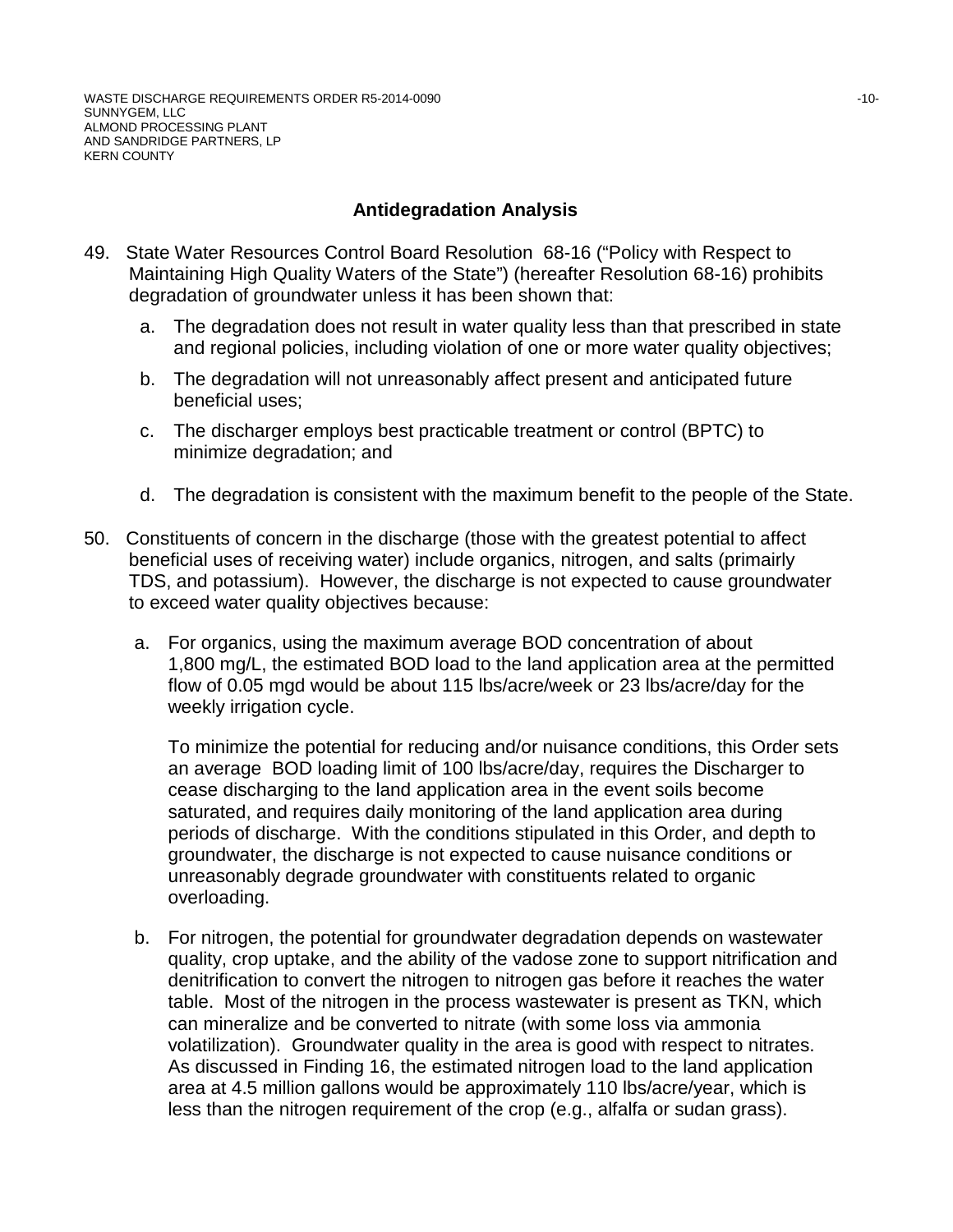# **Antidegradation Analysis**

- 49. State Water Resources Control Board Resolution 68-16 ("Policy with Respect to Maintaining High Quality Waters of the State") (hereafter Resolution 68-16) prohibits degradation of groundwater unless it has been shown that:
	- a. The degradation does not result in water quality less than that prescribed in state and regional policies, including violation of one or more water quality objectives;
	- b. The degradation will not unreasonably affect present and anticipated future beneficial uses;
	- c. The discharger employs best practicable treatment or control (BPTC) to minimize degradation; and
	- d. The degradation is consistent with the maximum benefit to the people of the State.
- 50. Constituents of concern in the discharge (those with the greatest potential to affect beneficial uses of receiving water) include organics, nitrogen, and salts (primairly TDS, and potassium). However, the discharge is not expected to cause groundwater to exceed water quality objectives because:
	- a. For organics, using the maximum average BOD concentration of about 1,800 mg/L, the estimated BOD load to the land application area at the permitted flow of 0.05 mgd would be about 115 lbs/acre/week or 23 lbs/acre/day for the weekly irrigation cycle.

To minimize the potential for reducing and/or nuisance conditions, this Order sets an average BOD loading limit of 100 lbs/acre/day, requires the Discharger to cease discharging to the land application area in the event soils become saturated, and requires daily monitoring of the land application area during periods of discharge. With the conditions stipulated in this Order, and depth to groundwater, the discharge is not expected to cause nuisance conditions or unreasonably degrade groundwater with constituents related to organic overloading.

b. For nitrogen, the potential for groundwater degradation depends on wastewater quality, crop uptake, and the ability of the vadose zone to support nitrification and denitrification to convert the nitrogen to nitrogen gas before it reaches the water table. Most of the nitrogen in the process wastewater is present as TKN, which can mineralize and be converted to nitrate (with some loss via ammonia volatilization). Groundwater quality in the area is good with respect to nitrates. As discussed in Finding 16, the estimated nitrogen load to the land application area at 4.5 million gallons would be approximately 110 lbs/acre/year, which is less than the nitrogen requirement of the crop (e.g., alfalfa or sudan grass).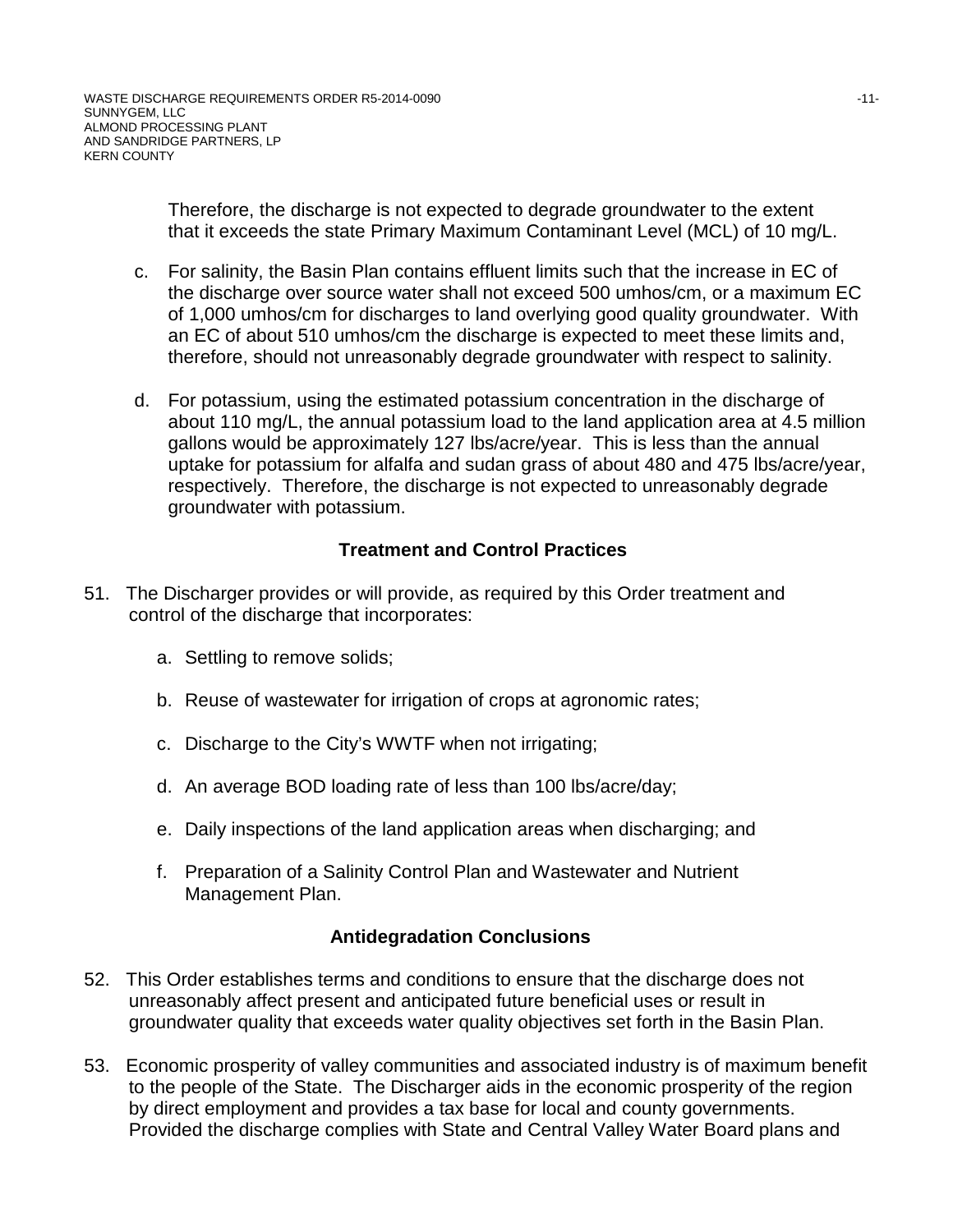Therefore, the discharge is not expected to degrade groundwater to the extent that it exceeds the state Primary Maximum Contaminant Level (MCL) of 10 mg/L.

- c. For salinity, the Basin Plan contains effluent limits such that the increase in EC of the discharge over source water shall not exceed 500 umhos/cm, or a maximum EC of 1,000 umhos/cm for discharges to land overlying good quality groundwater. With an EC of about 510 umhos/cm the discharge is expected to meet these limits and, therefore, should not unreasonably degrade groundwater with respect to salinity.
- d. For potassium, using the estimated potassium concentration in the discharge of about 110 mg/L, the annual potassium load to the land application area at 4.5 million gallons would be approximately 127 lbs/acre/year. This is less than the annual uptake for potassium for alfalfa and sudan grass of about 480 and 475 lbs/acre/year, respectively. Therefore, the discharge is not expected to unreasonably degrade groundwater with potassium.

# **Treatment and Control Practices**

- 51. The Discharger provides or will provide, as required by this Order treatment and control of the discharge that incorporates:
	- a. Settling to remove solids;
	- b. Reuse of wastewater for irrigation of crops at agronomic rates;
	- c. Discharge to the City's WWTF when not irrigating;
	- d. An average BOD loading rate of less than 100 lbs/acre/day;
	- e. Daily inspections of the land application areas when discharging; and
	- f. Preparation of a Salinity Control Plan and Wastewater and Nutrient Management Plan.

## **Antidegradation Conclusions**

- 52. This Order establishes terms and conditions to ensure that the discharge does not unreasonably affect present and anticipated future beneficial uses or result in groundwater quality that exceeds water quality objectives set forth in the Basin Plan.
- 53. Economic prosperity of valley communities and associated industry is of maximum benefit to the people of the State. The Discharger aids in the economic prosperity of the region by direct employment and provides a tax base for local and county governments. Provided the discharge complies with State and Central Valley Water Board plans and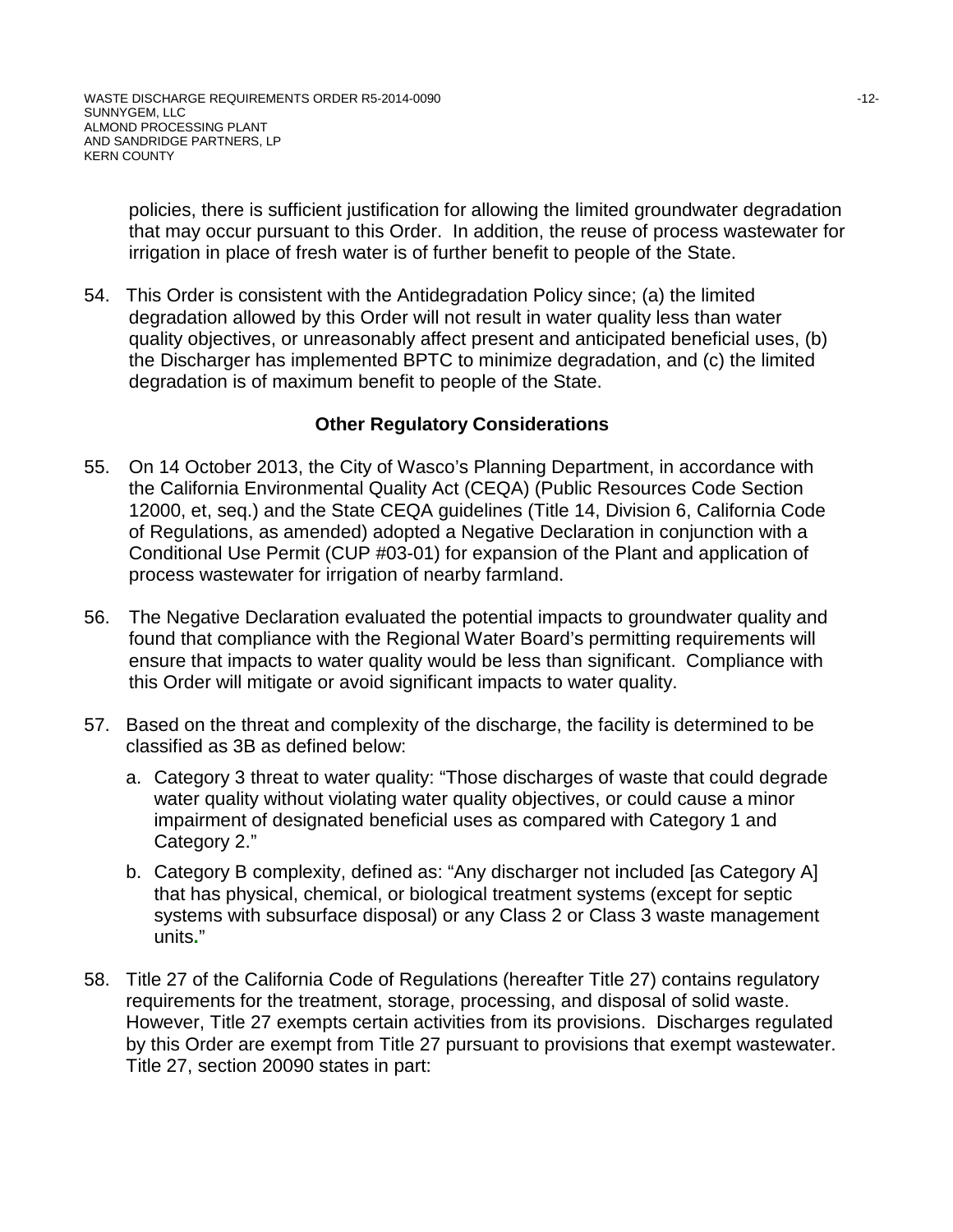policies, there is sufficient justification for allowing the limited groundwater degradation that may occur pursuant to this Order. In addition, the reuse of process wastewater for irrigation in place of fresh water is of further benefit to people of the State.

54. This Order is consistent with the Antidegradation Policy since; (a) the limited degradation allowed by this Order will not result in water quality less than water quality objectives, or unreasonably affect present and anticipated beneficial uses, (b) the Discharger has implemented BPTC to minimize degradation, and (c) the limited degradation is of maximum benefit to people of the State.

## **Other Regulatory Considerations**

- 55. On 14 October 2013, the City of Wasco's Planning Department, in accordance with the California Environmental Quality Act (CEQA) (Public Resources Code Section 12000, et, seq.) and the State CEQA guidelines (Title 14, Division 6, California Code of Regulations, as amended) adopted a Negative Declaration in conjunction with a Conditional Use Permit (CUP #03-01) for expansion of the Plant and application of process wastewater for irrigation of nearby farmland.
- 56. The Negative Declaration evaluated the potential impacts to groundwater quality and found that compliance with the Regional Water Board's permitting requirements will ensure that impacts to water quality would be less than significant. Compliance with this Order will mitigate or avoid significant impacts to water quality.
- 57. Based on the threat and complexity of the discharge, the facility is determined to be classified as 3B as defined below:
	- a. Category 3 threat to water quality: "Those discharges of waste that could degrade water quality without violating water quality objectives, or could cause a minor impairment of designated beneficial uses as compared with Category 1 and Category 2."
	- b. Category B complexity, defined as: "Any discharger not included [as Category A] that has physical, chemical, or biological treatment systems (except for septic systems with subsurface disposal) or any Class 2 or Class 3 waste management units**.**"
- 58. Title 27 of the California Code of Regulations (hereafter Title 27) contains regulatory requirements for the treatment, storage, processing, and disposal of solid waste. However, Title 27 exempts certain activities from its provisions. Discharges regulated by this Order are exempt from Title 27 pursuant to provisions that exempt wastewater. Title 27, section 20090 states in part: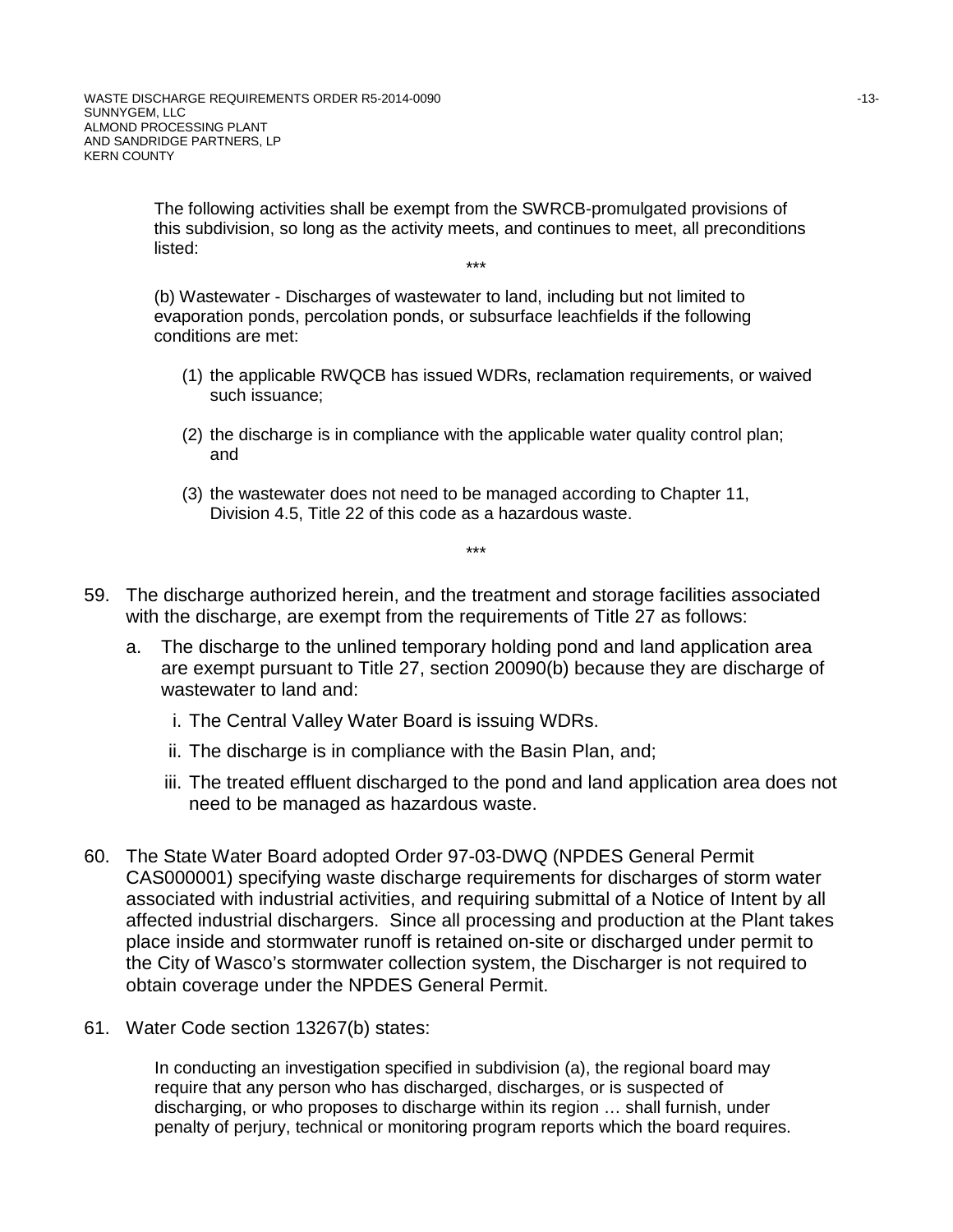The following activities shall be exempt from the SWRCB-promulgated provisions of this subdivision, so long as the activity meets, and continues to meet, all preconditions listed: \*\*\*

(b) Wastewater - Discharges of wastewater to land, including but not limited to evaporation ponds, percolation ponds, or subsurface leachfields if the following conditions are met:

- (1) the applicable RWQCB has issued WDRs, reclamation requirements, or waived such issuance;
- (2) the discharge is in compliance with the applicable water quality control plan; and
- (3) the wastewater does not need to be managed according to Chapter 11, Division 4.5, Title 22 of this code as a hazardous waste.

\*\*\*

- 59. The discharge authorized herein, and the treatment and storage facilities associated with the discharge, are exempt from the requirements of Title 27 as follows:
	- a. The discharge to the unlined temporary holding pond and land application area are exempt pursuant to Title 27, section 20090(b) because they are discharge of wastewater to land and:
		- i. The Central Valley Water Board is issuing WDRs.
		- ii. The discharge is in compliance with the Basin Plan, and;
		- iii. The treated effluent discharged to the pond and land application area does not need to be managed as hazardous waste.
- 60. The State Water Board adopted Order 97-03-DWQ (NPDES General Permit CAS000001) specifying waste discharge requirements for discharges of storm water associated with industrial activities, and requiring submittal of a Notice of Intent by all affected industrial dischargers. Since all processing and production at the Plant takes place inside and stormwater runoff is retained on-site or discharged under permit to the City of Wasco's stormwater collection system, the Discharger is not required to obtain coverage under the NPDES General Permit.
- 61. Water Code section 13267(b) states:

In conducting an investigation specified in subdivision (a), the regional board may require that any person who has discharged, discharges, or is suspected of discharging, or who proposes to discharge within its region … shall furnish, under penalty of perjury, technical or monitoring program reports which the board requires.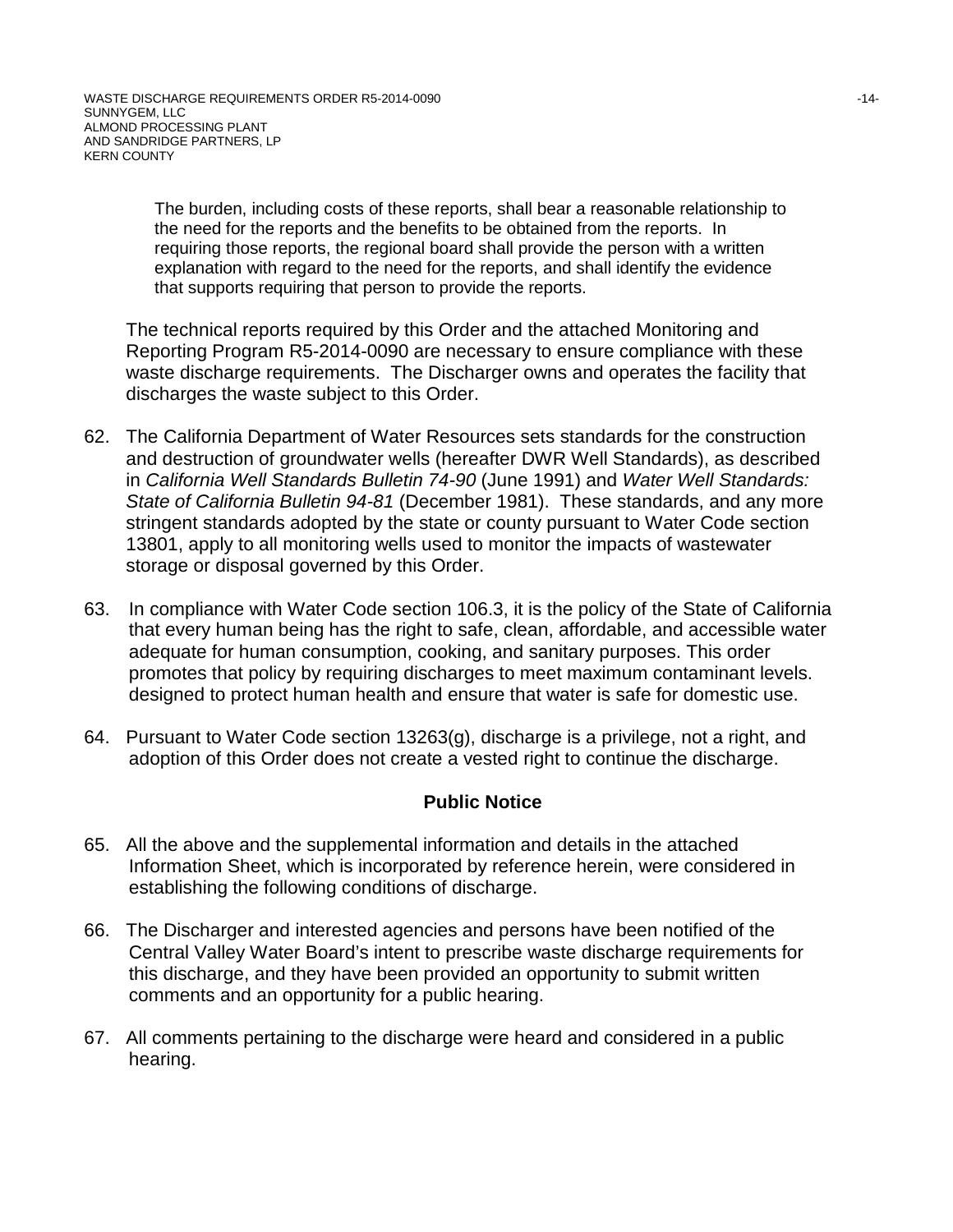The burden, including costs of these reports, shall bear a reasonable relationship to the need for the reports and the benefits to be obtained from the reports. In requiring those reports, the regional board shall provide the person with a written explanation with regard to the need for the reports, and shall identify the evidence that supports requiring that person to provide the reports.

The technical reports required by this Order and the attached Monitoring and Reporting Program R5-2014-0090 are necessary to ensure compliance with these waste discharge requirements. The Discharger owns and operates the facility that discharges the waste subject to this Order.

- 62. The California Department of Water Resources sets standards for the construction and destruction of groundwater wells (hereafter DWR Well Standards), as described in *California Well Standards Bulletin 74-90* (June 1991) and *Water Well Standards: State of California Bulletin 94-81* (December 1981). These standards, and any more stringent standards adopted by the state or county pursuant to Water Code section 13801, apply to all monitoring wells used to monitor the impacts of wastewater storage or disposal governed by this Order.
- 63. In compliance with Water Code section 106.3, it is the policy of the State of California that every human being has the right to safe, clean, affordable, and accessible water adequate for human consumption, cooking, and sanitary purposes. This order promotes that policy by requiring discharges to meet maximum contaminant levels. designed to protect human health and ensure that water is safe for domestic use.
- 64. Pursuant to Water Code section 13263(g), discharge is a privilege, not a right, and adoption of this Order does not create a vested right to continue the discharge.

## **Public Notice**

- 65. All the above and the supplemental information and details in the attached Information Sheet, which is incorporated by reference herein, were considered in establishing the following conditions of discharge.
- 66. The Discharger and interested agencies and persons have been notified of the Central Valley Water Board's intent to prescribe waste discharge requirements for this discharge, and they have been provided an opportunity to submit written comments and an opportunity for a public hearing.
- 67. All comments pertaining to the discharge were heard and considered in a public hearing.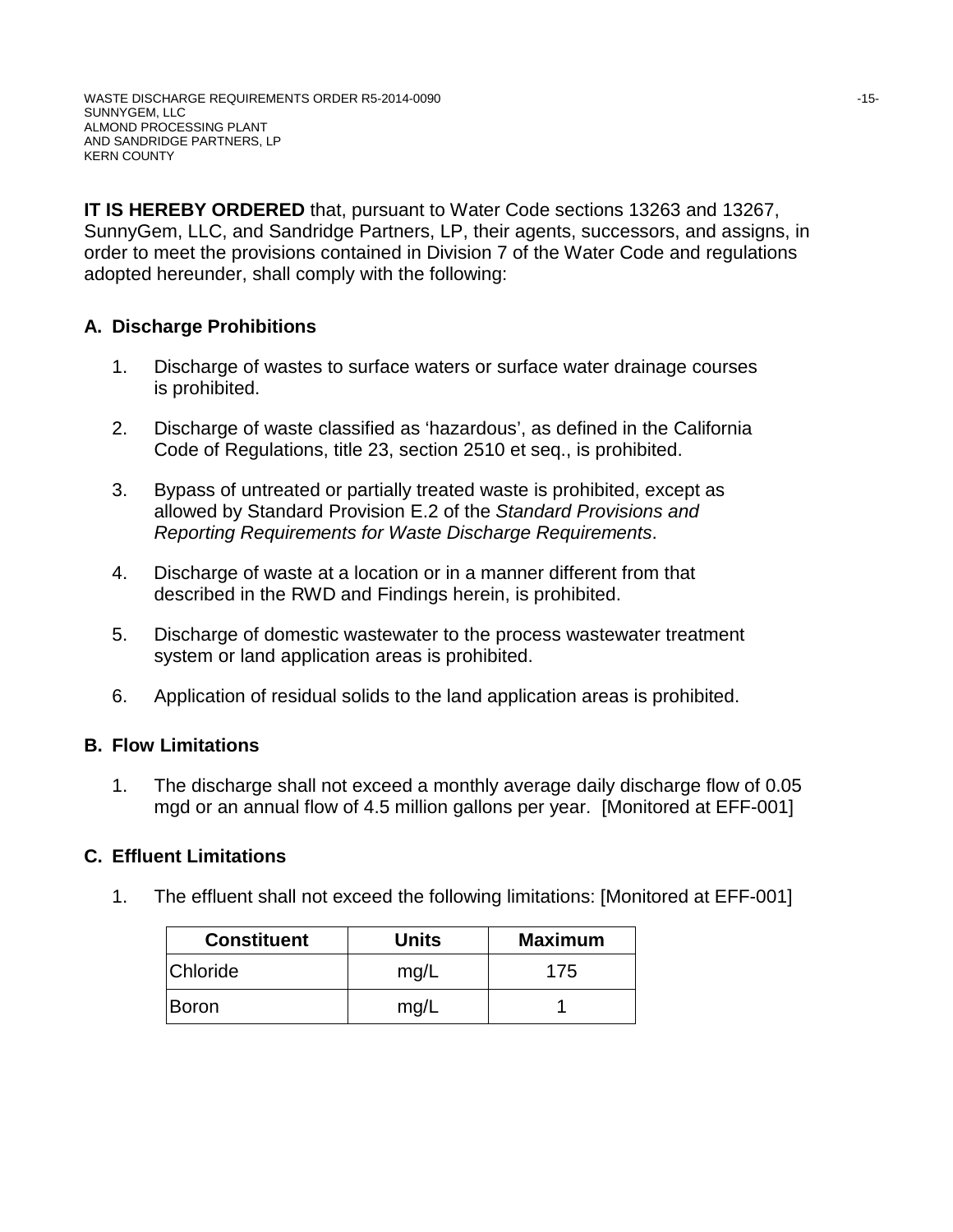**IT IS HEREBY ORDERED** that, pursuant to Water Code sections 13263 and 13267, SunnyGem, LLC, and Sandridge Partners, LP, their agents, successors, and assigns, in order to meet the provisions contained in Division 7 of the Water Code and regulations adopted hereunder, shall comply with the following:

# **A. Discharge Prohibitions**

- 1. Discharge of wastes to surface waters or surface water drainage courses is prohibited.
- 2. Discharge of waste classified as 'hazardous', as defined in the California Code of Regulations, title 23, section 2510 et seq., is prohibited.
- 3. Bypass of untreated or partially treated waste is prohibited, except as allowed by Standard Provision E.2 of the *Standard Provisions and Reporting Requirements for Waste Discharge Requirements*.
- 4. Discharge of waste at a location or in a manner different from that described in the RWD and Findings herein, is prohibited.
- 5. Discharge of domestic wastewater to the process wastewater treatment system or land application areas is prohibited.
- 6. Application of residual solids to the land application areas is prohibited.

## **B. Flow Limitations**

1. The discharge shall not exceed a monthly average daily discharge flow of 0.05 mgd or an annual flow of 4.5 million gallons per year. [Monitored at EFF-001]

## **C. Effluent Limitations**

1. The effluent shall not exceed the following limitations: [Monitored at EFF-001]

| <b>Constituent</b> | <b>Units</b> | <b>Maximum</b> |
|--------------------|--------------|----------------|
| Chloride           | mg/L         | 175            |
| Boron              | mg/L         |                |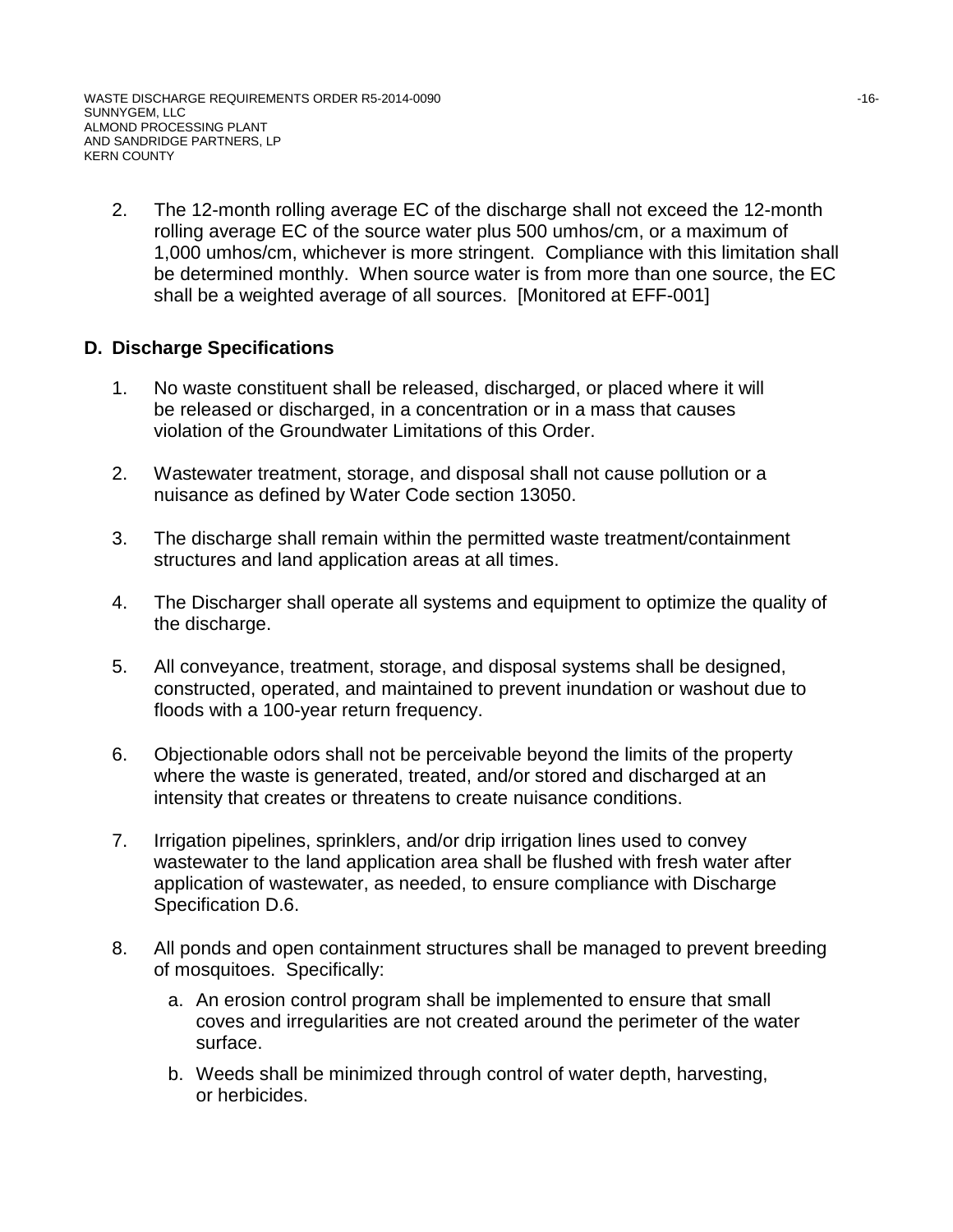2. The 12-month rolling average EC of the discharge shall not exceed the 12-month rolling average EC of the source water plus 500 umhos/cm, or a maximum of 1,000 umhos/cm, whichever is more stringent. Compliance with this limitation shall be determined monthly. When source water is from more than one source, the EC shall be a weighted average of all sources. [Monitored at EFF-001]

## **D. Discharge Specifications**

- 1. No waste constituent shall be released, discharged, or placed where it will be released or discharged, in a concentration or in a mass that causes violation of the Groundwater Limitations of this Order.
- 2. Wastewater treatment, storage, and disposal shall not cause pollution or a nuisance as defined by Water Code section 13050.
- 3. The discharge shall remain within the permitted waste treatment/containment structures and land application areas at all times.
- 4. The Discharger shall operate all systems and equipment to optimize the quality of the discharge.
- 5. All conveyance, treatment, storage, and disposal systems shall be designed, constructed, operated, and maintained to prevent inundation or washout due to floods with a 100-year return frequency.
- 6. Objectionable odors shall not be perceivable beyond the limits of the property where the waste is generated, treated, and/or stored and discharged at an intensity that creates or threatens to create nuisance conditions.
- 7. Irrigation pipelines, sprinklers, and/or drip irrigation lines used to convey wastewater to the land application area shall be flushed with fresh water after application of wastewater, as needed, to ensure compliance with Discharge Specification D.6.
- 8. All ponds and open containment structures shall be managed to prevent breeding of mosquitoes. Specifically:
	- a. An erosion control program shall be implemented to ensure that small coves and irregularities are not created around the perimeter of the water surface.
	- b. Weeds shall be minimized through control of water depth, harvesting, or herbicides.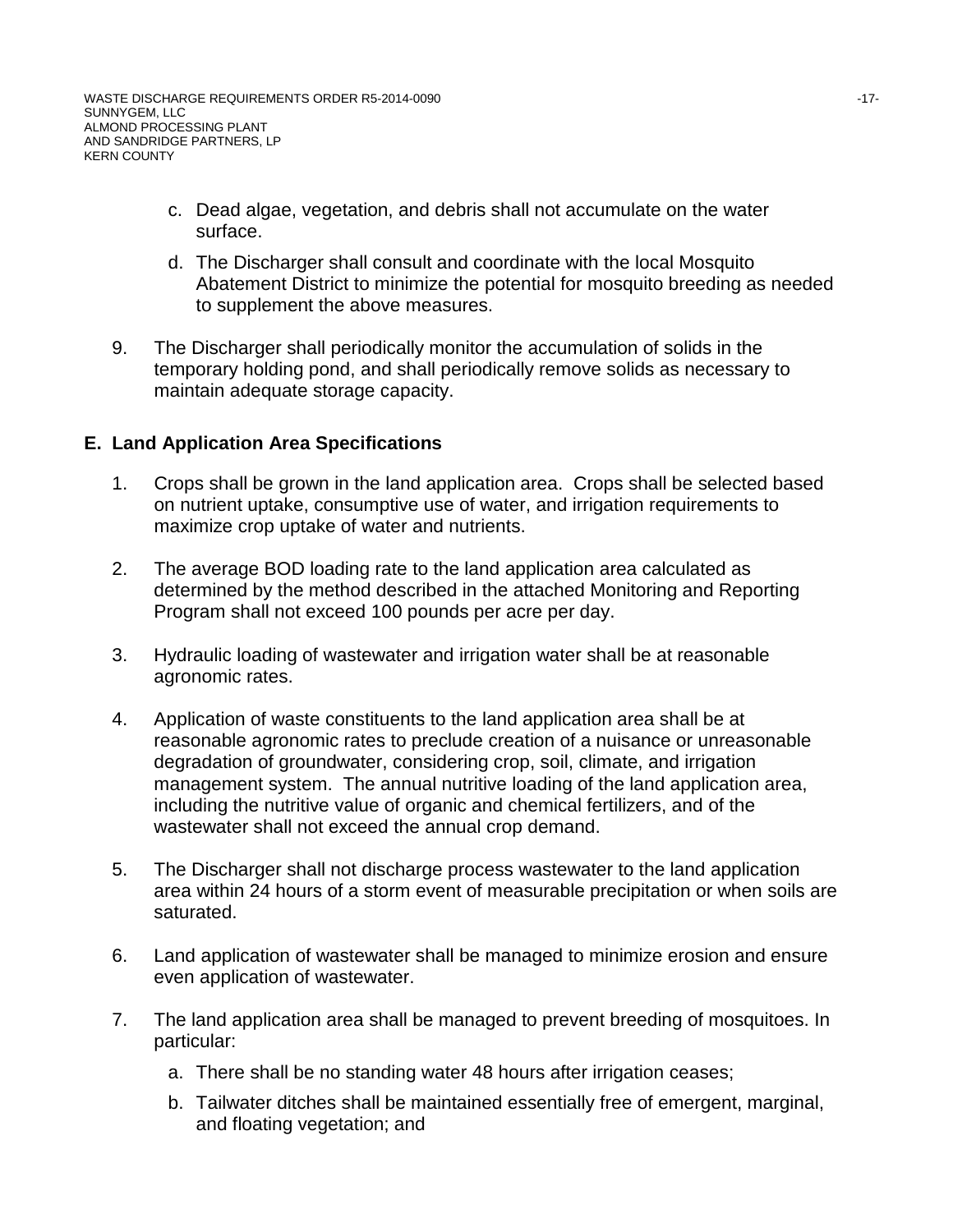- c. Dead algae, vegetation, and debris shall not accumulate on the water surface.
- d. The Discharger shall consult and coordinate with the local Mosquito Abatement District to minimize the potential for mosquito breeding as needed to supplement the above measures.
- 9. The Discharger shall periodically monitor the accumulation of solids in the temporary holding pond, and shall periodically remove solids as necessary to maintain adequate storage capacity.

## **E. Land Application Area Specifications**

- 1. Crops shall be grown in the land application area. Crops shall be selected based on nutrient uptake, consumptive use of water, and irrigation requirements to maximize crop uptake of water and nutrients.
- 2. The average BOD loading rate to the land application area calculated as determined by the method described in the attached Monitoring and Reporting Program shall not exceed 100 pounds per acre per day.
- 3. Hydraulic loading of wastewater and irrigation water shall be at reasonable agronomic rates.
- 4. Application of waste constituents to the land application area shall be at reasonable agronomic rates to preclude creation of a nuisance or unreasonable degradation of groundwater, considering crop, soil, climate, and irrigation management system. The annual nutritive loading of the land application area, including the nutritive value of organic and chemical fertilizers, and of the wastewater shall not exceed the annual crop demand.
- 5. The Discharger shall not discharge process wastewater to the land application area within 24 hours of a storm event of measurable precipitation or when soils are saturated.
- 6. Land application of wastewater shall be managed to minimize erosion and ensure even application of wastewater.
- 7. The land application area shall be managed to prevent breeding of mosquitoes. In particular:
	- a. There shall be no standing water 48 hours after irrigation ceases;
	- b. Tailwater ditches shall be maintained essentially free of emergent, marginal, and floating vegetation; and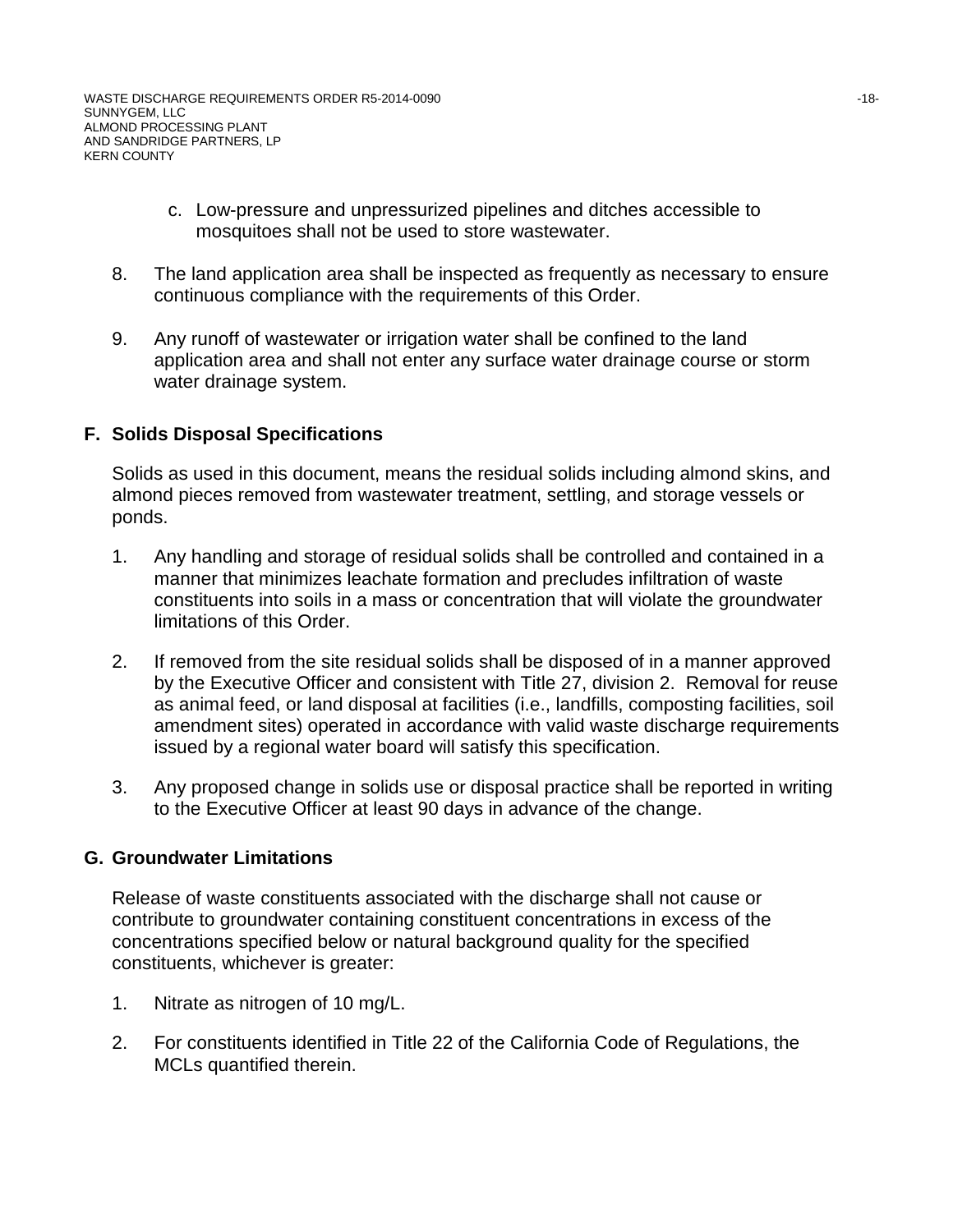- c. Low-pressure and unpressurized pipelines and ditches accessible to mosquitoes shall not be used to store wastewater.
- 8. The land application area shall be inspected as frequently as necessary to ensure continuous compliance with the requirements of this Order.
- 9. Any runoff of wastewater or irrigation water shall be confined to the land application area and shall not enter any surface water drainage course or storm water drainage system.

## **F. Solids Disposal Specifications**

Solids as used in this document, means the residual solids including almond skins, and almond pieces removed from wastewater treatment, settling, and storage vessels or ponds.

- 1. Any handling and storage of residual solids shall be controlled and contained in a manner that minimizes leachate formation and precludes infiltration of waste constituents into soils in a mass or concentration that will violate the groundwater limitations of this Order.
- 2. If removed from the site residual solids shall be disposed of in a manner approved by the Executive Officer and consistent with Title 27, division 2. Removal for reuse as animal feed, or land disposal at facilities (i.e., landfills, composting facilities, soil amendment sites) operated in accordance with valid waste discharge requirements issued by a regional water board will satisfy this specification.
- 3. Any proposed change in solids use or disposal practice shall be reported in writing to the Executive Officer at least 90 days in advance of the change.

#### **G. Groundwater Limitations**

Release of waste constituents associated with the discharge shall not cause or contribute to groundwater containing constituent concentrations in excess of the concentrations specified below or natural background quality for the specified constituents, whichever is greater:

- 1. Nitrate as nitrogen of 10 mg/L.
- 2. For constituents identified in Title 22 of the California Code of Regulations, the MCLs quantified therein.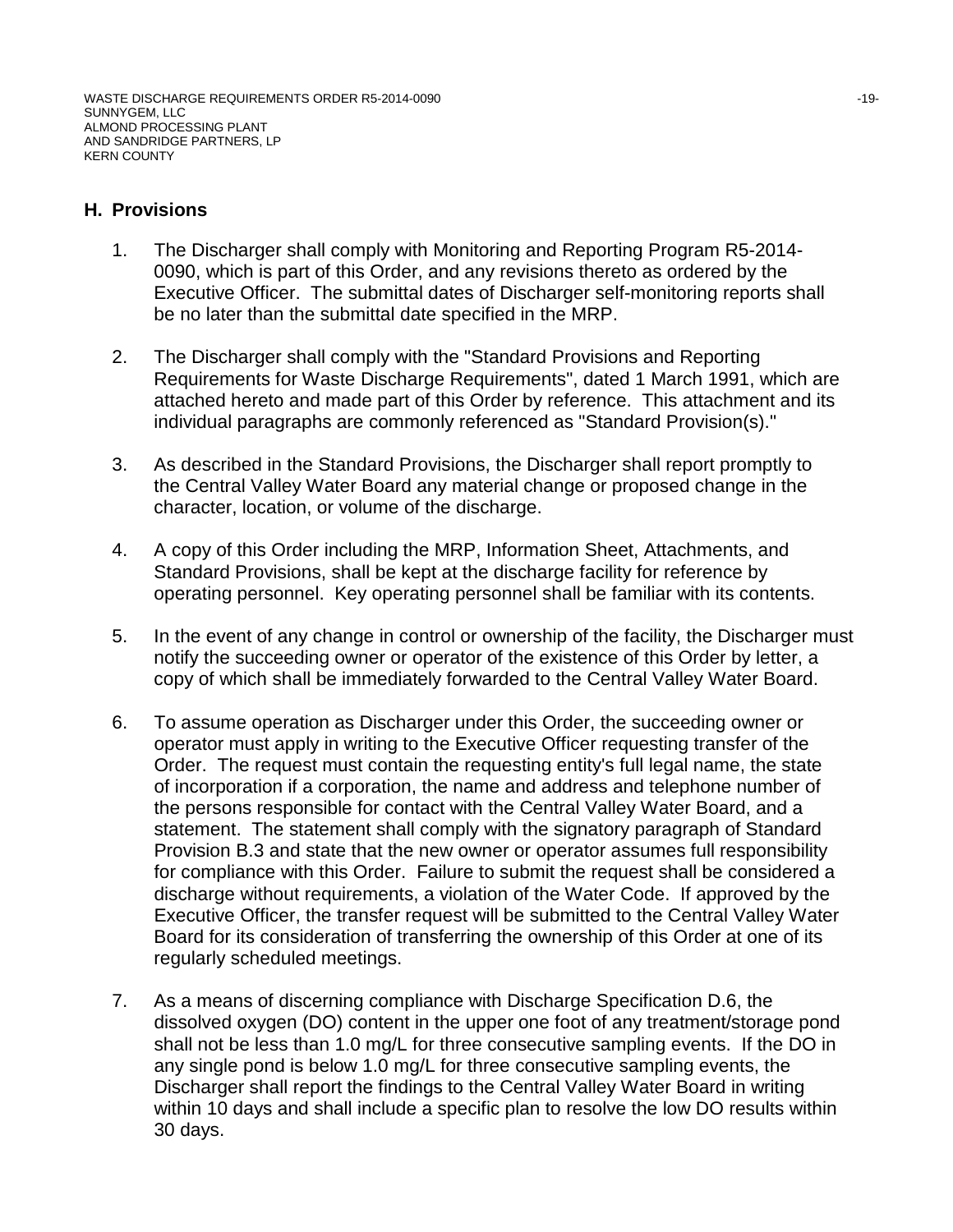## **H. Provisions**

- 1. The Discharger shall comply with Monitoring and Reporting Program R5-2014- 0090, which is part of this Order, and any revisions thereto as ordered by the Executive Officer. The submittal dates of Discharger self-monitoring reports shall be no later than the submittal date specified in the MRP.
- 2. The Discharger shall comply with the "Standard Provisions and Reporting Requirements for Waste Discharge Requirements", dated 1 March 1991, which are attached hereto and made part of this Order by reference. This attachment and its individual paragraphs are commonly referenced as "Standard Provision(s)."
- 3. As described in the Standard Provisions, the Discharger shall report promptly to the Central Valley Water Board any material change or proposed change in the character, location, or volume of the discharge.
- 4. A copy of this Order including the MRP, Information Sheet, Attachments, and Standard Provisions, shall be kept at the discharge facility for reference by operating personnel. Key operating personnel shall be familiar with its contents.
- 5. In the event of any change in control or ownership of the facility, the Discharger must notify the succeeding owner or operator of the existence of this Order by letter, a copy of which shall be immediately forwarded to the Central Valley Water Board.
- 6. To assume operation as Discharger under this Order, the succeeding owner or operator must apply in writing to the Executive Officer requesting transfer of the Order. The request must contain the requesting entity's full legal name, the state of incorporation if a corporation, the name and address and telephone number of the persons responsible for contact with the Central Valley Water Board, and a statement. The statement shall comply with the signatory paragraph of Standard Provision B.3 and state that the new owner or operator assumes full responsibility for compliance with this Order. Failure to submit the request shall be considered a discharge without requirements, a violation of the Water Code. If approved by the Executive Officer, the transfer request will be submitted to the Central Valley Water Board for its consideration of transferring the ownership of this Order at one of its regularly scheduled meetings.
- 7. As a means of discerning compliance with Discharge Specification D.6, the dissolved oxygen (DO) content in the upper one foot of any treatment/storage pond shall not be less than 1.0 mg/L for three consecutive sampling events. If the DO in any single pond is below 1.0 mg/L for three consecutive sampling events, the Discharger shall report the findings to the Central Valley Water Board in writing within 10 days and shall include a specific plan to resolve the low DO results within 30 days.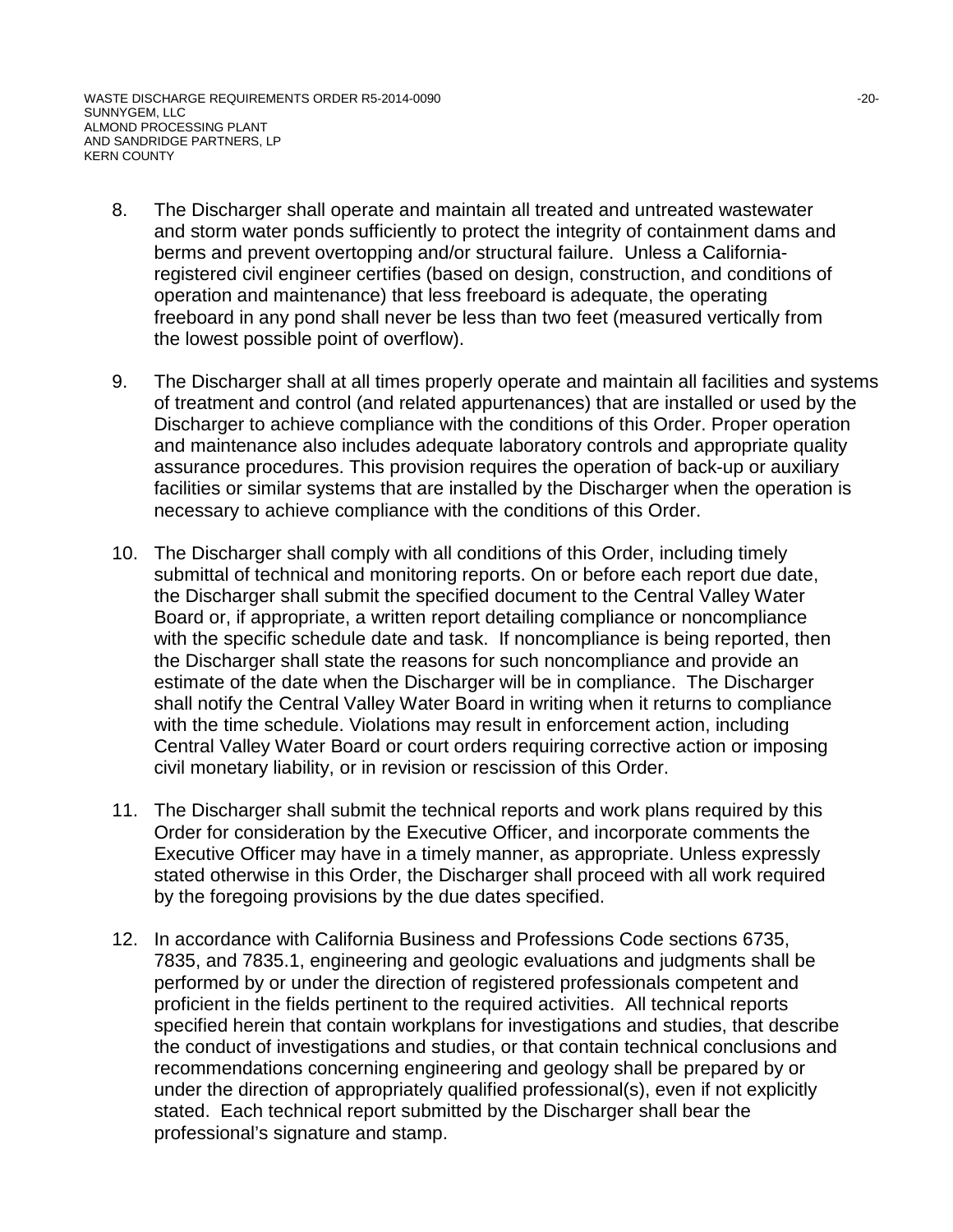WASTE DISCHARGE REQUIREMENTS ORDER R5-2014-0090  $-20$ -20-SUNNYGEM, LLC ALMOND PROCESSING PLANT AND SANDRIDGE PARTNERS, LP KERN COUNTY

- 8. The Discharger shall operate and maintain all treated and untreated wastewater and storm water ponds sufficiently to protect the integrity of containment dams and berms and prevent overtopping and/or structural failure. Unless a Californiaregistered civil engineer certifies (based on design, construction, and conditions of operation and maintenance) that less freeboard is adequate, the operating freeboard in any pond shall never be less than two feet (measured vertically from the lowest possible point of overflow).
- 9. The Discharger shall at all times properly operate and maintain all facilities and systems of treatment and control (and related appurtenances) that are installed or used by the Discharger to achieve compliance with the conditions of this Order. Proper operation and maintenance also includes adequate laboratory controls and appropriate quality assurance procedures. This provision requires the operation of back-up or auxiliary facilities or similar systems that are installed by the Discharger when the operation is necessary to achieve compliance with the conditions of this Order.
- 10. The Discharger shall comply with all conditions of this Order, including timely submittal of technical and monitoring reports. On or before each report due date, the Discharger shall submit the specified document to the Central Valley Water Board or, if appropriate, a written report detailing compliance or noncompliance with the specific schedule date and task. If noncompliance is being reported, then the Discharger shall state the reasons for such noncompliance and provide an estimate of the date when the Discharger will be in compliance. The Discharger shall notify the Central Valley Water Board in writing when it returns to compliance with the time schedule. Violations may result in enforcement action, including Central Valley Water Board or court orders requiring corrective action or imposing civil monetary liability, or in revision or rescission of this Order.
- 11. The Discharger shall submit the technical reports and work plans required by this Order for consideration by the Executive Officer, and incorporate comments the Executive Officer may have in a timely manner, as appropriate. Unless expressly stated otherwise in this Order, the Discharger shall proceed with all work required by the foregoing provisions by the due dates specified.
- 12. In accordance with California Business and Professions Code sections 6735, 7835, and 7835.1, engineering and geologic evaluations and judgments shall be performed by or under the direction of registered professionals competent and proficient in the fields pertinent to the required activities. All technical reports specified herein that contain workplans for investigations and studies, that describe the conduct of investigations and studies, or that contain technical conclusions and recommendations concerning engineering and geology shall be prepared by or under the direction of appropriately qualified professional(s), even if not explicitly stated. Each technical report submitted by the Discharger shall bear the professional's signature and stamp.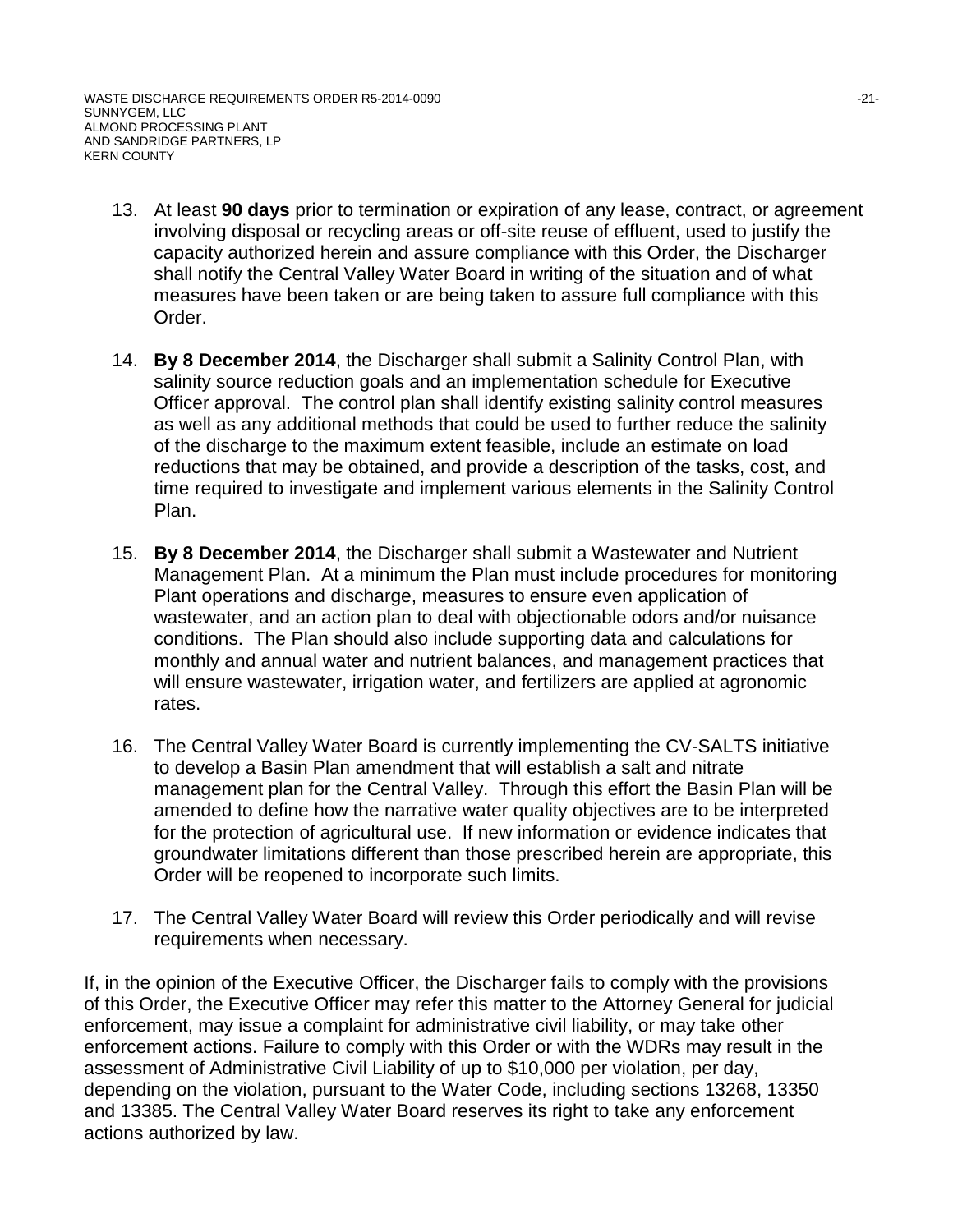WASTE DISCHARGE REQUIREMENTS ORDER R5-2014-0090  $-21$ -21-SUNNYGEM, LLC ALMOND PROCESSING PLANT AND SANDRIDGE PARTNERS, LP KERN COUNTY

- 13. At least **90 days** prior to termination or expiration of any lease, contract, or agreement involving disposal or recycling areas or off-site reuse of effluent, used to justify the capacity authorized herein and assure compliance with this Order, the Discharger shall notify the Central Valley Water Board in writing of the situation and of what measures have been taken or are being taken to assure full compliance with this Order.
- 14. **By 8 December 2014**, the Discharger shall submit a Salinity Control Plan, with salinity source reduction goals and an implementation schedule for Executive Officer approval. The control plan shall identify existing salinity control measures as well as any additional methods that could be used to further reduce the salinity of the discharge to the maximum extent feasible, include an estimate on load reductions that may be obtained, and provide a description of the tasks, cost, and time required to investigate and implement various elements in the Salinity Control Plan.
- 15. **By 8 December 2014**, the Discharger shall submit a Wastewater and Nutrient Management Plan. At a minimum the Plan must include procedures for monitoring Plant operations and discharge, measures to ensure even application of wastewater, and an action plan to deal with objectionable odors and/or nuisance conditions. The Plan should also include supporting data and calculations for monthly and annual water and nutrient balances, and management practices that will ensure wastewater, irrigation water, and fertilizers are applied at agronomic rates.
- 16. The Central Valley Water Board is currently implementing the CV-SALTS initiative to develop a Basin Plan amendment that will establish a salt and nitrate management plan for the Central Valley. Through this effort the Basin Plan will be amended to define how the narrative water quality objectives are to be interpreted for the protection of agricultural use. If new information or evidence indicates that groundwater limitations different than those prescribed herein are appropriate, this Order will be reopened to incorporate such limits.
- 17. The Central Valley Water Board will review this Order periodically and will revise requirements when necessary.

If, in the opinion of the Executive Officer, the Discharger fails to comply with the provisions of this Order, the Executive Officer may refer this matter to the Attorney General for judicial enforcement, may issue a complaint for administrative civil liability, or may take other enforcement actions. Failure to comply with this Order or with the WDRs may result in the assessment of Administrative Civil Liability of up to \$10,000 per violation, per day, depending on the violation, pursuant to the Water Code, including sections 13268, 13350 and 13385. The Central Valley Water Board reserves its right to take any enforcement actions authorized by law.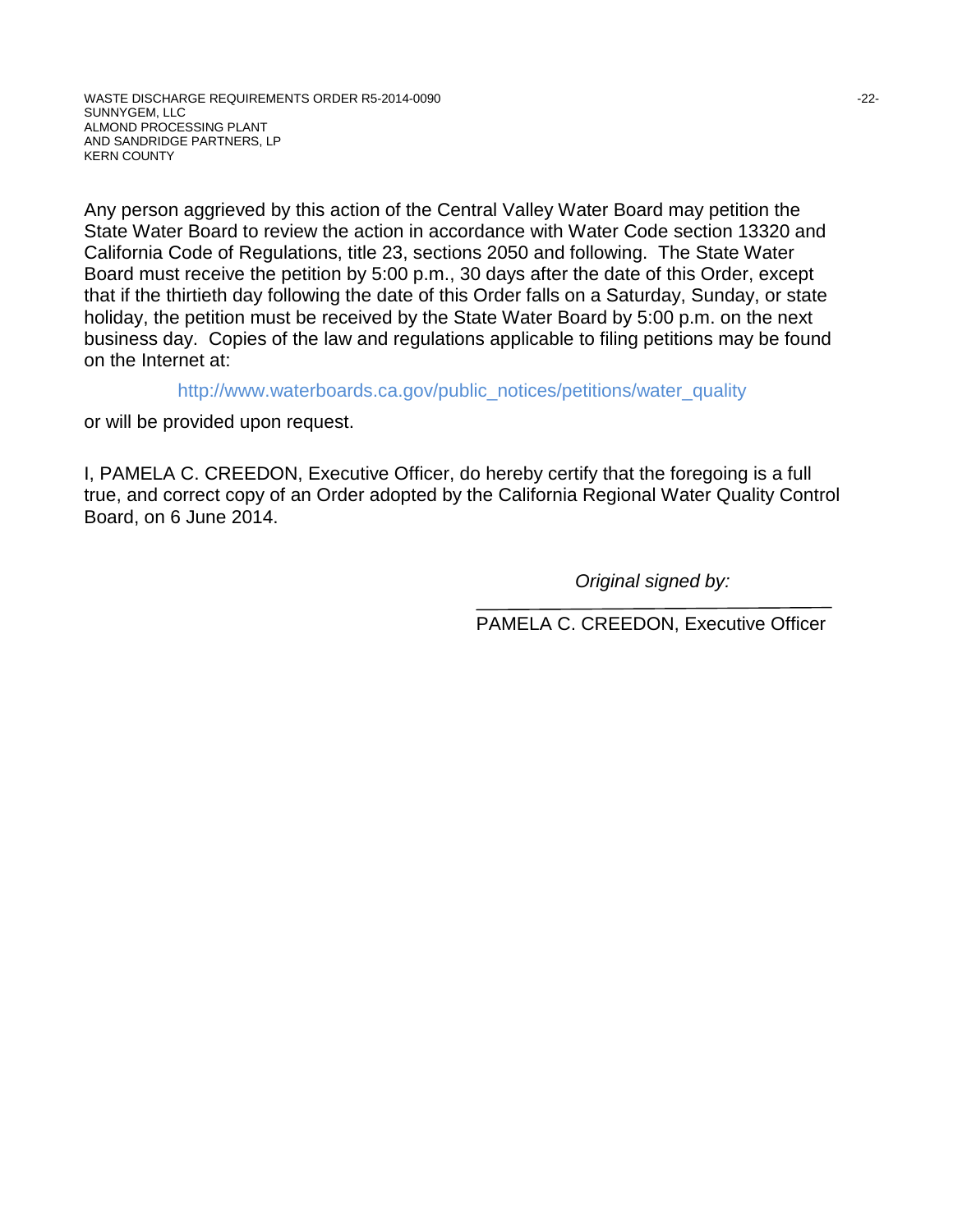Any person aggrieved by this action of the Central Valley Water Board may petition the State Water Board to review the action in accordance with Water Code section 13320 and California Code of Regulations, title 23, sections 2050 and following. The State Water Board must receive the petition by 5:00 p.m., 30 days after the date of this Order, except that if the thirtieth day following the date of this Order falls on a Saturday, Sunday, or state holiday, the petition must be received by the State Water Board by 5:00 p.m. on the next business day. Copies of the law and regulations applicable to filing petitions may be found on the Internet at:

http://www.waterboards.ca.gov/public\_notices/petitions/water\_quality

or will be provided upon request.

I, PAMELA C. CREEDON, Executive Officer, do hereby certify that the foregoing is a full true, and correct copy of an Order adopted by the California Regional Water Quality Control Board, on 6 June 2014.

*Original signed by:*

PAMELA C. CREEDON, Executive Officer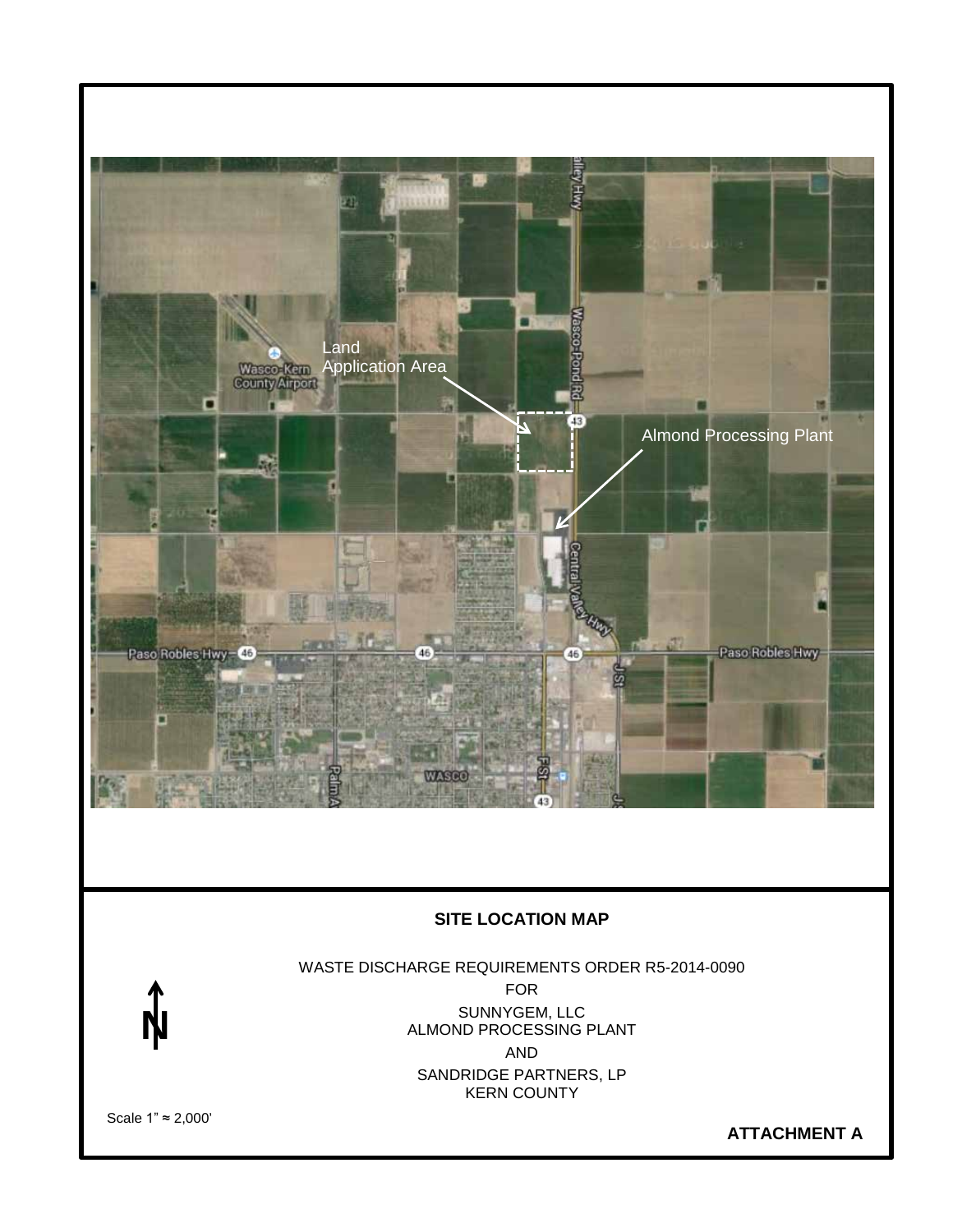

# **SITE LOCATION MAP**

WASTE DISCHARGE REQUIREMENTS ORDER R5-2014-0090 FOR SUNNYGEM, LLC ALMOND PROCESSING PLANT AND SANDRIDGE PARTNERS, LP KERN COUNTY

Scale 1" ≈ 2,000'

**N**

**ATTACHMENT A**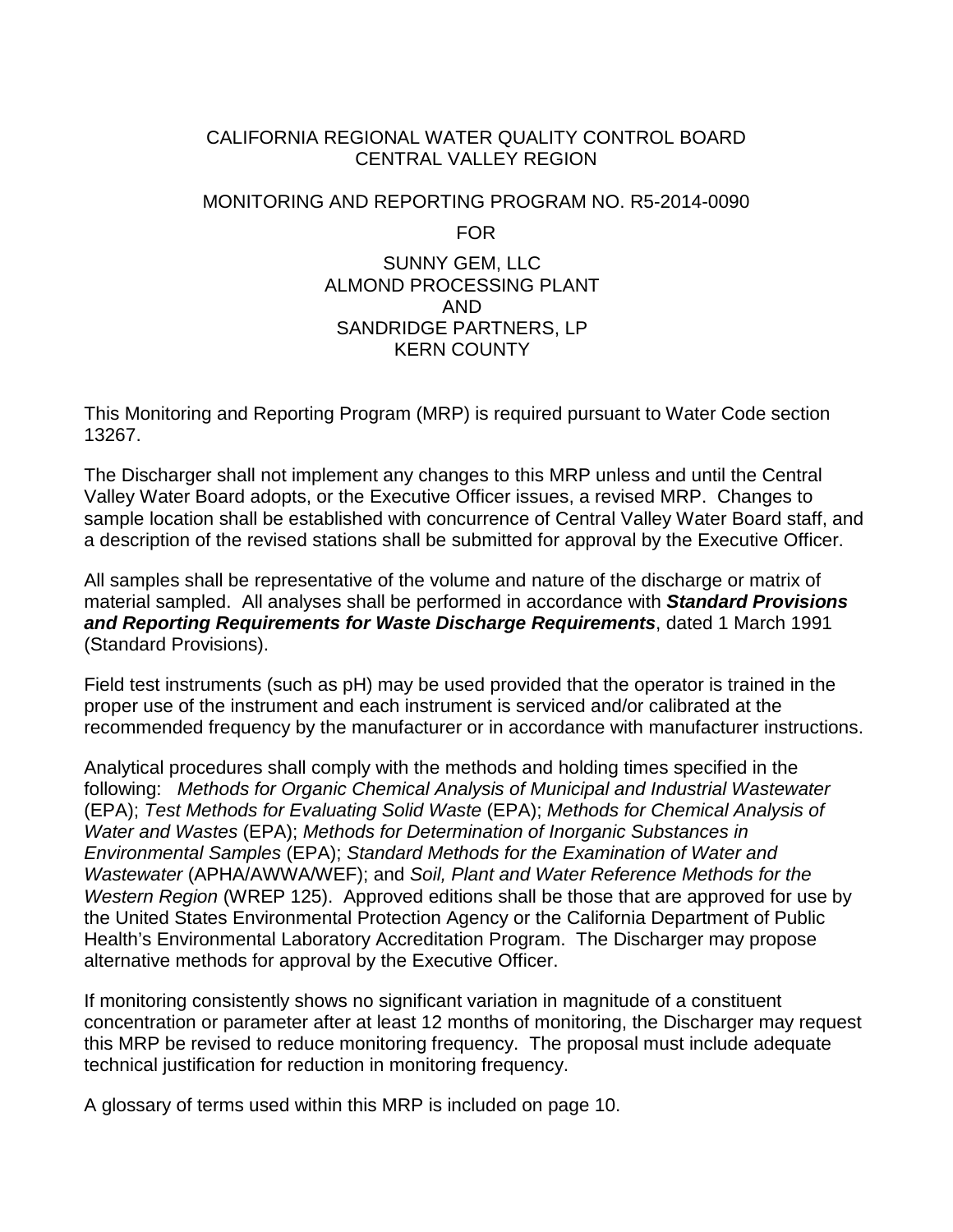#### CALIFORNIA REGIONAL WATER QUALITY CONTROL BOARD CENTRAL VALLEY REGION

#### MONITORING AND REPORTING PROGRAM NO. R5-2014-0090

FOR

# SUNNY GEM, LLC ALMOND PROCESSING PLANT AND SANDRIDGE PARTNERS, LP KERN COUNTY

This Monitoring and Reporting Program (MRP) is required pursuant to Water Code section 13267.

The Discharger shall not implement any changes to this MRP unless and until the Central Valley Water Board adopts, or the Executive Officer issues, a revised MRP. Changes to sample location shall be established with concurrence of Central Valley Water Board staff, and a description of the revised stations shall be submitted for approval by the Executive Officer.

All samples shall be representative of the volume and nature of the discharge or matrix of material sampled. All analyses shall be performed in accordance with *Standard Provisions and Reporting Requirements for Waste Discharge Requirements*, dated 1 March 1991 (Standard Provisions).

Field test instruments (such as pH) may be used provided that the operator is trained in the proper use of the instrument and each instrument is serviced and/or calibrated at the recommended frequency by the manufacturer or in accordance with manufacturer instructions.

Analytical procedures shall comply with the methods and holding times specified in the following: *Methods for Organic Chemical Analysis of Municipal and Industrial Wastewater* (EPA); *Test Methods for Evaluating Solid Waste* (EPA); *Methods for Chemical Analysis of Water and Wastes* (EPA); *Methods for Determination of Inorganic Substances in Environmental Samples* (EPA); *Standard Methods for the Examination of Water and Wastewater* (APHA/AWWA/WEF); and *Soil, Plant and Water Reference Methods for the Western Region* (WREP 125). Approved editions shall be those that are approved for use by the United States Environmental Protection Agency or the California Department of Public Health's Environmental Laboratory Accreditation Program. The Discharger may propose alternative methods for approval by the Executive Officer.

If monitoring consistently shows no significant variation in magnitude of a constituent concentration or parameter after at least 12 months of monitoring, the Discharger may request this MRP be revised to reduce monitoring frequency. The proposal must include adequate technical justification for reduction in monitoring frequency.

A glossary of terms used within this MRP is included on page 10.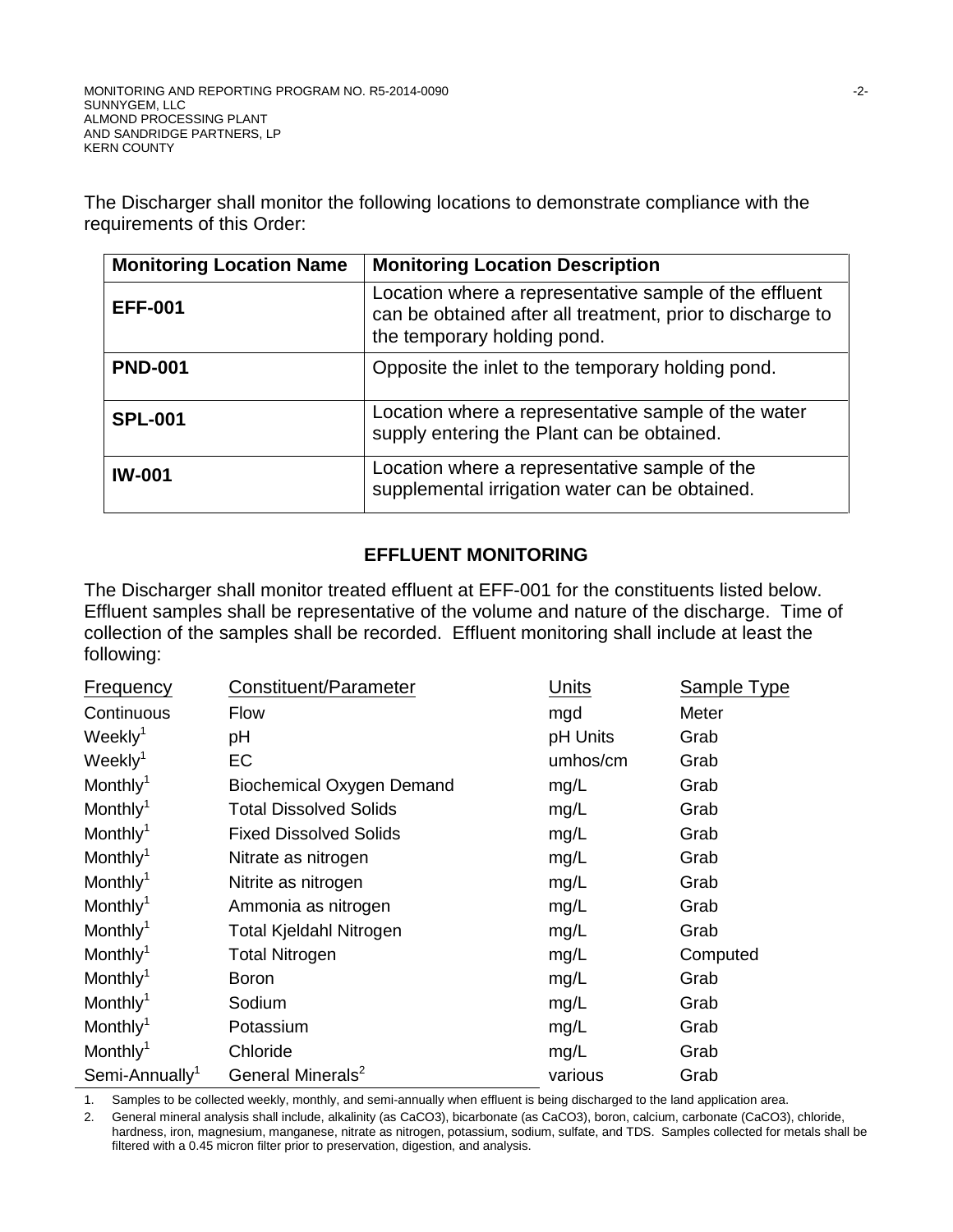The Discharger shall monitor the following locations to demonstrate compliance with the requirements of this Order:

| <b>Monitoring Location Name</b> | <b>Monitoring Location Description</b>                                                                                                              |
|---------------------------------|-----------------------------------------------------------------------------------------------------------------------------------------------------|
| <b>EFF-001</b>                  | Location where a representative sample of the effluent<br>can be obtained after all treatment, prior to discharge to<br>the temporary holding pond. |
| <b>PND-001</b>                  | Opposite the inlet to the temporary holding pond.                                                                                                   |
| <b>SPL-001</b>                  | Location where a representative sample of the water<br>supply entering the Plant can be obtained.                                                   |
| <b>IW-001</b>                   | Location where a representative sample of the<br>supplemental irrigation water can be obtained.                                                     |

# **EFFLUENT MONITORING**

The Discharger shall monitor treated effluent at EFF-001 for the constituents listed below. Effluent samples shall be representative of the volume and nature of the discharge. Time of collection of the samples shall be recorded. Effluent monitoring shall include at least the following:

| <b>Frequency</b>           | Constituent/Parameter            | Units    | Sample Type |
|----------------------------|----------------------------------|----------|-------------|
| Continuous                 | <b>Flow</b>                      | mgd      | Meter       |
| Weekly <sup>1</sup>        | pH                               | pH Units | Grab        |
| Weekly <sup>1</sup>        | EC                               | umhos/cm | Grab        |
| Monthly <sup>1</sup>       | <b>Biochemical Oxygen Demand</b> | mg/L     | Grab        |
| Monthly <sup>1</sup>       | <b>Total Dissolved Solids</b>    | mg/L     | Grab        |
| Monthly <sup>1</sup>       | <b>Fixed Dissolved Solids</b>    | mg/L     | Grab        |
| Monthly <sup>1</sup>       | Nitrate as nitrogen              | mg/L     | Grab        |
| Monthly <sup>1</sup>       | Nitrite as nitrogen              | mg/L     | Grab        |
| Monthly <sup>1</sup>       | Ammonia as nitrogen              | mg/L     | Grab        |
| Monthly <sup>1</sup>       | <b>Total Kjeldahl Nitrogen</b>   | mg/L     | Grab        |
| Monthly <sup>1</sup>       | <b>Total Nitrogen</b>            | mg/L     | Computed    |
| Monthly <sup>1</sup>       | <b>Boron</b>                     | mg/L     | Grab        |
| Monthly <sup>1</sup>       | Sodium                           | mg/L     | Grab        |
| Monthly <sup>1</sup>       | Potassium                        | mg/L     | Grab        |
| Monthly <sup>1</sup>       | Chloride                         | mg/L     | Grab        |
| Semi-Annually <sup>1</sup> | General Minerals <sup>2</sup>    | various  | Grab        |

1. Samples to be collected weekly, monthly, and semi-annually when effluent is being discharged to the land application area.

2. General mineral analysis shall include, alkalinity (as CaCO3), bicarbonate (as CaCO3), boron, calcium, carbonate (CaCO3), chloride, hardness, iron, magnesium, manganese, nitrate as nitrogen, potassium, sodium, sulfate, and TDS. Samples collected for metals shall be filtered with a 0.45 micron filter prior to preservation, digestion, and analysis.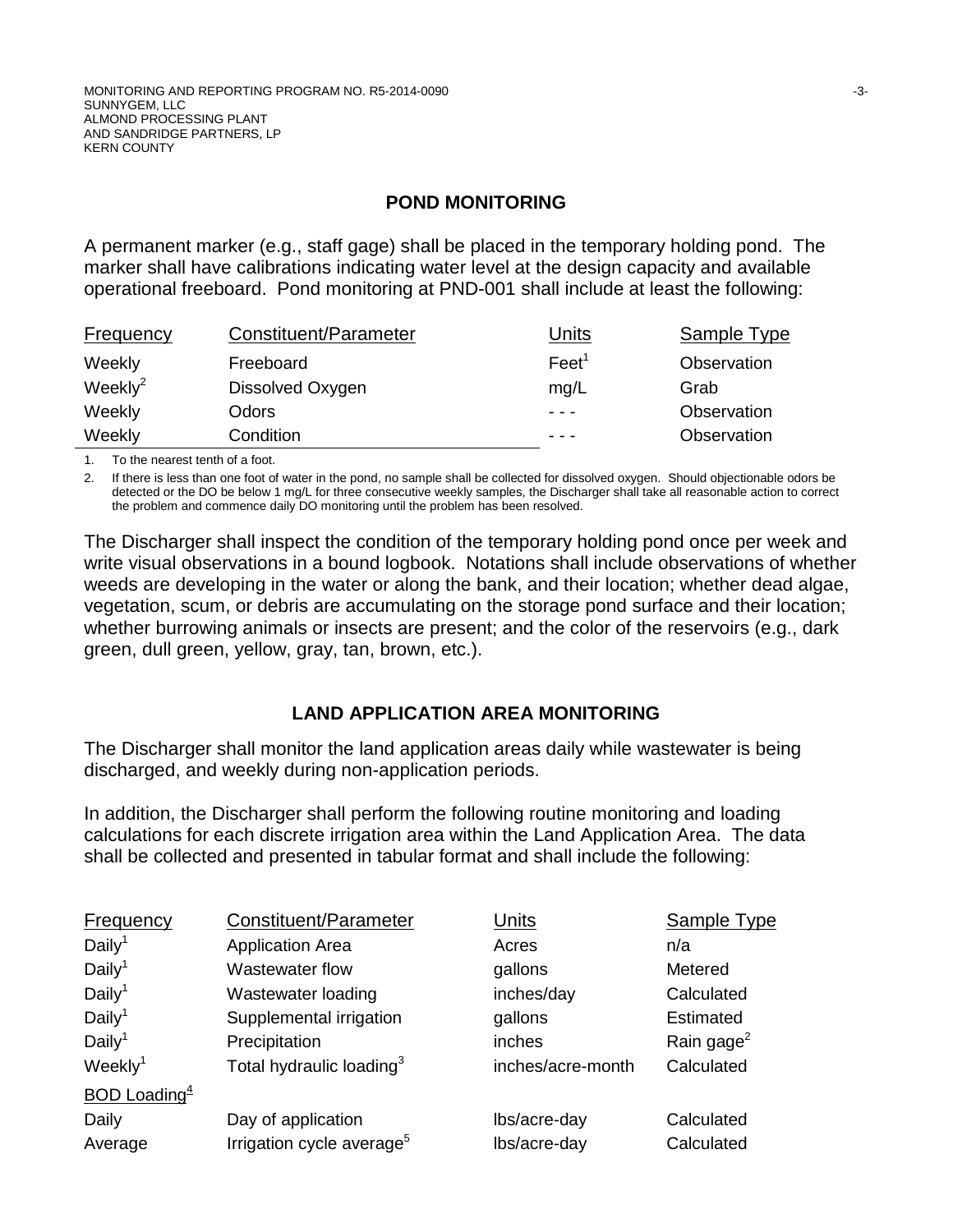#### **POND MONITORING**

A permanent marker (e.g., staff gage) shall be placed in the temporary holding pond. The marker shall have calibrations indicating water level at the design capacity and available operational freeboard. Pond monitoring at PND-001 shall include at least the following:

| Frequency   | Constituent/Parameter | Units           | Sample Type |
|-------------|-----------------------|-----------------|-------------|
| Weekly      | Freeboard             | $\text{Fe}et^1$ | Observation |
| Weekly $^2$ | Dissolved Oxygen      | mq/L            | Grab        |
| Weekly      | Odors                 | $- - -$         | Observation |
| Weekly      | Condition             | $\frac{1}{2}$   | Observation |

1. To the nearest tenth of a foot.

2. If there is less than one foot of water in the pond, no sample shall be collected for dissolved oxygen. Should objectionable odors be detected or the DO be below 1 mg/L for three consecutive weekly samples, the Discharger shall take all reasonable action to correct the problem and commence daily DO monitoring until the problem has been resolved.

The Discharger shall inspect the condition of the temporary holding pond once per week and write visual observations in a bound logbook. Notations shall include observations of whether weeds are developing in the water or along the bank, and their location; whether dead algae, vegetation, scum, or debris are accumulating on the storage pond surface and their location; whether burrowing animals or insects are present; and the color of the reservoirs (e.g., dark green, dull green, yellow, gray, tan, brown, etc.).

# **LAND APPLICATION AREA MONITORING**

The Discharger shall monitor the land application areas daily while wastewater is being discharged, and weekly during non-application periods.

In addition, the Discharger shall perform the following routine monitoring and loading calculations for each discrete irrigation area within the Land Application Area. The data shall be collected and presented in tabular format and shall include the following:

| Frequency           | Constituent/Parameter                 | Units             | Sample Type            |
|---------------------|---------------------------------------|-------------------|------------------------|
| Daily <sup>1</sup>  | <b>Application Area</b>               | Acres             | n/a                    |
| Daily <sup>1</sup>  | <b>Wastewater flow</b>                | gallons           | Metered                |
| Daily <sup>1</sup>  | Wastewater loading                    | inches/day        | Calculated             |
| Daily <sup>1</sup>  | Supplemental irrigation               | gallons           | Estimated              |
| Daily <sup>1</sup>  | Precipitation                         | inches            | Rain gage <sup>2</sup> |
| Weekly <sup>1</sup> | Total hydraulic loading <sup>3</sup>  | inches/acre-month | Calculated             |
| BOD Loading $4$     |                                       |                   |                        |
| Daily               | Day of application                    | lbs/acre-day      | Calculated             |
| Average             | Irrigation cycle average <sup>5</sup> | lbs/acre-day      | Calculated             |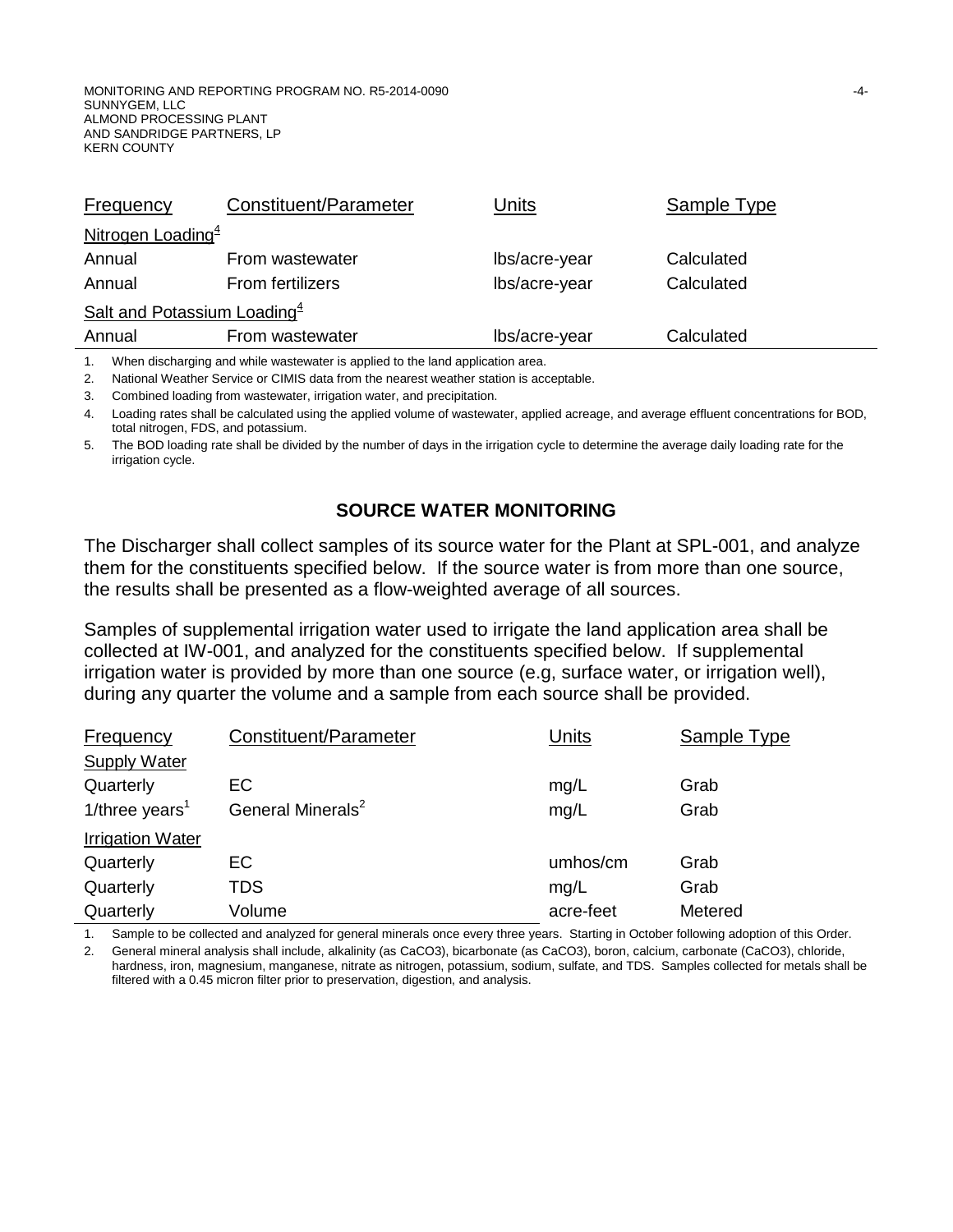| <b>Frequency</b>               | Constituent/Parameter   | Units         | <b>Sample Type</b> |  |
|--------------------------------|-------------------------|---------------|--------------------|--|
| Nitrogen Loading <sup>4</sup>  |                         |               |                    |  |
| Annual                         | From wastewater         | lbs/acre-year | Calculated         |  |
| Annual                         | <b>From fertilizers</b> | lbs/acre-year | Calculated         |  |
| Salt and Potassium Loading $4$ |                         |               |                    |  |
| Annual                         | From wastewater         | lbs/acre-year | Calculated         |  |

1. When discharging and while wastewater is applied to the land application area.

2. National Weather Service or CIMIS data from the nearest weather station is acceptable.

3. Combined loading from wastewater, irrigation water, and precipitation.

4. Loading rates shall be calculated using the applied volume of wastewater, applied acreage, and average effluent concentrations for BOD, total nitrogen, FDS, and potassium.

5. The BOD loading rate shall be divided by the number of days in the irrigation cycle to determine the average daily loading rate for the irrigation cycle.

#### **SOURCE WATER MONITORING**

The Discharger shall collect samples of its source water for the Plant at SPL-001, and analyze them for the constituents specified below. If the source water is from more than one source, the results shall be presented as a flow-weighted average of all sources.

Samples of supplemental irrigation water used to irrigate the land application area shall be collected at IW-001, and analyzed for the constituents specified below. If supplemental irrigation water is provided by more than one source (e.g, surface water, or irrigation well), during any quarter the volume and a sample from each source shall be provided.

| Frequency                  | Constituent/Parameter         | Units     | Sample Type |
|----------------------------|-------------------------------|-----------|-------------|
| <b>Supply Water</b>        |                               |           |             |
| Quarterly                  | EC                            | mg/L      | Grab        |
| 1/three years <sup>1</sup> | General Minerals <sup>2</sup> | mg/L      | Grab        |
| <b>Irrigation Water</b>    |                               |           |             |
| Quarterly                  | <b>EC</b>                     | umhos/cm  | Grab        |
| Quarterly                  | TDS                           | mg/L      | Grab        |
| Quarterly                  | Volume                        | acre-feet | Metered     |

1. Sample to be collected and analyzed for general minerals once every three years. Starting in October following adoption of this Order.

2. General mineral analysis shall include, alkalinity (as CaCO3), bicarbonate (as CaCO3), boron, calcium, carbonate (CaCO3), chloride, hardness, iron, magnesium, manganese, nitrate as nitrogen, potassium, sodium, sulfate, and TDS. Samples collected for metals shall be filtered with a 0.45 micron filter prior to preservation, digestion, and analysis.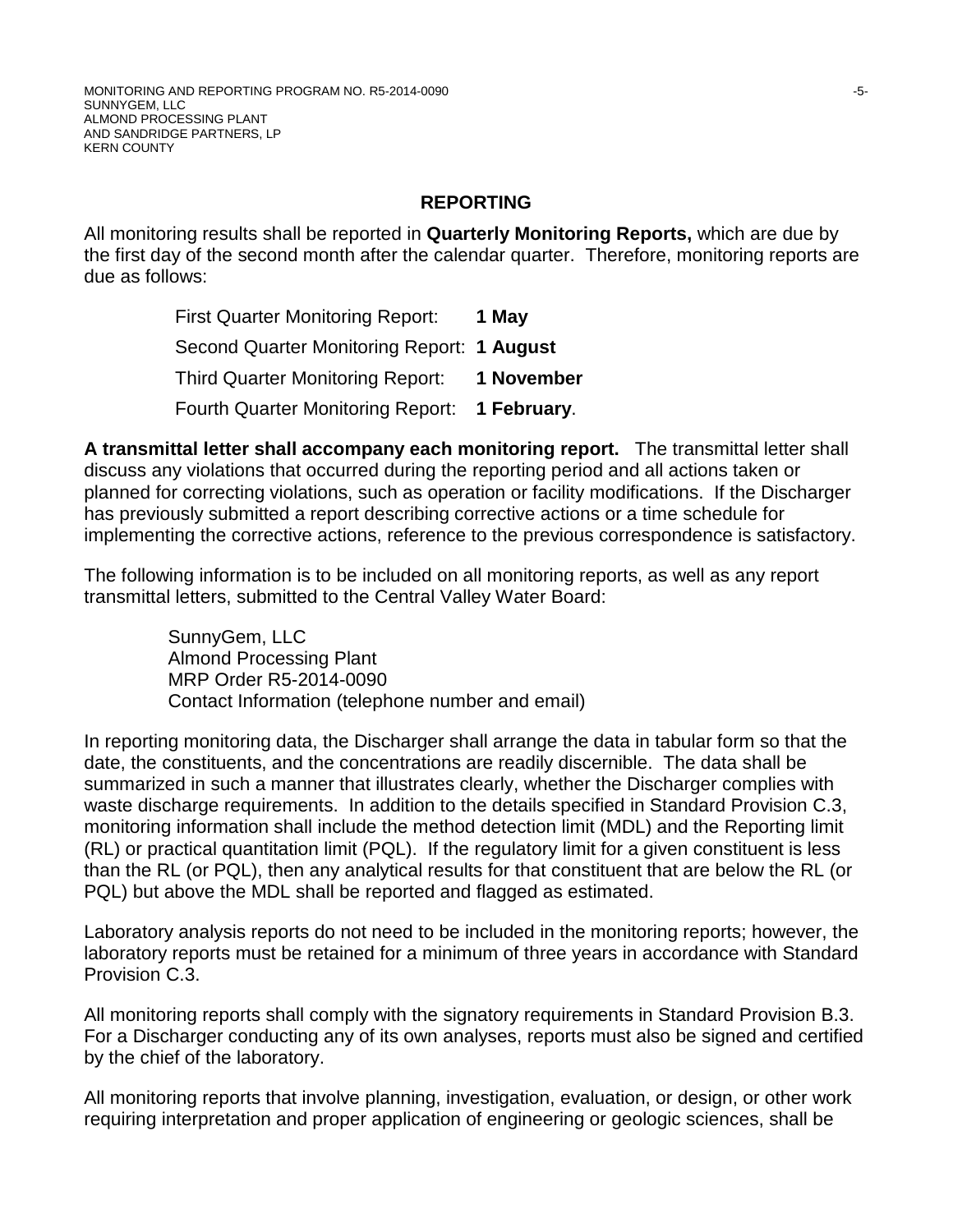#### **REPORTING**

All monitoring results shall be reported in **Quarterly Monitoring Reports,** which are due by the first day of the second month after the calendar quarter. Therefore, monitoring reports are due as follows:

> First Quarter Monitoring Report: **1 May** Second Quarter Monitoring Report: **1 August** Third Quarter Monitoring Report: **1 November** Fourth Quarter Monitoring Report: **1 February**.

**A transmittal letter shall accompany each monitoring report.** The transmittal letter shall discuss any violations that occurred during the reporting period and all actions taken or planned for correcting violations, such as operation or facility modifications. If the Discharger has previously submitted a report describing corrective actions or a time schedule for implementing the corrective actions, reference to the previous correspondence is satisfactory.

The following information is to be included on all monitoring reports, as well as any report transmittal letters, submitted to the Central Valley Water Board:

> SunnyGem, LLC Almond Processing Plant MRP Order R5-2014-0090 Contact Information (telephone number and email)

In reporting monitoring data, the Discharger shall arrange the data in tabular form so that the date, the constituents, and the concentrations are readily discernible. The data shall be summarized in such a manner that illustrates clearly, whether the Discharger complies with waste discharge requirements. In addition to the details specified in Standard Provision C.3, monitoring information shall include the method detection limit (MDL) and the Reporting limit (RL) or practical quantitation limit (PQL). If the regulatory limit for a given constituent is less than the RL (or PQL), then any analytical results for that constituent that are below the RL (or PQL) but above the MDL shall be reported and flagged as estimated.

Laboratory analysis reports do not need to be included in the monitoring reports; however, the laboratory reports must be retained for a minimum of three years in accordance with Standard Provision C.3.

All monitoring reports shall comply with the signatory requirements in Standard Provision B.3. For a Discharger conducting any of its own analyses, reports must also be signed and certified by the chief of the laboratory.

All monitoring reports that involve planning, investigation, evaluation, or design, or other work requiring interpretation and proper application of engineering or geologic sciences, shall be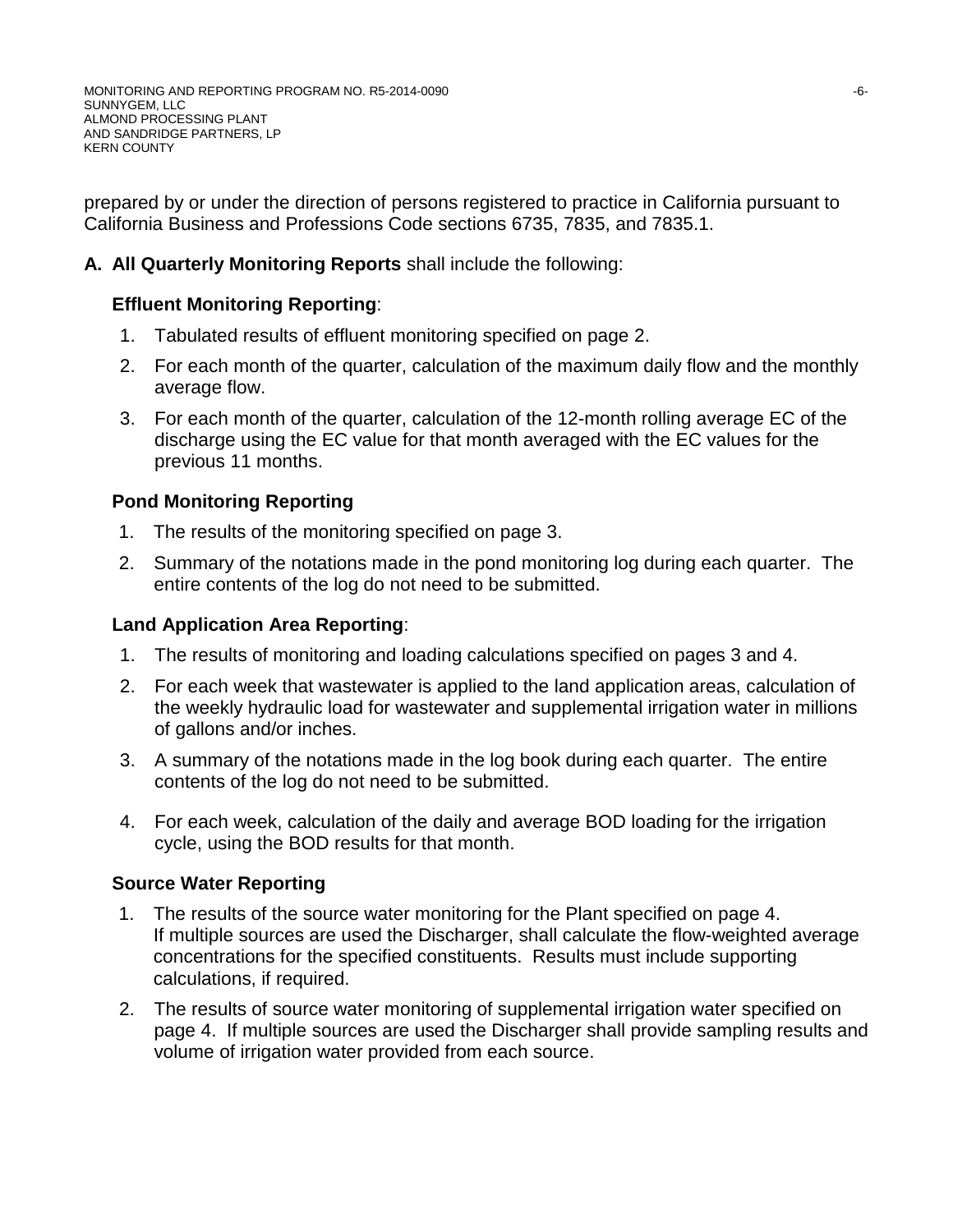prepared by or under the direction of persons registered to practice in California pursuant to California Business and Professions Code sections 6735, 7835, and 7835.1.

# **A. All Quarterly Monitoring Reports** shall include the following:

# **Effluent Monitoring Reporting**:

- 1. Tabulated results of effluent monitoring specified on page 2.
- 2. For each month of the quarter, calculation of the maximum daily flow and the monthly average flow.
- 3. For each month of the quarter, calculation of the 12-month rolling average EC of the discharge using the EC value for that month averaged with the EC values for the previous 11 months.

# **Pond Monitoring Reporting**

- 1. The results of the monitoring specified on page 3.
- 2. Summary of the notations made in the pond monitoring log during each quarter. The entire contents of the log do not need to be submitted.

# **Land Application Area Reporting**:

- 1. The results of monitoring and loading calculations specified on pages 3 and 4.
- 2. For each week that wastewater is applied to the land application areas, calculation of the weekly hydraulic load for wastewater and supplemental irrigation water in millions of gallons and/or inches.
- 3. A summary of the notations made in the log book during each quarter. The entire contents of the log do not need to be submitted.
- 4. For each week, calculation of the daily and average BOD loading for the irrigation cycle, using the BOD results for that month.

# **Source Water Reporting**

- 1. The results of the source water monitoring for the Plant specified on page 4. If multiple sources are used the Discharger, shall calculate the flow-weighted average concentrations for the specified constituents. Results must include supporting calculations, if required.
- 2. The results of source water monitoring of supplemental irrigation water specified on page 4. If multiple sources are used the Discharger shall provide sampling results and volume of irrigation water provided from each source.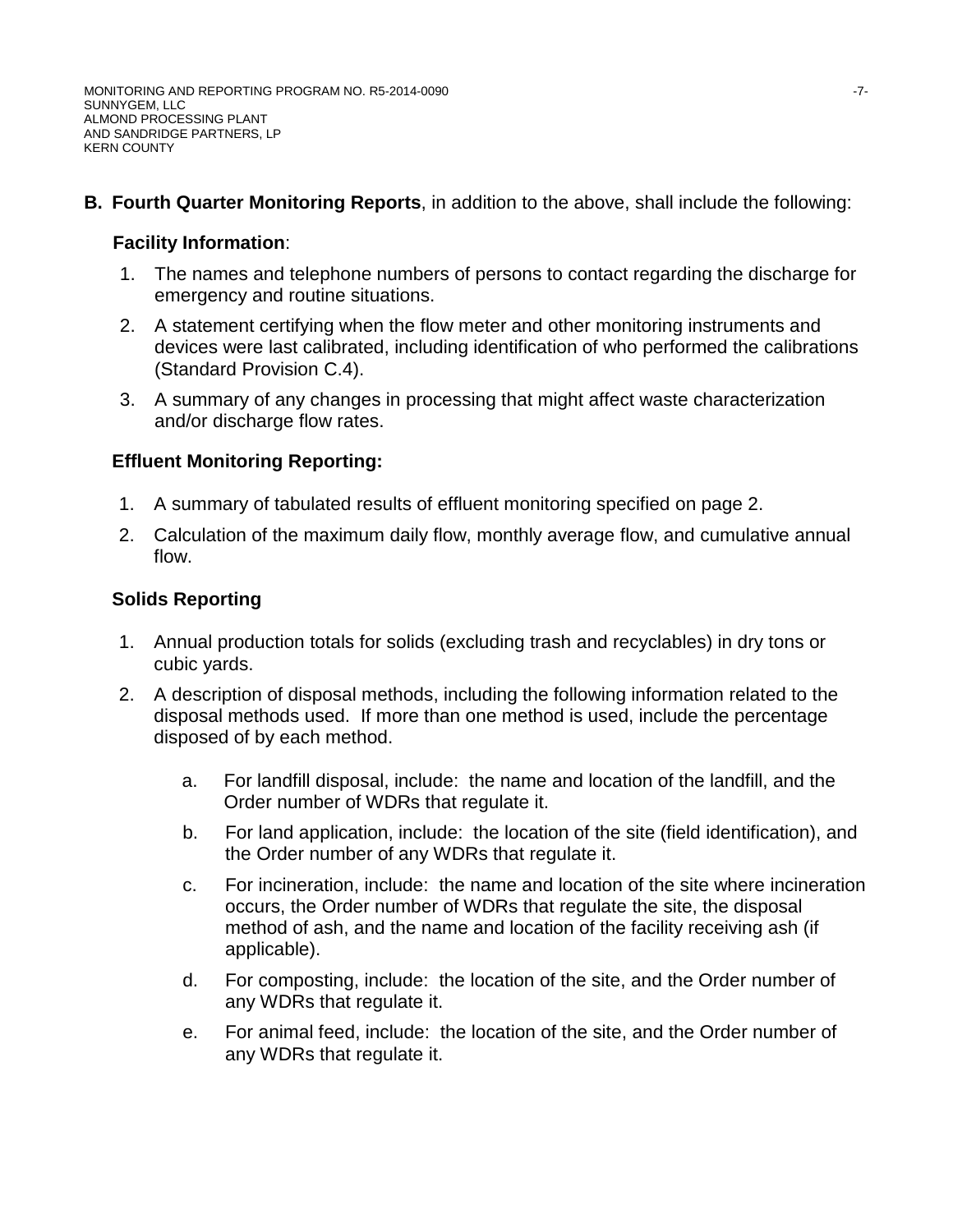# **B. Fourth Quarter Monitoring Reports**, in addition to the above, shall include the following:

## **Facility Information**:

- 1. The names and telephone numbers of persons to contact regarding the discharge for emergency and routine situations.
- 2. A statement certifying when the flow meter and other monitoring instruments and devices were last calibrated, including identification of who performed the calibrations (Standard Provision C.4).
- 3. A summary of any changes in processing that might affect waste characterization and/or discharge flow rates.

# **Effluent Monitoring Reporting:**

- 1. A summary of tabulated results of effluent monitoring specified on page 2.
- 2. Calculation of the maximum daily flow, monthly average flow, and cumulative annual flow.

# **Solids Reporting**

- 1. Annual production totals for solids (excluding trash and recyclables) in dry tons or cubic yards.
- 2. A description of disposal methods, including the following information related to the disposal methods used. If more than one method is used, include the percentage disposed of by each method.
	- a. For landfill disposal, include: the name and location of the landfill, and the Order number of WDRs that regulate it.
	- b. For land application, include: the location of the site (field identification), and the Order number of any WDRs that regulate it.
	- c. For incineration, include: the name and location of the site where incineration occurs, the Order number of WDRs that regulate the site, the disposal method of ash, and the name and location of the facility receiving ash (if applicable).
	- d. For composting, include: the location of the site, and the Order number of any WDRs that regulate it.
	- e. For animal feed, include: the location of the site, and the Order number of any WDRs that regulate it.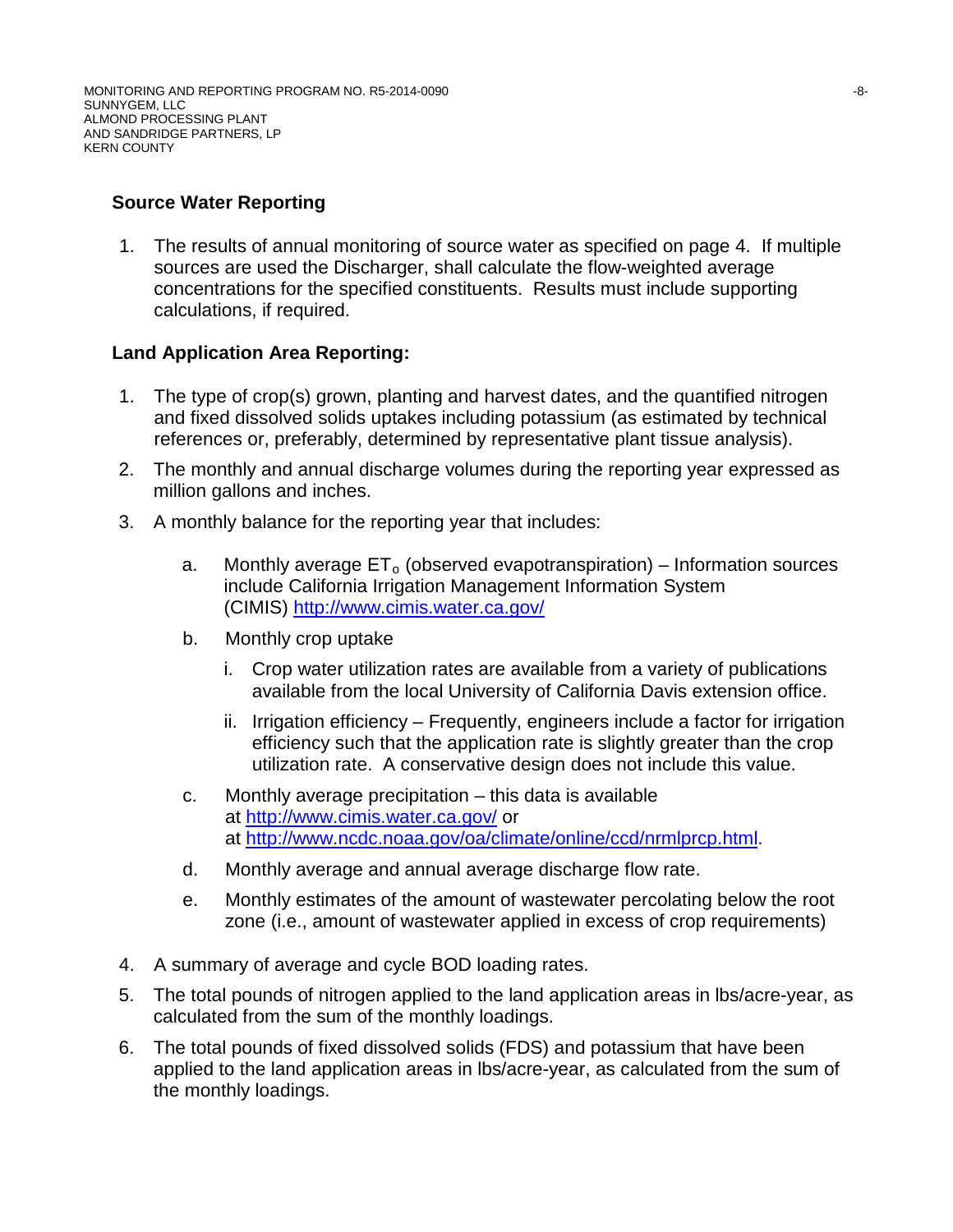# **Source Water Reporting**

1. The results of annual monitoring of source water as specified on page 4. If multiple sources are used the Discharger, shall calculate the flow-weighted average concentrations for the specified constituents. Results must include supporting calculations, if required.

# **Land Application Area Reporting:**

- 1. The type of crop(s) grown, planting and harvest dates, and the quantified nitrogen and fixed dissolved solids uptakes including potassium (as estimated by technical references or, preferably, determined by representative plant tissue analysis).
- 2. The monthly and annual discharge volumes during the reporting year expressed as million gallons and inches.
- 3. A monthly balance for the reporting year that includes:
	- a. Monthly average  $ET_0$  (observed evapotranspiration) Information sources include California Irrigation Management Information System (CIMIS)<http://www.cimis.water.ca.gov/>
	- b. Monthly crop uptake
		- i. Crop water utilization rates are available from a variety of publications available from the local University of California Davis extension office.
		- ii. Irrigation efficiency Frequently, engineers include a factor for irrigation efficiency such that the application rate is slightly greater than the crop utilization rate. A conservative design does not include this value.
	- c. Monthly average precipitation this data is available at http://www.cimis.water.ca.gov/ or at http://www.ncdc.noaa.gov/oa/climate/online/ccd/nrmlprcp.html.
	- d. Monthly average and annual average discharge flow rate.
	- e. Monthly estimates of the amount of wastewater percolating below the root zone (i.e., amount of wastewater applied in excess of crop requirements)
- 4. A summary of average and cycle BOD loading rates.
- 5. The total pounds of nitrogen applied to the land application areas in lbs/acre-year, as calculated from the sum of the monthly loadings.
- 6. The total pounds of fixed dissolved solids (FDS) and potassium that have been applied to the land application areas in lbs/acre-year, as calculated from the sum of the monthly loadings.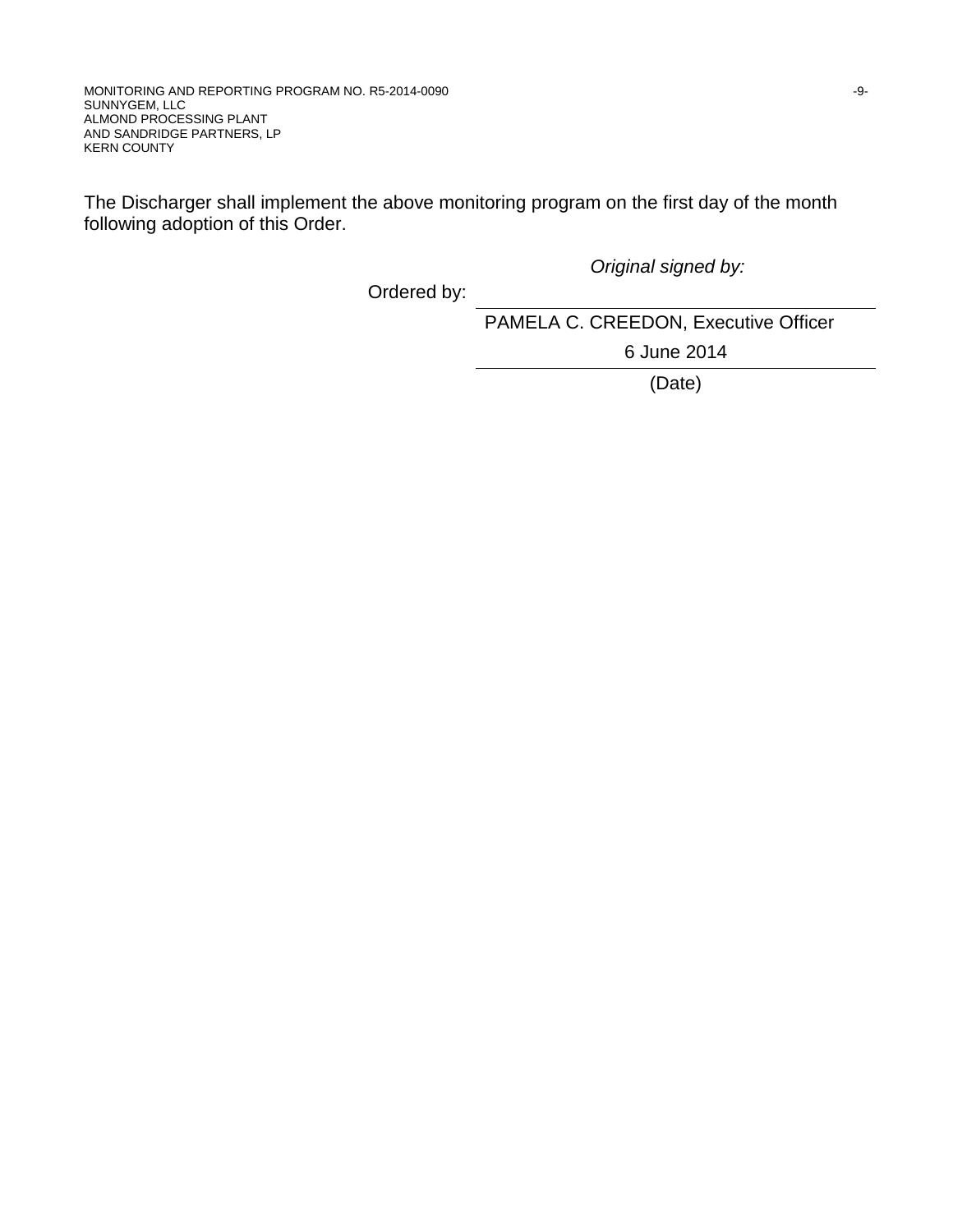The Discharger shall implement the above monitoring program on the first day of the month following adoption of this Order.

*Original signed by:*

Ordered by:

PAMELA C. CREEDON, Executive Officer

6 June 2014

(Date)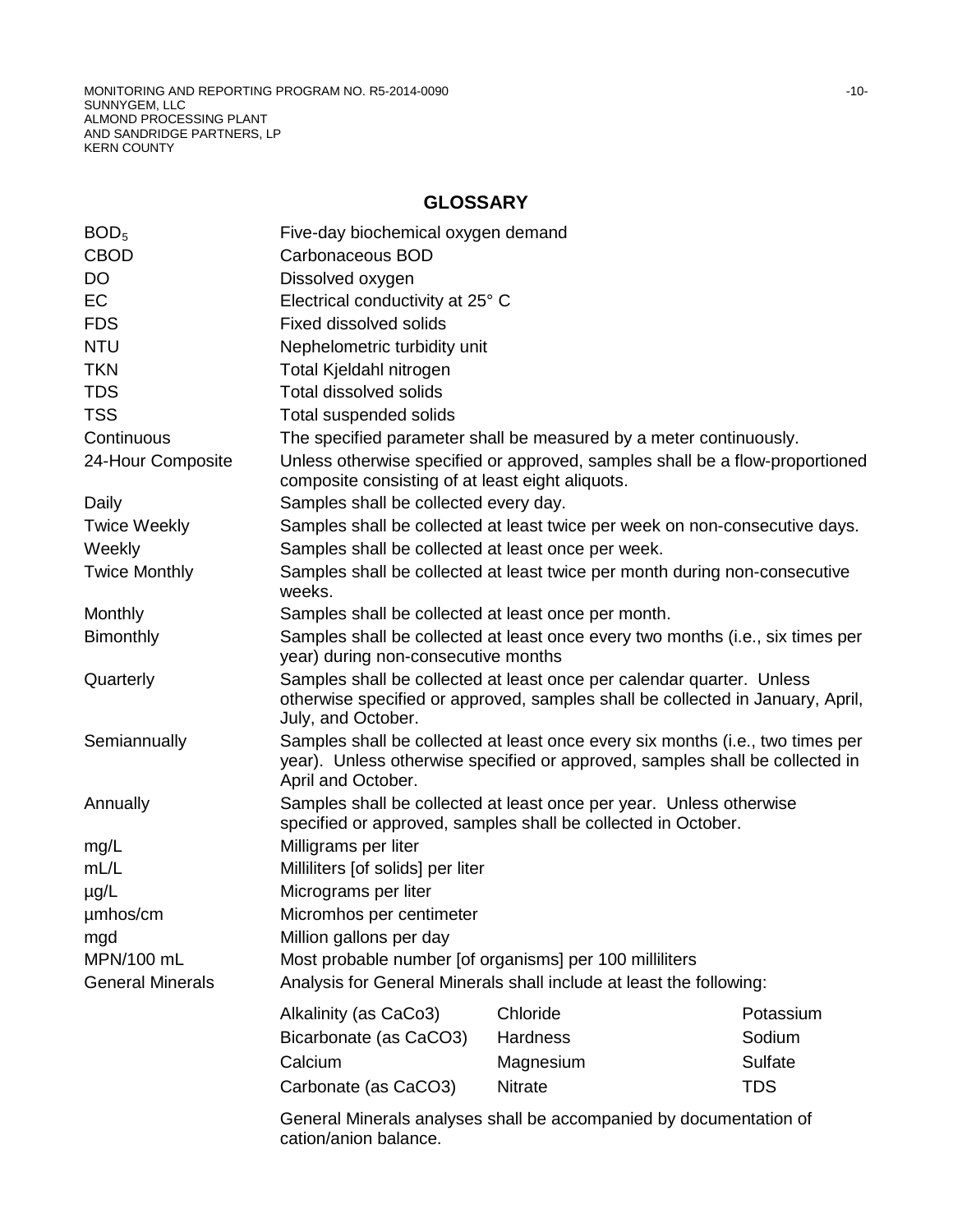MONITORING AND REPORTING PROGRAM NO. R5-2014-0090 NONES AND RESERVE TO A 10-HOME AND RESERVE TO A 10-HOME AND RESERVE TO A 10-HOME AND RESERVE TO A 10-HOME AND RESERVE TO A 10-HOME AND RESERVE TO A 10-HOME AND RESERVE TO A SUNNYGEM, LLC ALMOND PROCESSING PLANT AND SANDRIDGE PARTNERS, LP KERN COUNTY

# **GLOSSARY**

| BOD <sub>5</sub>        | Five-day biochemical oxygen demand                                                                                                                                                   |                |            |  |  |
|-------------------------|--------------------------------------------------------------------------------------------------------------------------------------------------------------------------------------|----------------|------------|--|--|
| <b>CBOD</b>             | Carbonaceous BOD                                                                                                                                                                     |                |            |  |  |
| <b>DO</b>               | Dissolved oxygen                                                                                                                                                                     |                |            |  |  |
| <b>EC</b>               | Electrical conductivity at 25° C                                                                                                                                                     |                |            |  |  |
| <b>FDS</b>              | <b>Fixed dissolved solids</b>                                                                                                                                                        |                |            |  |  |
| <b>NTU</b>              | Nephelometric turbidity unit                                                                                                                                                         |                |            |  |  |
| <b>TKN</b>              | Total Kjeldahl nitrogen                                                                                                                                                              |                |            |  |  |
| <b>TDS</b>              | <b>Total dissolved solids</b>                                                                                                                                                        |                |            |  |  |
| <b>TSS</b>              | Total suspended solids                                                                                                                                                               |                |            |  |  |
| Continuous              | The specified parameter shall be measured by a meter continuously.                                                                                                                   |                |            |  |  |
| 24-Hour Composite       | Unless otherwise specified or approved, samples shall be a flow-proportioned<br>composite consisting of at least eight aliquots.                                                     |                |            |  |  |
| Daily                   | Samples shall be collected every day.                                                                                                                                                |                |            |  |  |
| <b>Twice Weekly</b>     | Samples shall be collected at least twice per week on non-consecutive days.                                                                                                          |                |            |  |  |
| Weekly                  | Samples shall be collected at least once per week.                                                                                                                                   |                |            |  |  |
| <b>Twice Monthly</b>    | Samples shall be collected at least twice per month during non-consecutive<br>weeks.                                                                                                 |                |            |  |  |
| Monthly                 | Samples shall be collected at least once per month.                                                                                                                                  |                |            |  |  |
| <b>Bimonthly</b>        | Samples shall be collected at least once every two months (i.e., six times per<br>year) during non-consecutive months                                                                |                |            |  |  |
| Quarterly               | Samples shall be collected at least once per calendar quarter. Unless<br>otherwise specified or approved, samples shall be collected in January, April,<br>July, and October.        |                |            |  |  |
| Semiannually            | Samples shall be collected at least once every six months (i.e., two times per<br>year). Unless otherwise specified or approved, samples shall be collected in<br>April and October. |                |            |  |  |
| Annually                | Samples shall be collected at least once per year. Unless otherwise<br>specified or approved, samples shall be collected in October.                                                 |                |            |  |  |
| mg/L                    | Milligrams per liter                                                                                                                                                                 |                |            |  |  |
| mL/L                    | Milliliters [of solids] per liter                                                                                                                                                    |                |            |  |  |
| $\mu$ g/L               | Micrograms per liter                                                                                                                                                                 |                |            |  |  |
| umhos/cm                | Micromhos per centimeter                                                                                                                                                             |                |            |  |  |
| mgd                     | Million gallons per day                                                                                                                                                              |                |            |  |  |
| MPN/100 mL              | Most probable number [of organisms] per 100 milliliters                                                                                                                              |                |            |  |  |
| <b>General Minerals</b> | Analysis for General Minerals shall include at least the following:                                                                                                                  |                |            |  |  |
|                         | Alkalinity (as CaCo3)                                                                                                                                                                | Chloride       | Potassium  |  |  |
|                         | Bicarbonate (as CaCO3)                                                                                                                                                               | Hardness       | Sodium     |  |  |
|                         | Calcium                                                                                                                                                                              | Magnesium      | Sulfate    |  |  |
|                         | Carbonate (as CaCO3)                                                                                                                                                                 | <b>Nitrate</b> | <b>TDS</b> |  |  |
|                         |                                                                                                                                                                                      |                |            |  |  |
|                         | General Minerals analyses shall be accompanied by documentation of<br>cation/anion balance.                                                                                          |                |            |  |  |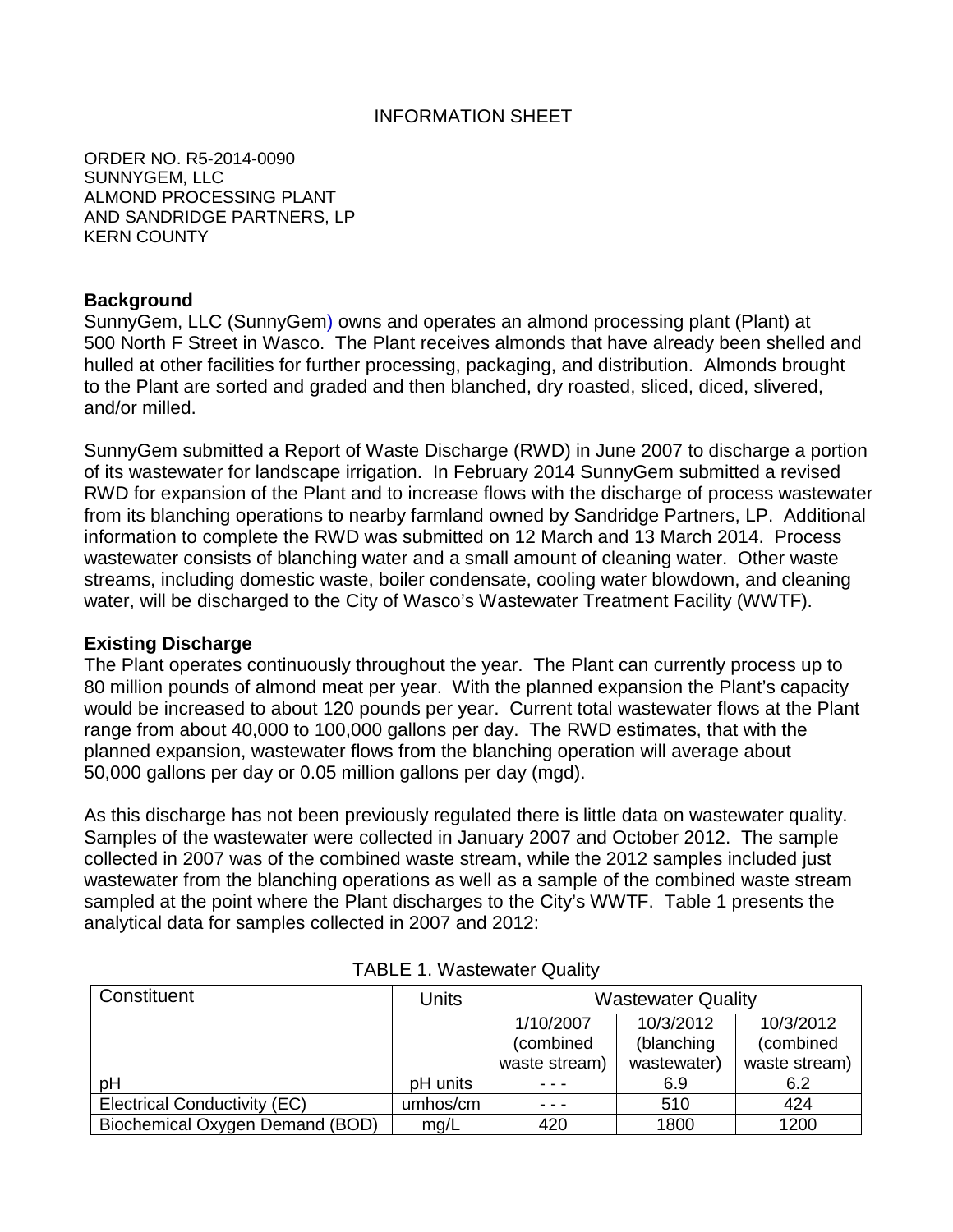#### INFORMATION SHEET

ORDER NO. R5-2014-0090 SUNNYGEM, LLC ALMOND PROCESSING PLANT AND SANDRIDGE PARTNERS, LP KERN COUNTY

#### **Background**

SunnyGem, LLC (SunnyGem) owns and operates an almond processing plant (Plant) at 500 North F Street in Wasco. The Plant receives almonds that have already been shelled and hulled at other facilities for further processing, packaging, and distribution. Almonds brought to the Plant are sorted and graded and then blanched, dry roasted, sliced, diced, slivered, and/or milled.

SunnyGem submitted a Report of Waste Discharge (RWD) in June 2007 to discharge a portion of its wastewater for landscape irrigation. In February 2014 SunnyGem submitted a revised RWD for expansion of the Plant and to increase flows with the discharge of process wastewater from its blanching operations to nearby farmland owned by Sandridge Partners, LP. Additional information to complete the RWD was submitted on 12 March and 13 March 2014. Process wastewater consists of blanching water and a small amount of cleaning water. Other waste streams, including domestic waste, boiler condensate, cooling water blowdown, and cleaning water, will be discharged to the City of Wasco's Wastewater Treatment Facility (WWTF).

#### **Existing Discharge**

The Plant operates continuously throughout the year. The Plant can currently process up to 80 million pounds of almond meat per year. With the planned expansion the Plant's capacity would be increased to about 120 pounds per year. Current total wastewater flows at the Plant range from about 40,000 to 100,000 gallons per day. The RWD estimates, that with the planned expansion, wastewater flows from the blanching operation will average about 50,000 gallons per day or 0.05 million gallons per day (mgd).

As this discharge has not been previously regulated there is little data on wastewater quality. Samples of the wastewater were collected in January 2007 and October 2012. The sample collected in 2007 was of the combined waste stream, while the 2012 samples included just wastewater from the blanching operations as well as a sample of the combined waste stream sampled at the point where the Plant discharges to the City's WWTF. Table 1 presents the analytical data for samples collected in 2007 and 2012:

| Constituent                     | Units    | <b>Wastewater Quality</b> |             |               |
|---------------------------------|----------|---------------------------|-------------|---------------|
|                                 |          | 1/10/2007                 | 10/3/2012   | 10/3/2012     |
|                                 |          | (combined                 | (blanching  | (combined     |
|                                 |          | waste stream)             | wastewater) | waste stream) |
| pH                              | pH units |                           | 6.9         | 6.2           |
| Electrical Conductivity (EC)    | umhos/cm |                           | 510         | 424           |
| Biochemical Oxygen Demand (BOD) | mq/L     | 420                       | 1800        | 1200          |

| <b>TABLE 1. Wastewater Quality</b> |  |
|------------------------------------|--|
|------------------------------------|--|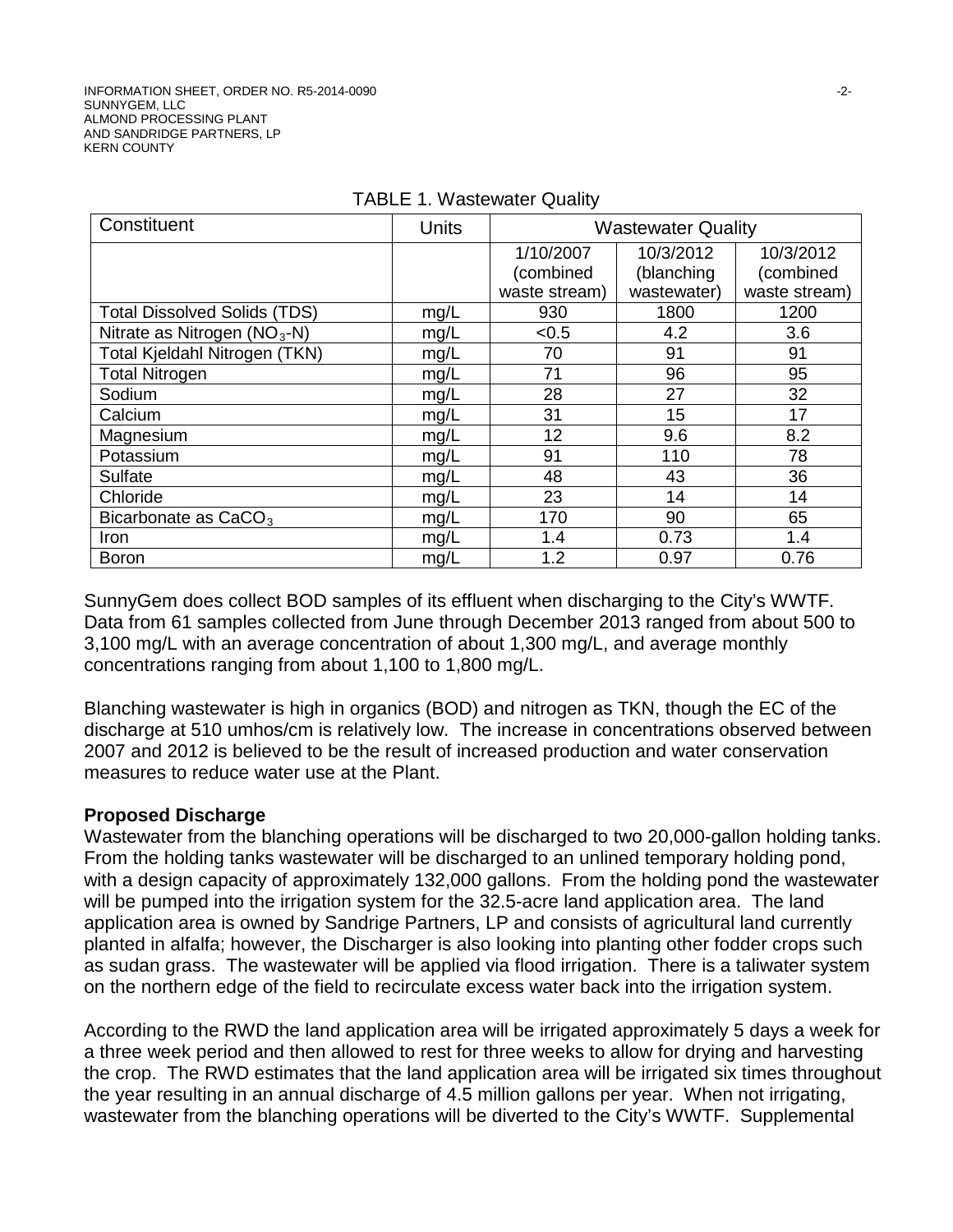| Constituent                         | <b>Units</b> | <b>Wastewater Quality</b> |                         |                        |
|-------------------------------------|--------------|---------------------------|-------------------------|------------------------|
|                                     |              | 1/10/2007<br>(combined    | 10/3/2012<br>(blanching | 10/3/2012<br>(combined |
|                                     |              | waste stream)             | wastewater)             | waste stream)          |
| <b>Total Dissolved Solids (TDS)</b> | mg/L         | 930                       | 1800                    | 1200                   |
| Nitrate as Nitrogen $(NO3-N)$       | mg/L         | < 0.5                     | 4.2                     | 3.6                    |
| Total Kjeldahl Nitrogen (TKN)       | mg/L         | 70                        | 91                      | 91                     |
| <b>Total Nitrogen</b>               | mg/L         | 71                        | 96                      | 95                     |
| Sodium                              | mg/L         | 28                        | 27                      | 32                     |
| Calcium                             | mg/L         | 31                        | 15                      | 17                     |
| Magnesium                           | mg/L         | 12                        | 9.6                     | 8.2                    |
| Potassium                           | mg/L         | 91                        | 110                     | 78                     |
| <b>Sulfate</b>                      | mg/L         | 48                        | 43                      | 36                     |
| Chloride                            | mg/L         | 23                        | 14                      | 14                     |
| Bicarbonate as $CaCO3$              | mg/L         | 170                       | 90                      | 65                     |
| <b>Iron</b>                         | mg/L         | 1.4                       | 0.73                    | 1.4                    |
| <b>Boron</b>                        | mg/L         | 1.2                       | 0.97                    | 0.76                   |

#### TABLE 1. Wastewater Quality

SunnyGem does collect BOD samples of its effluent when discharging to the City's WWTF. Data from 61 samples collected from June through December 2013 ranged from about 500 to 3,100 mg/L with an average concentration of about 1,300 mg/L, and average monthly concentrations ranging from about 1,100 to 1,800 mg/L.

Blanching wastewater is high in organics (BOD) and nitrogen as TKN, though the EC of the discharge at 510 umhos/cm is relatively low. The increase in concentrations observed between 2007 and 2012 is believed to be the result of increased production and water conservation measures to reduce water use at the Plant.

## **Proposed Discharge**

Wastewater from the blanching operations will be discharged to two 20,000-gallon holding tanks. From the holding tanks wastewater will be discharged to an unlined temporary holding pond, with a design capacity of approximately 132,000 gallons. From the holding pond the wastewater will be pumped into the irrigation system for the 32.5-acre land application area. The land application area is owned by Sandrige Partners, LP and consists of agricultural land currently planted in alfalfa; however, the Discharger is also looking into planting other fodder crops such as sudan grass. The wastewater will be applied via flood irrigation. There is a taliwater system on the northern edge of the field to recirculate excess water back into the irrigation system.

According to the RWD the land application area will be irrigated approximately 5 days a week for a three week period and then allowed to rest for three weeks to allow for drying and harvesting the crop. The RWD estimates that the land application area will be irrigated six times throughout the year resulting in an annual discharge of 4.5 million gallons per year. When not irrigating, wastewater from the blanching operations will be diverted to the City's WWTF. Supplemental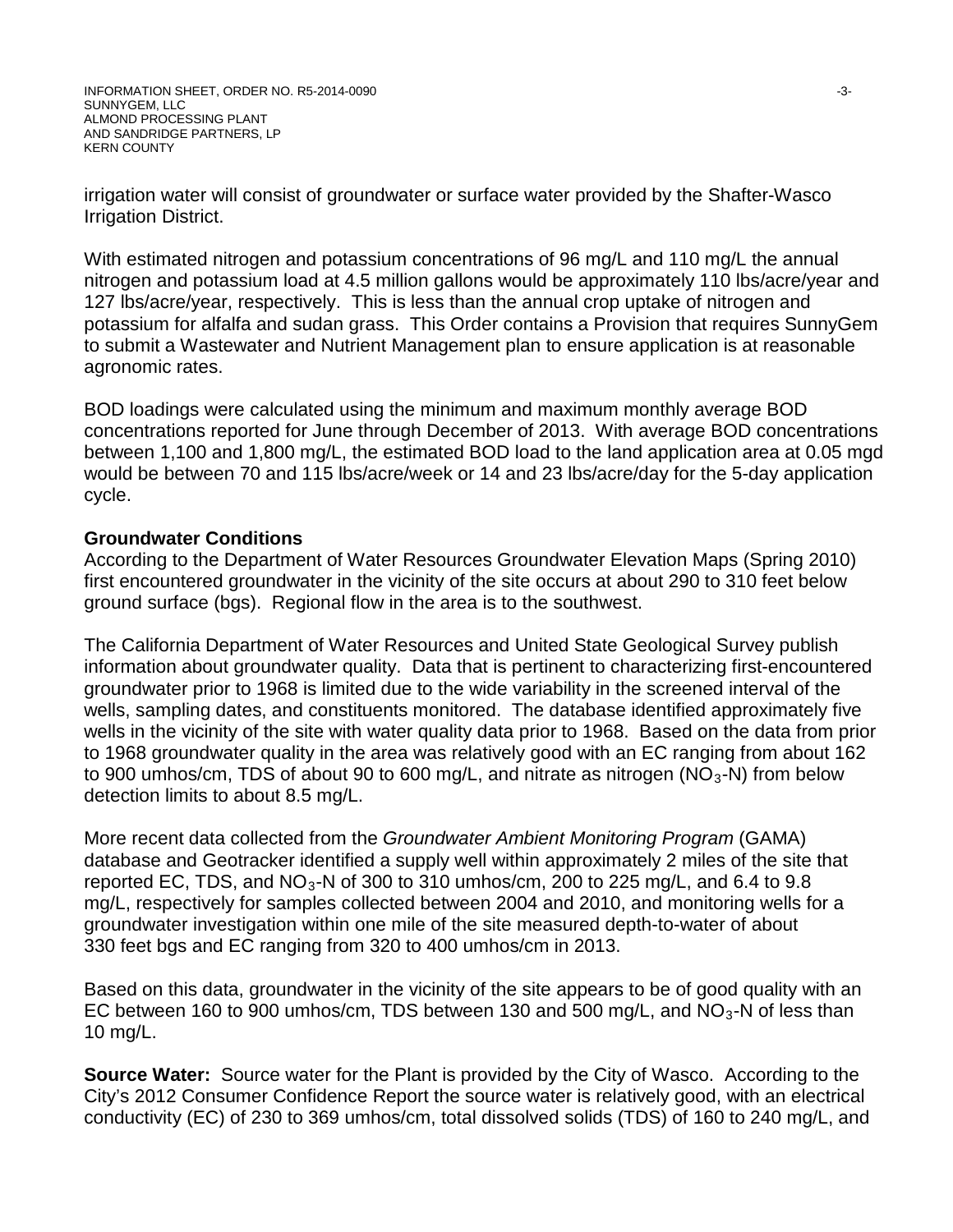irrigation water will consist of groundwater or surface water provided by the Shafter-Wasco Irrigation District.

With estimated nitrogen and potassium concentrations of 96 mg/L and 110 mg/L the annual nitrogen and potassium load at 4.5 million gallons would be approximately 110 lbs/acre/year and 127 lbs/acre/year, respectively. This is less than the annual crop uptake of nitrogen and potassium for alfalfa and sudan grass. This Order contains a Provision that requires SunnyGem to submit a Wastewater and Nutrient Management plan to ensure application is at reasonable agronomic rates.

BOD loadings were calculated using the minimum and maximum monthly average BOD concentrations reported for June through December of 2013. With average BOD concentrations between 1,100 and 1,800 mg/L, the estimated BOD load to the land application area at 0.05 mgd would be between 70 and 115 lbs/acre/week or 14 and 23 lbs/acre/day for the 5-day application cycle.

## **Groundwater Conditions**

According to the Department of Water Resources Groundwater Elevation Maps (Spring 2010) first encountered groundwater in the vicinity of the site occurs at about 290 to 310 feet below ground surface (bgs). Regional flow in the area is to the southwest.

The California Department of Water Resources and United State Geological Survey publish information about groundwater quality. Data that is pertinent to characterizing first-encountered groundwater prior to 1968 is limited due to the wide variability in the screened interval of the wells, sampling dates, and constituents monitored. The database identified approximately five wells in the vicinity of the site with water quality data prior to 1968. Based on the data from prior to 1968 groundwater quality in the area was relatively good with an EC ranging from about 162 to 900 umhos/cm, TDS of about 90 to 600 mg/L, and nitrate as nitrogen ( $NO<sub>3</sub>$ -N) from below detection limits to about 8.5 mg/L.

More recent data collected from the *Groundwater Ambient Monitoring Program* (GAMA) database and Geotracker identified a supply well within approximately 2 miles of the site that reported EC, TDS, and  $NO<sub>3</sub>$ -N of 300 to 310 umhos/cm, 200 to 225 mg/L, and 6.4 to 9.8 mg/L, respectively for samples collected between 2004 and 2010, and monitoring wells for a groundwater investigation within one mile of the site measured depth-to-water of about 330 feet bgs and EC ranging from 320 to 400 umhos/cm in 2013.

Based on this data, groundwater in the vicinity of the site appears to be of good quality with an EC between 160 to 900 umhos/cm, TDS between 130 and 500 mg/L, and  $NO<sub>3</sub>$ -N of less than 10 mg/L.

**Source Water:** Source water for the Plant is provided by the City of Wasco. According to the City's 2012 Consumer Confidence Report the source water is relatively good, with an electrical conductivity (EC) of 230 to 369 umhos/cm, total dissolved solids (TDS) of 160 to 240 mg/L, and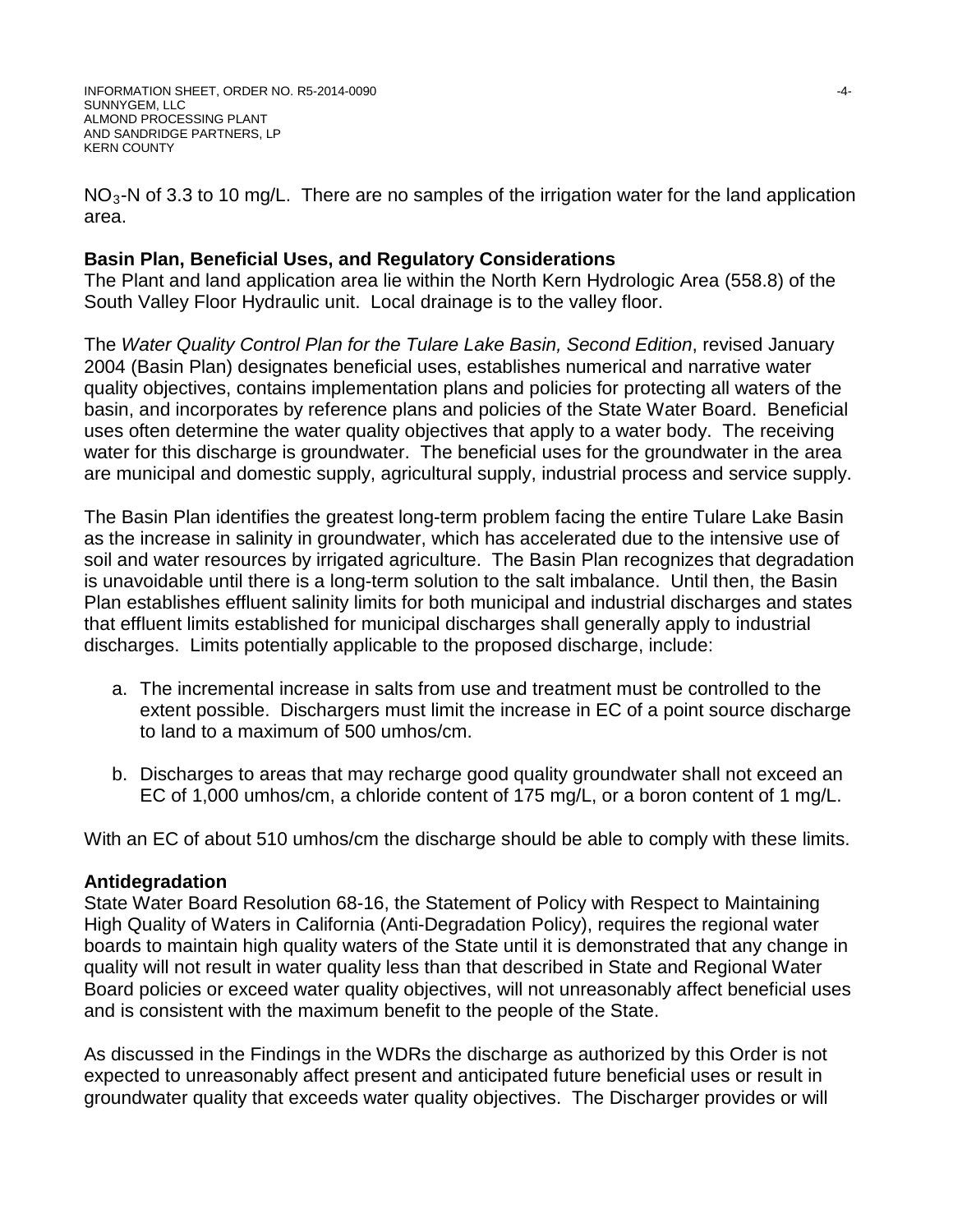$NO<sub>3</sub>$ -N of 3.3 to 10 mg/L. There are no samples of the irrigation water for the land application area.

## **Basin Plan, Beneficial Uses, and Regulatory Considerations**

The Plant and land application area lie within the North Kern Hydrologic Area (558.8) of the South Valley Floor Hydraulic unit. Local drainage is to the valley floor.

The *Water Quality Control Plan for the Tulare Lake Basin, Second Edition*, revised January 2004 (Basin Plan) designates beneficial uses, establishes numerical and narrative water quality objectives, contains implementation plans and policies for protecting all waters of the basin, and incorporates by reference plans and policies of the State Water Board. Beneficial uses often determine the water quality objectives that apply to a water body. The receiving water for this discharge is groundwater. The beneficial uses for the groundwater in the area are municipal and domestic supply, agricultural supply, industrial process and service supply.

The Basin Plan identifies the greatest long-term problem facing the entire Tulare Lake Basin as the increase in salinity in groundwater, which has accelerated due to the intensive use of soil and water resources by irrigated agriculture. The Basin Plan recognizes that degradation is unavoidable until there is a long-term solution to the salt imbalance. Until then, the Basin Plan establishes effluent salinity limits for both municipal and industrial discharges and states that effluent limits established for municipal discharges shall generally apply to industrial discharges. Limits potentially applicable to the proposed discharge, include:

- a. The incremental increase in salts from use and treatment must be controlled to the extent possible. Dischargers must limit the increase in EC of a point source discharge to land to a maximum of 500 umhos/cm.
- b. Discharges to areas that may recharge good quality groundwater shall not exceed an EC of 1,000 umhos/cm, a chloride content of 175 mg/L, or a boron content of 1 mg/L.

With an EC of about 510 umhos/cm the discharge should be able to comply with these limits.

## **Antidegradation**

State Water Board Resolution 68-16, the Statement of Policy with Respect to Maintaining High Quality of Waters in California (Anti-Degradation Policy), requires the regional water boards to maintain high quality waters of the State until it is demonstrated that any change in quality will not result in water quality less than that described in State and Regional Water Board policies or exceed water quality objectives, will not unreasonably affect beneficial uses and is consistent with the maximum benefit to the people of the State.

As discussed in the Findings in the WDRs the discharge as authorized by this Order is not expected to unreasonably affect present and anticipated future beneficial uses or result in groundwater quality that exceeds water quality objectives. The Discharger provides or will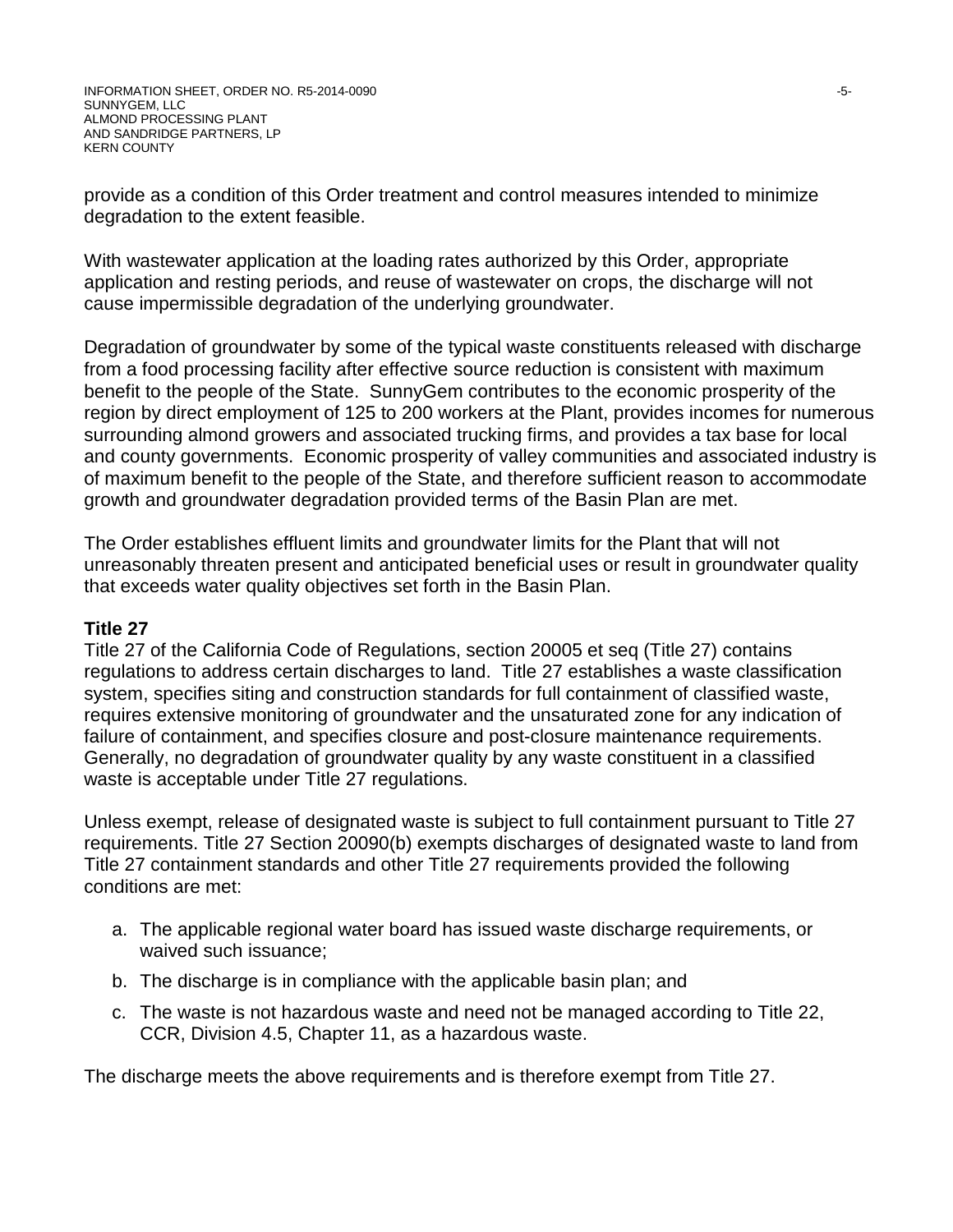provide as a condition of this Order treatment and control measures intended to minimize degradation to the extent feasible.

With wastewater application at the loading rates authorized by this Order, appropriate application and resting periods, and reuse of wastewater on crops, the discharge will not cause impermissible degradation of the underlying groundwater.

Degradation of groundwater by some of the typical waste constituents released with discharge from a food processing facility after effective source reduction is consistent with maximum benefit to the people of the State. SunnyGem contributes to the economic prosperity of the region by direct employment of 125 to 200 workers at the Plant, provides incomes for numerous surrounding almond growers and associated trucking firms, and provides a tax base for local and county governments. Economic prosperity of valley communities and associated industry is of maximum benefit to the people of the State, and therefore sufficient reason to accommodate growth and groundwater degradation provided terms of the Basin Plan are met.

The Order establishes effluent limits and groundwater limits for the Plant that will not unreasonably threaten present and anticipated beneficial uses or result in groundwater quality that exceeds water quality objectives set forth in the Basin Plan.

#### **Title 27**

Title 27 of the California Code of Regulations, section 20005 et seq (Title 27) contains regulations to address certain discharges to land. Title 27 establishes a waste classification system, specifies siting and construction standards for full containment of classified waste, requires extensive monitoring of groundwater and the unsaturated zone for any indication of failure of containment, and specifies closure and post-closure maintenance requirements. Generally, no degradation of groundwater quality by any waste constituent in a classified waste is acceptable under Title 27 regulations.

Unless exempt, release of designated waste is subject to full containment pursuant to Title 27 requirements. Title 27 Section 20090(b) exempts discharges of designated waste to land from Title 27 containment standards and other Title 27 requirements provided the following conditions are met:

- a. The applicable regional water board has issued waste discharge requirements, or waived such issuance;
- b. The discharge is in compliance with the applicable basin plan; and
- c. The waste is not hazardous waste and need not be managed according to Title 22, CCR, Division 4.5, Chapter 11, as a hazardous waste.

The discharge meets the above requirements and is therefore exempt from Title 27.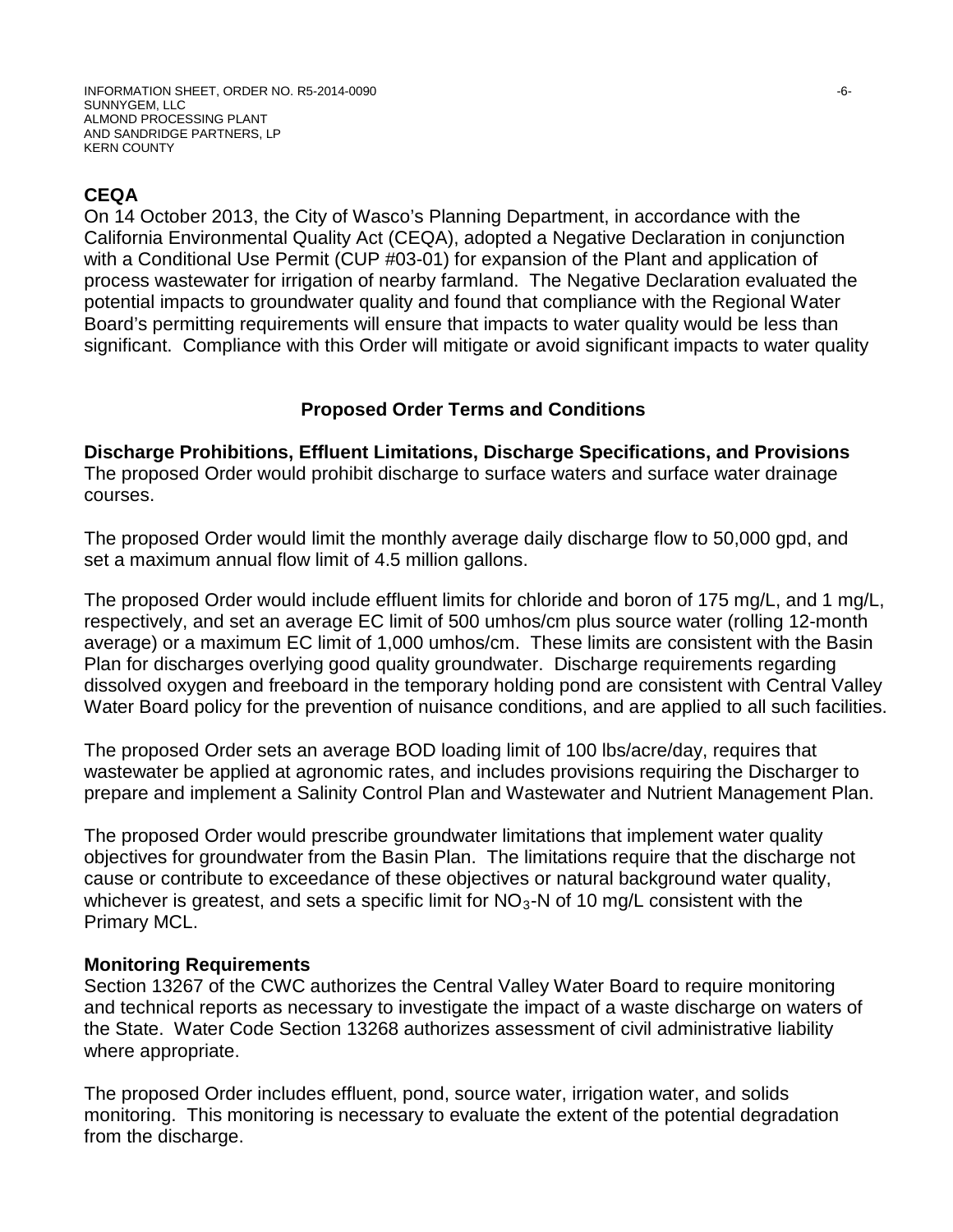# **CEQA**

On 14 October 2013, the City of Wasco's Planning Department, in accordance with the California Environmental Quality Act (CEQA), adopted a Negative Declaration in conjunction with a Conditional Use Permit (CUP #03-01) for expansion of the Plant and application of process wastewater for irrigation of nearby farmland. The Negative Declaration evaluated the potential impacts to groundwater quality and found that compliance with the Regional Water Board's permitting requirements will ensure that impacts to water quality would be less than significant. Compliance with this Order will mitigate or avoid significant impacts to water quality

# **Proposed Order Terms and Conditions**

**Discharge Prohibitions, Effluent Limitations, Discharge Specifications, and Provisions** The proposed Order would prohibit discharge to surface waters and surface water drainage courses.

The proposed Order would limit the monthly average daily discharge flow to 50,000 gpd, and set a maximum annual flow limit of 4.5 million gallons.

The proposed Order would include effluent limits for chloride and boron of 175 mg/L, and 1 mg/L, respectively, and set an average EC limit of 500 umhos/cm plus source water (rolling 12-month average) or a maximum EC limit of 1,000 umhos/cm. These limits are consistent with the Basin Plan for discharges overlying good quality groundwater. Discharge requirements regarding dissolved oxygen and freeboard in the temporary holding pond are consistent with Central Valley Water Board policy for the prevention of nuisance conditions, and are applied to all such facilities.

The proposed Order sets an average BOD loading limit of 100 lbs/acre/day, requires that wastewater be applied at agronomic rates, and includes provisions requiring the Discharger to prepare and implement a Salinity Control Plan and Wastewater and Nutrient Management Plan.

The proposed Order would prescribe groundwater limitations that implement water quality objectives for groundwater from the Basin Plan. The limitations require that the discharge not cause or contribute to exceedance of these objectives or natural background water quality, whichever is greatest, and sets a specific limit for  $NO<sub>3</sub>$ -N of 10 mg/L consistent with the Primary MCL.

## **Monitoring Requirements**

Section 13267 of the CWC authorizes the Central Valley Water Board to require monitoring and technical reports as necessary to investigate the impact of a waste discharge on waters of the State. Water Code Section 13268 authorizes assessment of civil administrative liability where appropriate.

The proposed Order includes effluent, pond, source water, irrigation water, and solids monitoring. This monitoring is necessary to evaluate the extent of the potential degradation from the discharge.